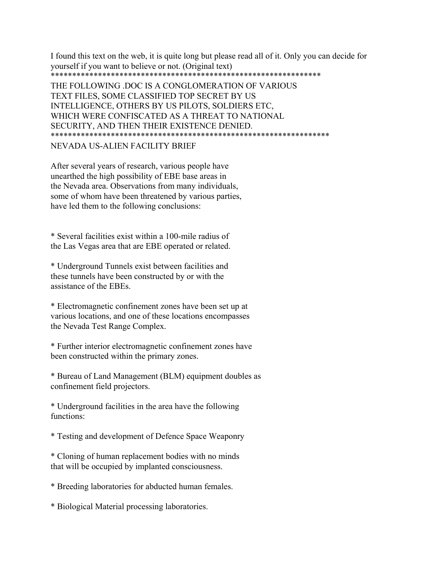I found this text on the web, it is quite long but please read all of it. Only you can decide for yourself if you want to believe or not. (Original text) \*\*\*\*\*\*\*\*\*\*\*\*\*\*\*\*\*\*\*\*\*\*\*\*\*\*\*\*\*\*\*\*\*\*\*\*\*\*\*\*\*\*\*\*\*\*\*\*\*\*\*\*\*\*\*\*\*\*\*\*\*\*\*

THE FOLLOWING .DOC IS A CONGLOMERATION OF VARIOUS TEXT FILES, SOME CLASSIFIED TOP SECRET BY US INTELLIGENCE, OTHERS BY US PILOTS, SOLDIERS ETC, WHICH WERE CONFISCATED AS A THREAT TO NATIONAL SECURITY, AND THEN THEIR EXISTENCE DENIED. \*\*\*\*\*\*\*\*\*\*\*\*\*\*\*\*\*\*\*\*\*\*\*\*\*\*\*\*\*\*\*\*\*\*\*\*\*\*\*\*\*\*\*\*\*\*\*\*\*\*\*\*\*\*\*\*\*\*\*\*\*\*\*\*\* NEVADA US-ALIEN FACILITY BRIEF

After several years of research, various people have unearthed the high possibility of EBE base areas in the Nevada area. Observations from many individuals, some of whom have been threatened by various parties, have led them to the following conclusions:

\* Several facilities exist within a 100-mile radius of the Las Vegas area that are EBE operated or related.

\* Underground Tunnels exist between facilities and these tunnels have been constructed by or with the assistance of the EBEs.

\* Electromagnetic confinement zones have been set up at various locations, and one of these locations encompasses the Nevada Test Range Complex.

\* Further interior electromagnetic confinement zones have been constructed within the primary zones.

\* Bureau of Land Management (BLM) equipment doubles as confinement field projectors.

\* Underground facilities in the area have the following functions:

\* Testing and development of Defence Space Weaponry

\* Cloning of human replacement bodies with no minds that will be occupied by implanted consciousness.

- \* Breeding laboratories for abducted human females.
- \* Biological Material processing laboratories.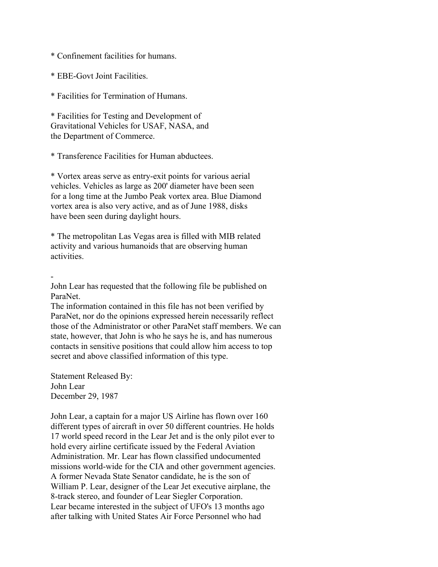\* Confinement facilities for humans.

\* EBE-Govt Joint Facilities.

\* Facilities for Termination of Humans.

\* Facilities for Testing and Development of Gravitational Vehicles for USAF, NASA, and the Department of Commerce.

\* Transference Facilities for Human abductees.

\* Vortex areas serve as entry-exit points for various aerial vehicles. Vehicles as large as 200' diameter have been seen for a long time at the Jumbo Peak vortex area. Blue Diamond vortex area is also very active, and as of June 1988, disks have been seen during daylight hours.

\* The metropolitan Las Vegas area is filled with MIB related activity and various humanoids that are observing human activities.

John Lear has requested that the following file be published on ParaNet.

The information contained in this file has not been verified by ParaNet, nor do the opinions expressed herein necessarily reflect those of the Administrator or other ParaNet staff members. We can state, however, that John is who he says he is, and has numerous contacts in sensitive positions that could allow him access to top secret and above classified information of this type.

Statement Released By: John Lear December 29, 1987

-

John Lear, a captain for a major US Airline has flown over 160 different types of aircraft in over 50 different countries. He holds 17 world speed record in the Lear Jet and is the only pilot ever to hold every airline certificate issued by the Federal Aviation Administration. Mr. Lear has flown classified undocumented missions world-wide for the CIA and other government agencies. A former Nevada State Senator candidate, he is the son of William P. Lear, designer of the Lear Jet executive airplane, the 8-track stereo, and founder of Lear Siegler Corporation. Lear became interested in the subject of UFO's 13 months ago after talking with United States Air Force Personnel who had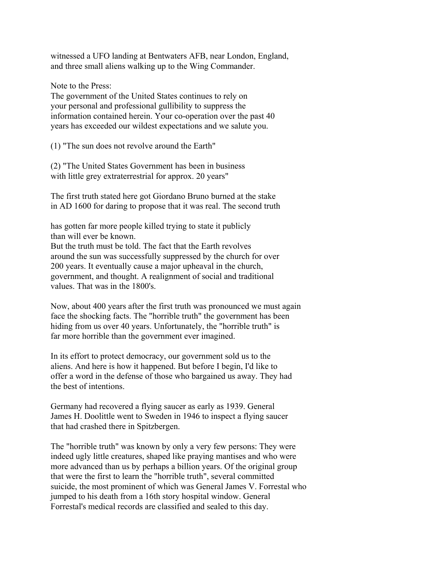witnessed a UFO landing at Bentwaters AFB, near London, England, and three small aliens walking up to the Wing Commander.

Note to the Press:

The government of the United States continues to rely on your personal and professional gullibility to suppress the information contained herein. Your co-operation over the past 40 years has exceeded our wildest expectations and we salute you.

(1) "The sun does not revolve around the Earth"

(2) "The United States Government has been in business with little grey extraterrestrial for approx. 20 years"

The first truth stated here got Giordano Bruno burned at the stake in AD 1600 for daring to propose that it was real. The second truth

has gotten far more people killed trying to state it publicly than will ever be known.

But the truth must be told. The fact that the Earth revolves around the sun was successfully suppressed by the church for over 200 years. It eventually cause a major upheaval in the church, government, and thought. A realignment of social and traditional values. That was in the 1800's.

Now, about 400 years after the first truth was pronounced we must again face the shocking facts. The "horrible truth" the government has been hiding from us over 40 years. Unfortunately, the "horrible truth" is far more horrible than the government ever imagined.

In its effort to protect democracy, our government sold us to the aliens. And here is how it happened. But before I begin, I'd like to offer a word in the defense of those who bargained us away. They had the best of intentions.

Germany had recovered a flying saucer as early as 1939. General James H. Doolittle went to Sweden in 1946 to inspect a flying saucer that had crashed there in Spitzbergen.

The "horrible truth" was known by only a very few persons: They were indeed ugly little creatures, shaped like praying mantises and who were more advanced than us by perhaps a billion years. Of the original group that were the first to learn the "horrible truth", several committed suicide, the most prominent of which was General James V. Forrestal who jumped to his death from a 16th story hospital window. General Forrestal's medical records are classified and sealed to this day.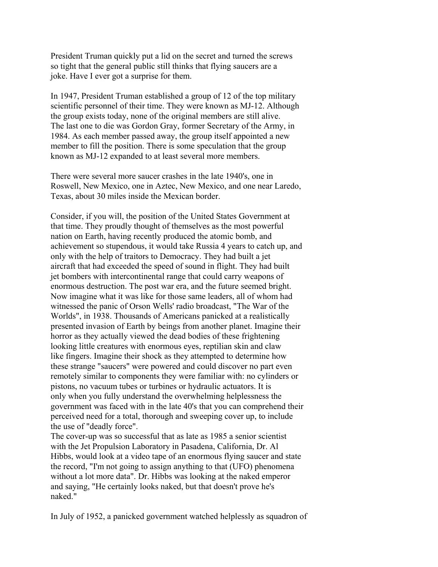President Truman quickly put a lid on the secret and turned the screws so tight that the general public still thinks that flying saucers are a joke. Have I ever got a surprise for them.

In 1947, President Truman established a group of 12 of the top military scientific personnel of their time. They were known as MJ-12. Although the group exists today, none of the original members are still alive. The last one to die was Gordon Gray, former Secretary of the Army, in 1984. As each member passed away, the group itself appointed a new member to fill the position. There is some speculation that the group known as MJ-12 expanded to at least several more members.

There were several more saucer crashes in the late 1940's, one in Roswell, New Mexico, one in Aztec, New Mexico, and one near Laredo, Texas, about 30 miles inside the Mexican border.

Consider, if you will, the position of the United States Government at that time. They proudly thought of themselves as the most powerful nation on Earth, having recently produced the atomic bomb, and achievement so stupendous, it would take Russia 4 years to catch up, and only with the help of traitors to Democracy. They had built a jet aircraft that had exceeded the speed of sound in flight. They had built jet bombers with intercontinental range that could carry weapons of enormous destruction. The post war era, and the future seemed bright. Now imagine what it was like for those same leaders, all of whom had witnessed the panic of Orson Wells' radio broadcast, "The War of the Worlds", in 1938. Thousands of Americans panicked at a realistically presented invasion of Earth by beings from another planet. Imagine their horror as they actually viewed the dead bodies of these frightening looking little creatures with enormous eyes, reptilian skin and claw like fingers. Imagine their shock as they attempted to determine how these strange "saucers" were powered and could discover no part even remotely similar to components they were familiar with: no cylinders or pistons, no vacuum tubes or turbines or hydraulic actuators. It is only when you fully understand the overwhelming helplessness the government was faced with in the late 40's that you can comprehend their perceived need for a total, thorough and sweeping cover up, to include the use of "deadly force".

The cover-up was so successful that as late as 1985 a senior scientist with the Jet Propulsion Laboratory in Pasadena, California, Dr. Al Hibbs, would look at a video tape of an enormous flying saucer and state the record, "I'm not going to assign anything to that (UFO) phenomena without a lot more data". Dr. Hibbs was looking at the naked emperor and saying, "He certainly looks naked, but that doesn't prove he's naked."

In July of 1952, a panicked government watched helplessly as squadron of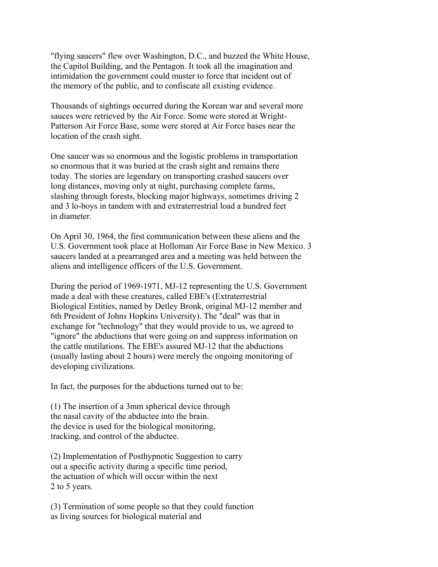"flying saucers" flew over Washington, D.C., and buzzed the White House, the Capitol Building, and the Pentagon. It took all the imagination and intimidation the government could muster to force that incident out of the memory of the public, and to confiscate all existing evidence.

Thousands of sightings occurred during the Korean war and several more sauces were retrieved by the Air Force. Some were stored at Wright-Patterson Air Force Base, some were stored at Air Force bases near the location of the crash sight.

One saucer was so enormous and the logistic problems in transportation so enormous that it was buried at the crash sight and remains there today. The stories are legendary on transporting crashed saucers over long distances, moving only at night, purchasing complete farms, slashing through forests, blocking major highways, sometimes driving 2 and 3 lo-boys in tandem with and extraterrestrial load a hundred feet in diameter.

On April 30, 1964, the first communication between these aliens and the U.S. Government took place at Holloman Air Force Base in New Mexico. 3 saucers landed at a prearranged area and a meeting was held between the aliens and intelligence officers of the U.S. Government.

During the period of 1969-1971, MJ-12 representing the U.S. Government made a deal with these creatures, called EBE's (Extraterrestrial Biological Entities, named by Detley Bronk, original MJ-12 member and 6th President of Johns Hopkins University). The "deal" was that in exchange for "technology" that they would provide to us, we agreed to "ignore" the abductions that were going on and suppress information on the cattle mutilations. The EBE's assured MJ-12 that the abductions (usually lasting about 2 hours) were merely the ongoing monitoring of developing civilizations.

In fact, the purposes for the abductions turned out to be:

(1) The insertion of a 3mm spherical device through the nasal cavity of the abductee into the brain. the device is used for the biological monitoring, tracking, and control of the abductee.

(2) Implementation of Posthypnotic Suggestion to carry out a specific activity during a specific time period, the actuation of which will occur within the next 2 to 5 years.

(3) Termination of some people so that they could function as living sources for biological material and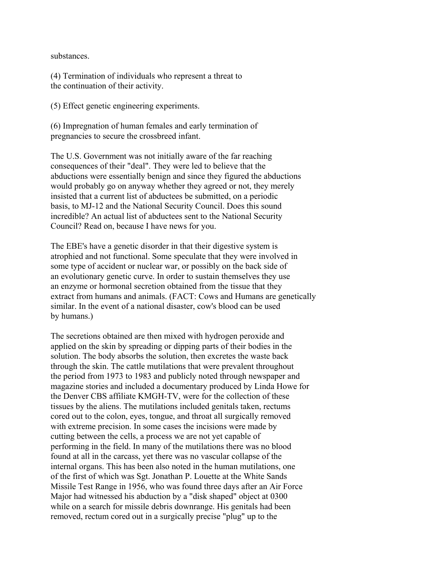substances.

(4) Termination of individuals who represent a threat to the continuation of their activity.

(5) Effect genetic engineering experiments.

(6) Impregnation of human females and early termination of pregnancies to secure the crossbreed infant.

The U.S. Government was not initially aware of the far reaching consequences of their "deal". They were led to believe that the abductions were essentially benign and since they figured the abductions would probably go on anyway whether they agreed or not, they merely insisted that a current list of abductees be submitted, on a periodic basis, to MJ-12 and the National Security Council. Does this sound incredible? An actual list of abductees sent to the National Security Council? Read on, because I have news for you.

The EBE's have a genetic disorder in that their digestive system is atrophied and not functional. Some speculate that they were involved in some type of accident or nuclear war, or possibly on the back side of an evolutionary genetic curve. In order to sustain themselves they use an enzyme or hormonal secretion obtained from the tissue that they extract from humans and animals. (FACT: Cows and Humans are genetically similar. In the event of a national disaster, cow's blood can be used by humans.)

The secretions obtained are then mixed with hydrogen peroxide and applied on the skin by spreading or dipping parts of their bodies in the solution. The body absorbs the solution, then excretes the waste back through the skin. The cattle mutilations that were prevalent throughout the period from 1973 to 1983 and publicly noted through newspaper and magazine stories and included a documentary produced by Linda Howe for the Denver CBS affiliate KMGH-TV, were for the collection of these tissues by the aliens. The mutilations included genitals taken, rectums cored out to the colon, eyes, tongue, and throat all surgically removed with extreme precision. In some cases the incisions were made by cutting between the cells, a process we are not yet capable of performing in the field. In many of the mutilations there was no blood found at all in the carcass, yet there was no vascular collapse of the internal organs. This has been also noted in the human mutilations, one of the first of which was Sgt. Jonathan P. Louette at the White Sands Missile Test Range in 1956, who was found three days after an Air Force Major had witnessed his abduction by a "disk shaped" object at 0300 while on a search for missile debris downrange. His genitals had been removed, rectum cored out in a surgically precise "plug" up to the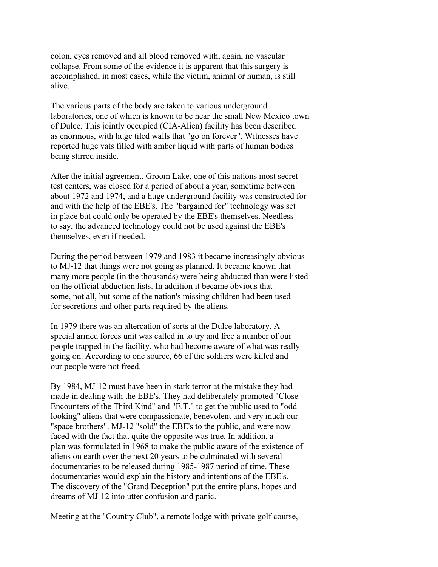colon, eyes removed and all blood removed with, again, no vascular collapse. From some of the evidence it is apparent that this surgery is accomplished, in most cases, while the victim, animal or human, is still alive.

The various parts of the body are taken to various underground laboratories, one of which is known to be near the small New Mexico town of Dulce. This jointly occupied (CIA-Alien) facility has been described as enormous, with huge tiled walls that "go on forever". Witnesses have reported huge vats filled with amber liquid with parts of human bodies being stirred inside.

After the initial agreement, Groom Lake, one of this nations most secret test centers, was closed for a period of about a year, sometime between about 1972 and 1974, and a huge underground facility was constructed for and with the help of the EBE's. The "bargained for" technology was set in place but could only be operated by the EBE's themselves. Needless to say, the advanced technology could not be used against the EBE's themselves, even if needed.

During the period between 1979 and 1983 it became increasingly obvious to MJ-12 that things were not going as planned. It became known that many more people (in the thousands) were being abducted than were listed on the official abduction lists. In addition it became obvious that some, not all, but some of the nation's missing children had been used for secretions and other parts required by the aliens.

In 1979 there was an altercation of sorts at the Dulce laboratory. A special armed forces unit was called in to try and free a number of our people trapped in the facility, who had become aware of what was really going on. According to one source, 66 of the soldiers were killed and our people were not freed.

By 1984, MJ-12 must have been in stark terror at the mistake they had made in dealing with the EBE's. They had deliberately promoted "Close Encounters of the Third Kind" and "E.T." to get the public used to "odd looking" aliens that were compassionate, benevolent and very much our "space brothers". MJ-12 "sold" the EBE's to the public, and were now faced with the fact that quite the opposite was true. In addition, a plan was formulated in 1968 to make the public aware of the existence of aliens on earth over the next 20 years to be culminated with several documentaries to be released during 1985-1987 period of time. These documentaries would explain the history and intentions of the EBE's. The discovery of the "Grand Deception" put the entire plans, hopes and dreams of MJ-12 into utter confusion and panic.

Meeting at the "Country Club", a remote lodge with private golf course,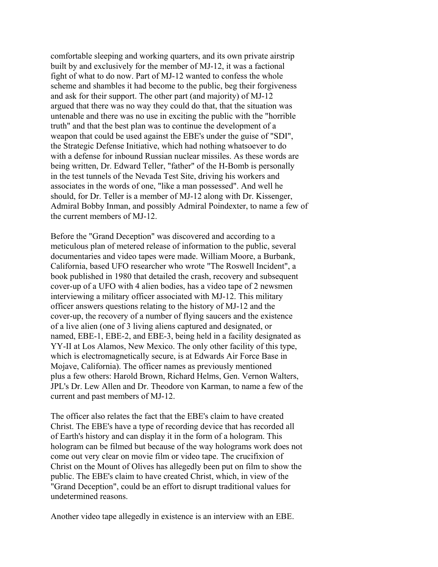comfortable sleeping and working quarters, and its own private airstrip built by and exclusively for the member of MJ-12, it was a factional fight of what to do now. Part of MJ-12 wanted to confess the whole scheme and shambles it had become to the public, beg their forgiveness and ask for their support. The other part (and majority) of MJ-12 argued that there was no way they could do that, that the situation was untenable and there was no use in exciting the public with the "horrible truth" and that the best plan was to continue the development of a weapon that could be used against the EBE's under the guise of "SDI", the Strategic Defense Initiative, which had nothing whatsoever to do with a defense for inbound Russian nuclear missiles. As these words are being written, Dr. Edward Teller, "father" of the H-Bomb is personally in the test tunnels of the Nevada Test Site, driving his workers and associates in the words of one, "like a man possessed". And well he should, for Dr. Teller is a member of MJ-12 along with Dr. Kissenger, Admiral Bobby Inman, and possibly Admiral Poindexter, to name a few of the current members of MJ-12.

Before the "Grand Deception" was discovered and according to a meticulous plan of metered release of information to the public, several documentaries and video tapes were made. William Moore, a Burbank, California, based UFO researcher who wrote "The Roswell Incident", a book published in 1980 that detailed the crash, recovery and subsequent cover-up of a UFO with 4 alien bodies, has a video tape of 2 newsmen interviewing a military officer associated with MJ-12. This military officer answers questions relating to the history of MJ-12 and the cover-up, the recovery of a number of flying saucers and the existence of a live alien (one of 3 living aliens captured and designated, or named, EBE-1, EBE-2, and EBE-3, being held in a facility designated as YY-II at Los Alamos, New Mexico. The only other facility of this type, which is electromagnetically secure, is at Edwards Air Force Base in Mojave, California). The officer names as previously mentioned plus a few others: Harold Brown, Richard Helms, Gen. Vernon Walters, JPL's Dr. Lew Allen and Dr. Theodore von Karman, to name a few of the current and past members of MJ-12.

The officer also relates the fact that the EBE's claim to have created Christ. The EBE's have a type of recording device that has recorded all of Earth's history and can display it in the form of a hologram. This hologram can be filmed but because of the way holograms work does not come out very clear on movie film or video tape. The crucifixion of Christ on the Mount of Olives has allegedly been put on film to show the public. The EBE's claim to have created Christ, which, in view of the "Grand Deception", could be an effort to disrupt traditional values for undetermined reasons.

Another video tape allegedly in existence is an interview with an EBE.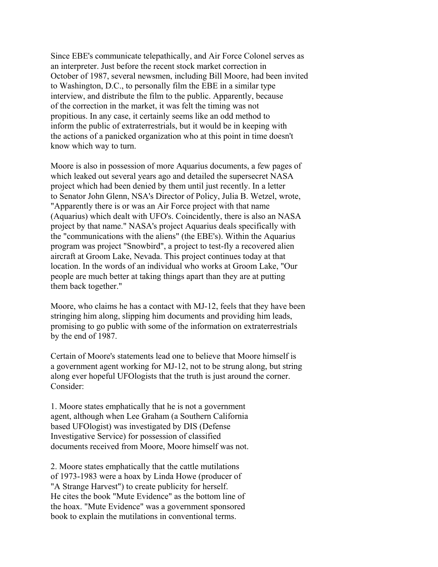Since EBE's communicate telepathically, and Air Force Colonel serves as an interpreter. Just before the recent stock market correction in October of 1987, several newsmen, including Bill Moore, had been invited to Washington, D.C., to personally film the EBE in a similar type interview, and distribute the film to the public. Apparently, because of the correction in the market, it was felt the timing was not propitious. In any case, it certainly seems like an odd method to inform the public of extraterrestrials, but it would be in keeping with the actions of a panicked organization who at this point in time doesn't know which way to turn.

Moore is also in possession of more Aquarius documents, a few pages of which leaked out several years ago and detailed the supersecret NASA project which had been denied by them until just recently. In a letter to Senator John Glenn, NSA's Director of Policy, Julia B. Wetzel, wrote, "Apparently there is or was an Air Force project with that name (Aquarius) which dealt with UFO's. Coincidently, there is also an NASA project by that name." NASA's project Aquarius deals specifically with the "communications with the aliens" (the EBE's). Within the Aquarius program was project "Snowbird", a project to test-fly a recovered alien aircraft at Groom Lake, Nevada. This project continues today at that location. In the words of an individual who works at Groom Lake, "Our people are much better at taking things apart than they are at putting them back together."

Moore, who claims he has a contact with MJ-12, feels that they have been stringing him along, slipping him documents and providing him leads, promising to go public with some of the information on extraterrestrials by the end of 1987.

Certain of Moore's statements lead one to believe that Moore himself is a government agent working for MJ-12, not to be strung along, but string along ever hopeful UFOlogists that the truth is just around the corner. Consider:

1. Moore states emphatically that he is not a government agent, although when Lee Graham (a Southern California based UFOlogist) was investigated by DIS (Defense Investigative Service) for possession of classified documents received from Moore, Moore himself was not.

2. Moore states emphatically that the cattle mutilations of 1973-1983 were a hoax by Linda Howe (producer of "A Strange Harvest") to create publicity for herself. He cites the book "Mute Evidence" as the bottom line of the hoax. "Mute Evidence" was a government sponsored book to explain the mutilations in conventional terms.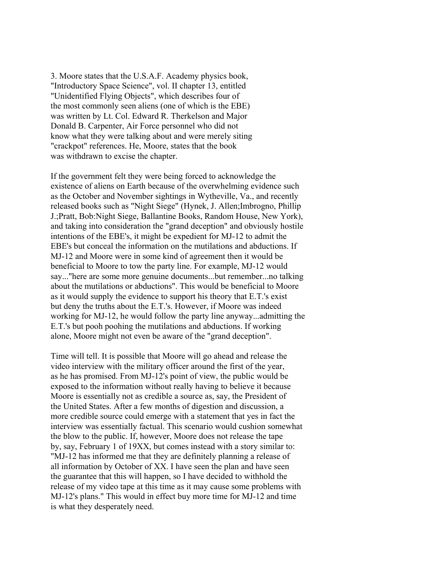3. Moore states that the U.S.A.F. Academy physics book, "Introductory Space Science", vol. II chapter 13, entitled "Unidentified Flying Objects", which describes four of the most commonly seen aliens (one of which is the EBE) was written by Lt. Col. Edward R. Therkelson and Major Donald B. Carpenter, Air Force personnel who did not know what they were talking about and were merely siting "crackpot" references. He, Moore, states that the book was withdrawn to excise the chapter.

If the government felt they were being forced to acknowledge the existence of aliens on Earth because of the overwhelming evidence such as the October and November sightings in Wytheville, Va., and recently released books such as "Night Siege" (Hynek, J. Allen;Imbrogno, Phillip J.;Pratt, Bob:Night Siege, Ballantine Books, Random House, New York), and taking into consideration the "grand deception" and obviously hostile intentions of the EBE's, it might be expedient for MJ-12 to admit the EBE's but conceal the information on the mutilations and abductions. If MJ-12 and Moore were in some kind of agreement then it would be beneficial to Moore to tow the party line. For example, MJ-12 would say..."here are some more genuine documents...but remember...no talking about the mutilations or abductions". This would be beneficial to Moore as it would supply the evidence to support his theory that E.T.'s exist but deny the truths about the E.T.'s. However, if Moore was indeed working for MJ-12, he would follow the party line anyway...admitting the E.T.'s but pooh poohing the mutilations and abductions. If working alone, Moore might not even be aware of the "grand deception".

Time will tell. It is possible that Moore will go ahead and release the video interview with the military officer around the first of the year, as he has promised. From MJ-12's point of view, the public would be exposed to the information without really having to believe it because Moore is essentially not as credible a source as, say, the President of the United States. After a few months of digestion and discussion, a more credible source could emerge with a statement that yes in fact the interview was essentially factual. This scenario would cushion somewhat the blow to the public. If, however, Moore does not release the tape by, say, February 1 of 19XX, but comes instead with a story similar to: "MJ-12 has informed me that they are definitely planning a release of all information by October of XX. I have seen the plan and have seen the guarantee that this will happen, so I have decided to withhold the release of my video tape at this time as it may cause some problems with MJ-12's plans." This would in effect buy more time for MJ-12 and time is what they desperately need.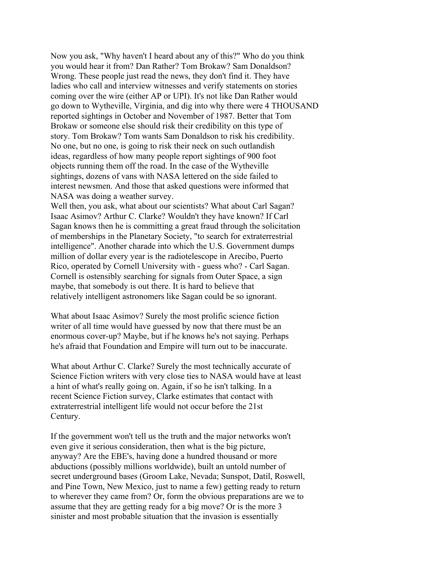Now you ask, "Why haven't I heard about any of this?" Who do you think you would hear it from? Dan Rather? Tom Brokaw? Sam Donaldson? Wrong. These people just read the news, they don't find it. They have ladies who call and interview witnesses and verify statements on stories coming over the wire (either AP or UPI). It's not like Dan Rather would go down to Wytheville, Virginia, and dig into why there were 4 THOUSAND reported sightings in October and November of 1987. Better that Tom Brokaw or someone else should risk their credibility on this type of story. Tom Brokaw? Tom wants Sam Donaldson to risk his credibility. No one, but no one, is going to risk their neck on such outlandish ideas, regardless of how many people report sightings of 900 foot objects running them off the road. In the case of the Wytheville sightings, dozens of vans with NASA lettered on the side failed to interest newsmen. And those that asked questions were informed that NASA was doing a weather survey.

Well then, you ask, what about our scientists? What about Carl Sagan? Isaac Asimov? Arthur C. Clarke? Wouldn't they have known? If Carl Sagan knows then he is committing a great fraud through the solicitation of memberships in the Planetary Society, "to search for extraterrestrial intelligence". Another charade into which the U.S. Government dumps million of dollar every year is the radiotelescope in Arecibo, Puerto Rico, operated by Cornell University with - guess who? - Carl Sagan. Cornell is ostensibly searching for signals from Outer Space, a sign maybe, that somebody is out there. It is hard to believe that relatively intelligent astronomers like Sagan could be so ignorant.

What about Isaac Asimov? Surely the most prolific science fiction writer of all time would have guessed by now that there must be an enormous cover-up? Maybe, but if he knows he's not saying. Perhaps he's afraid that Foundation and Empire will turn out to be inaccurate.

What about Arthur C. Clarke? Surely the most technically accurate of Science Fiction writers with very close ties to NASA would have at least a hint of what's really going on. Again, if so he isn't talking. In a recent Science Fiction survey, Clarke estimates that contact with extraterrestrial intelligent life would not occur before the 21st Century.

If the government won't tell us the truth and the major networks won't even give it serious consideration, then what is the big picture, anyway? Are the EBE's, having done a hundred thousand or more abductions (possibly millions worldwide), built an untold number of secret underground bases (Groom Lake, Nevada; Sunspot, Datil, Roswell, and Pine Town, New Mexico, just to name a few) getting ready to return to wherever they came from? Or, form the obvious preparations are we to assume that they are getting ready for a big move? Or is the more 3 sinister and most probable situation that the invasion is essentially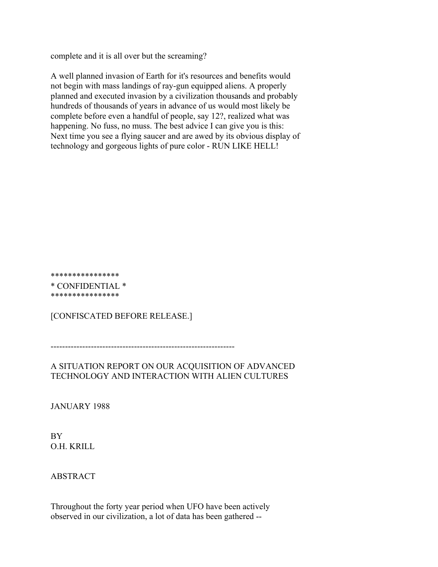complete and it is all over but the screaming?

A well planned invasion of Earth for it's resources and benefits would not begin with mass landings of ray-gun equipped aliens. A properly planned and executed invasion by a civilization thousands and probably hundreds of thousands of years in advance of us would most likely be complete before even a handful of people, say 12?, realized what was happening. No fuss, no muss. The best advice I can give you is this: Next time you see a flying saucer and are awed by its obvious display of technology and gorgeous lights of pure color - RUN LIKE HELL!

\*\*\*\*\*\*\*\*\*\*\*\*\*\*\*\* \* CONFIDENTIAL \* \*\*\*\*\*\*\*\*\*\*\*\*\*\*\*\*

[CONFISCATED BEFORE RELEASE.]

----------------------------------------------------------------

A SITUATION REPORT ON OUR ACQUISITION OF ADVANCED TECHNOLOGY AND INTERACTION WITH ALIEN CULTURES

JANUARY 1988

BY O.H. KRILL

ABSTRACT

Throughout the forty year period when UFO have been actively observed in our civilization, a lot of data has been gathered --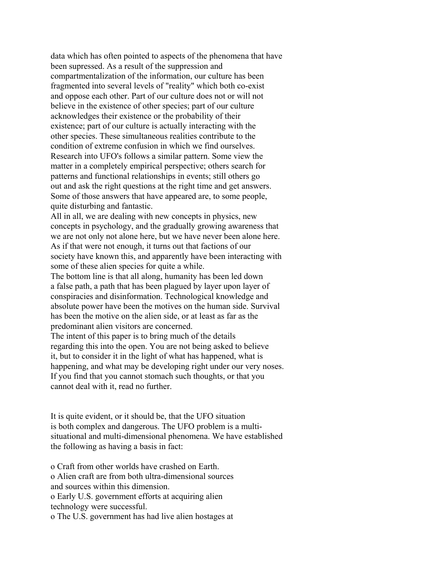data which has often pointed to aspects of the phenomena that have been supressed. As a result of the suppression and compartmentalization of the information, our culture has been fragmented into several levels of "reality" which both co-exist and oppose each other. Part of our culture does not or will not believe in the existence of other species; part of our culture acknowledges their existence or the probability of their existence; part of our culture is actually interacting with the other species. These simultaneous realities contribute to the condition of extreme confusion in which we find ourselves. Research into UFO's follows a similar pattern. Some view the matter in a completely empirical perspective; others search for patterns and functional relationships in events; still others go out and ask the right questions at the right time and get answers. Some of those answers that have appeared are, to some people, quite disturbing and fantastic.

All in all, we are dealing with new concepts in physics, new concepts in psychology, and the gradually growing awareness that we are not only not alone here, but we have never been alone here. As if that were not enough, it turns out that factions of our society have known this, and apparently have been interacting with some of these alien species for quite a while.

The bottom line is that all along, humanity has been led down a false path, a path that has been plagued by layer upon layer of conspiracies and disinformation. Technological knowledge and absolute power have been the motives on the human side. Survival has been the motive on the alien side, or at least as far as the predominant alien visitors are concerned.

The intent of this paper is to bring much of the details regarding this into the open. You are not being asked to believe it, but to consider it in the light of what has happened, what is happening, and what may be developing right under our very noses. If you find that you cannot stomach such thoughts, or that you cannot deal with it, read no further.

It is quite evident, or it should be, that the UFO situation is both complex and dangerous. The UFO problem is a multisituational and multi-dimensional phenomena. We have established the following as having a basis in fact:

o Craft from other worlds have crashed on Earth. o Alien craft are from both ultra-dimensional sources and sources within this dimension. o Early U.S. government efforts at acquiring alien technology were successful. o The U.S. government has had live alien hostages at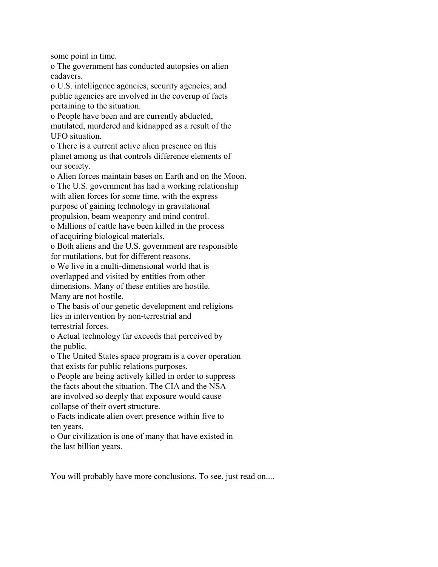some point in time.

o The government has conducted autopsies on alien cadavers.

o U.S. intelligence agencies, security agencies, and public agencies are involved in the coverup of facts pertaining to the situation.

o People have been and are currently abducted, mutilated, murdered and kidnapped as a result of the UFO situation.

o There is a current active alien presence on this planet among us that controls difference elements of our society.

o Alien forces maintain bases on Earth and on the Moon. o The U.S. government has had a working relationship

with alien forces for some time, with the express purpose of gaining technology in gravitational

propulsion, beam weaponry and mind control.

o Millions of cattle have been killed in the process of acquiring biological materials.

o Both aliens and the U.S. government are responsible for mutilations, but for different reasons.

o We live in a multi-dimensional world that is overlapped and visited by entities from other dimensions. Many of these entities are hostile. Many are not hostile.

o The basis of our genetic development and religions lies in intervention by non-terrestrial and terrestrial forces.

o Actual technology far exceeds that perceived by the public.

o The United States space program is a cover operation that exists for public relations purposes.

o People are being actively killed in order to suppress the facts about the situation. The CIA and the NSA are involved so deeply that exposure would cause collapse of their overt structure.

o Facts indicate alien overt presence within five to ten years.

o Our civilization is one of many that have existed in the last billion years.

You will probably have more conclusions. To see, just read on....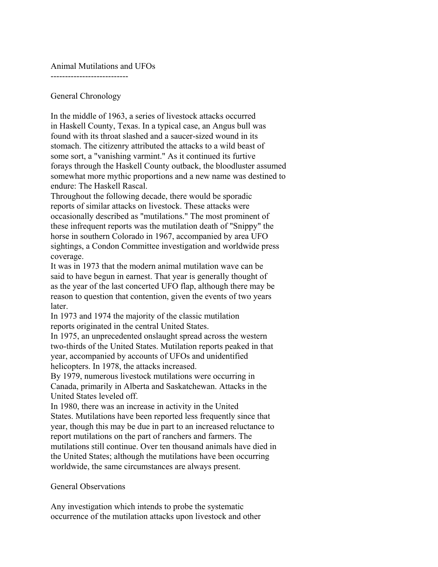# Animal Mutilations and UFOs

---------------------------

# General Chronology

In the middle of 1963, a series of livestock attacks occurred in Haskell County, Texas. In a typical case, an Angus bull was found with its throat slashed and a saucer-sized wound in its stomach. The citizenry attributed the attacks to a wild beast of some sort, a "vanishing varmint." As it continued its furtive forays through the Haskell County outback, the bloodluster assumed somewhat more mythic proportions and a new name was destined to endure: The Haskell Rascal.

Throughout the following decade, there would be sporadic reports of similar attacks on livestock. These attacks were occasionally described as "mutilations." The most prominent of these infrequent reports was the mutilation death of "Snippy" the horse in southern Colorado in 1967, accompanied by area UFO sightings, a Condon Committee investigation and worldwide press coverage.

It was in 1973 that the modern animal mutilation wave can be said to have begun in earnest. That year is generally thought of as the year of the last concerted UFO flap, although there may be reason to question that contention, given the events of two years later.

In 1973 and 1974 the majority of the classic mutilation reports originated in the central United States.

In 1975, an unprecedented onslaught spread across the western two-thirds of the United States. Mutilation reports peaked in that year, accompanied by accounts of UFOs and unidentified helicopters. In 1978, the attacks increased.

By 1979, numerous livestock mutilations were occurring in Canada, primarily in Alberta and Saskatchewan. Attacks in the United States leveled off.

In 1980, there was an increase in activity in the United States. Mutilations have been reported less frequently since that year, though this may be due in part to an increased reluctance to report mutilations on the part of ranchers and farmers. The mutilations still continue. Over ten thousand animals have died in the United States; although the mutilations have been occurring worldwide, the same circumstances are always present.

# General Observations

Any investigation which intends to probe the systematic occurrence of the mutilation attacks upon livestock and other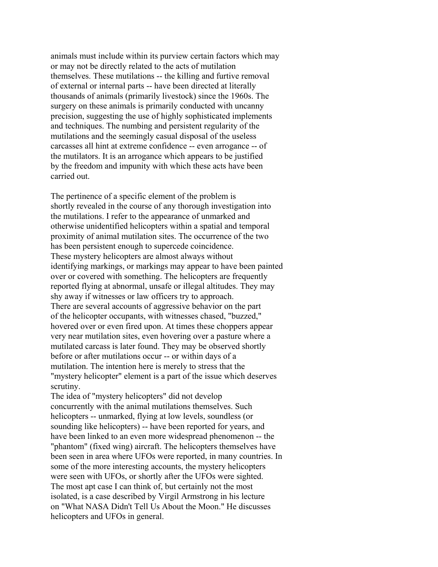animals must include within its purview certain factors which may or may not be directly related to the acts of mutilation themselves. These mutilations -- the killing and furtive removal of external or internal parts -- have been directed at literally thousands of animals (primarily livestock) since the 1960s. The surgery on these animals is primarily conducted with uncanny precision, suggesting the use of highly sophisticated implements and techniques. The numbing and persistent regularity of the mutilations and the seemingly casual disposal of the useless carcasses all hint at extreme confidence -- even arrogance -- of the mutilators. It is an arrogance which appears to be justified by the freedom and impunity with which these acts have been carried out.

The pertinence of a specific element of the problem is shortly revealed in the course of any thorough investigation into the mutilations. I refer to the appearance of unmarked and otherwise unidentified helicopters within a spatial and temporal proximity of animal mutilation sites. The occurrence of the two has been persistent enough to supercede coincidence. These mystery helicopters are almost always without identifying markings, or markings may appear to have been painted over or covered with something. The helicopters are frequently reported flying at abnormal, unsafe or illegal altitudes. They may shy away if witnesses or law officers try to approach. There are several accounts of aggressive behavior on the part of the helicopter occupants, with witnesses chased, "buzzed," hovered over or even fired upon. At times these choppers appear very near mutilation sites, even hovering over a pasture where a mutilated carcass is later found. They may be observed shortly before or after mutilations occur -- or within days of a mutilation. The intention here is merely to stress that the "mystery helicopter" element is a part of the issue which deserves scrutiny.

The idea of "mystery helicopters" did not develop concurrently with the animal mutilations themselves. Such helicopters -- unmarked, flying at low levels, soundless (or sounding like helicopters) -- have been reported for years, and have been linked to an even more widespread phenomenon -- the "phantom" (fixed wing) aircraft. The helicopters themselves have been seen in area where UFOs were reported, in many countries. In some of the more interesting accounts, the mystery helicopters were seen with UFOs, or shortly after the UFOs were sighted. The most apt case I can think of, but certainly not the most isolated, is a case described by Virgil Armstrong in his lecture on "What NASA Didn't Tell Us About the Moon." He discusses helicopters and UFOs in general.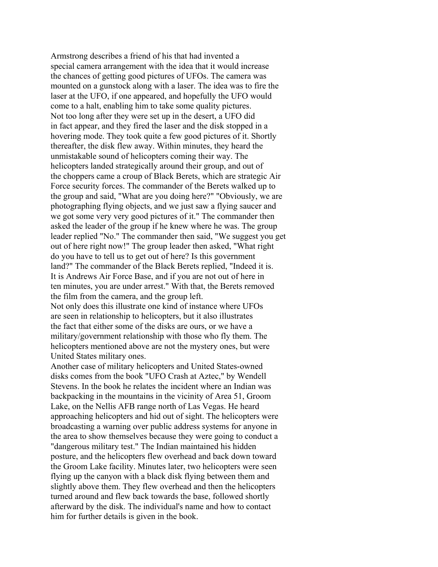Armstrong describes a friend of his that had invented a special camera arrangement with the idea that it would increase the chances of getting good pictures of UFOs. The camera was mounted on a gunstock along with a laser. The idea was to fire the laser at the UFO, if one appeared, and hopefully the UFO would come to a halt, enabling him to take some quality pictures. Not too long after they were set up in the desert, a UFO did in fact appear, and they fired the laser and the disk stopped in a hovering mode. They took quite a few good pictures of it. Shortly thereafter, the disk flew away. Within minutes, they heard the unmistakable sound of helicopters coming their way. The helicopters landed strategically around their group, and out of the choppers came a croup of Black Berets, which are strategic Air Force security forces. The commander of the Berets walked up to the group and said, "What are you doing here?" "Obviously, we are photographing flying objects, and we just saw a flying saucer and we got some very very good pictures of it." The commander then asked the leader of the group if he knew where he was. The group leader replied "No." The commander then said, "We suggest you get out of here right now!" The group leader then asked, "What right do you have to tell us to get out of here? Is this government land?" The commander of the Black Berets replied, "Indeed it is. It is Andrews Air Force Base, and if you are not out of here in ten minutes, you are under arrest." With that, the Berets removed the film from the camera, and the group left. Not only does this illustrate one kind of instance where UFOs

are seen in relationship to helicopters, but it also illustrates the fact that either some of the disks are ours, or we have a military/government relationship with those who fly them. The helicopters mentioned above are not the mystery ones, but were United States military ones.

Another case of military helicopters and United States-owned disks comes from the book "UFO Crash at Aztec," by Wendell Stevens. In the book he relates the incident where an Indian was backpacking in the mountains in the vicinity of Area 51, Groom Lake, on the Nellis AFB range north of Las Vegas. He heard approaching helicopters and hid out of sight. The helicopters were broadcasting a warning over public address systems for anyone in the area to show themselves because they were going to conduct a "dangerous military test." The Indian maintained his hidden posture, and the helicopters flew overhead and back down toward the Groom Lake facility. Minutes later, two helicopters were seen flying up the canyon with a black disk flying between them and slightly above them. They flew overhead and then the helicopters turned around and flew back towards the base, followed shortly afterward by the disk. The individual's name and how to contact him for further details is given in the book.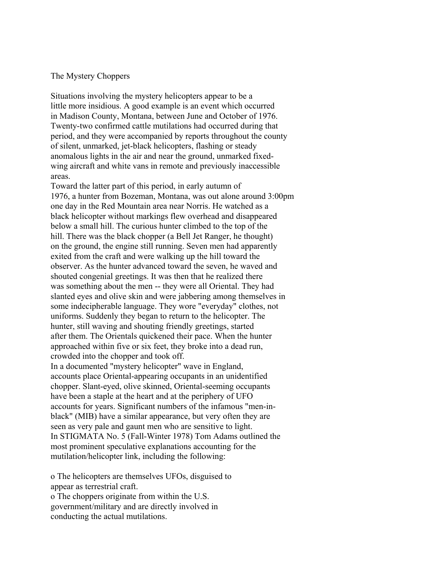## The Mystery Choppers

Situations involving the mystery helicopters appear to be a little more insidious. A good example is an event which occurred in Madison County, Montana, between June and October of 1976. Twenty-two confirmed cattle mutilations had occurred during that period, and they were accompanied by reports throughout the county of silent, unmarked, jet-black helicopters, flashing or steady anomalous lights in the air and near the ground, unmarked fixedwing aircraft and white vans in remote and previously inaccessible areas.

Toward the latter part of this period, in early autumn of 1976, a hunter from Bozeman, Montana, was out alone around 3:00pm one day in the Red Mountain area near Norris. He watched as a black helicopter without markings flew overhead and disappeared below a small hill. The curious hunter climbed to the top of the hill. There was the black chopper (a Bell Jet Ranger, he thought) on the ground, the engine still running. Seven men had apparently exited from the craft and were walking up the hill toward the observer. As the hunter advanced toward the seven, he waved and shouted congenial greetings. It was then that he realized there was something about the men -- they were all Oriental. They had slanted eyes and olive skin and were jabbering among themselves in some indecipherable language. They wore "everyday" clothes, not uniforms. Suddenly they began to return to the helicopter. The hunter, still waving and shouting friendly greetings, started after them. The Orientals quickened their pace. When the hunter approached within five or six feet, they broke into a dead run, crowded into the chopper and took off.

In a documented "mystery helicopter" wave in England, accounts place Oriental-appearing occupants in an unidentified chopper. Slant-eyed, olive skinned, Oriental-seeming occupants have been a staple at the heart and at the periphery of UFO accounts for years. Significant numbers of the infamous "men-inblack" (MIB) have a similar appearance, but very often they are seen as very pale and gaunt men who are sensitive to light. In STIGMATA No. 5 (Fall-Winter 1978) Tom Adams outlined the most prominent speculative explanations accounting for the mutilation/helicopter link, including the following:

o The helicopters are themselves UFOs, disguised to appear as terrestrial craft.

o The choppers originate from within the U.S. government/military and are directly involved in conducting the actual mutilations.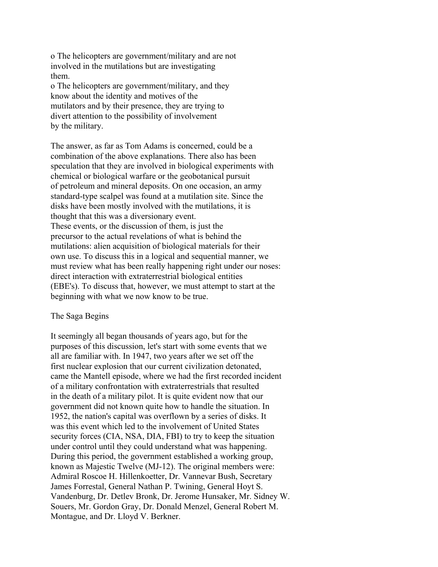o The helicopters are government/military and are not involved in the mutilations but are investigating them.

o The helicopters are government/military, and they know about the identity and motives of the mutilators and by their presence, they are trying to divert attention to the possibility of involvement by the military.

The answer, as far as Tom Adams is concerned, could be a combination of the above explanations. There also has been speculation that they are involved in biological experiments with chemical or biological warfare or the geobotanical pursuit of petroleum and mineral deposits. On one occasion, an army standard-type scalpel was found at a mutilation site. Since the disks have been mostly involved with the mutilations, it is thought that this was a diversionary event. These events, or the discussion of them, is just the precursor to the actual revelations of what is behind the mutilations: alien acquisition of biological materials for their own use. To discuss this in a logical and sequential manner, we must review what has been really happening right under our noses: direct interaction with extraterrestrial biological entities (EBE's). To discuss that, however, we must attempt to start at the beginning with what we now know to be true.

## The Saga Begins

It seemingly all began thousands of years ago, but for the purposes of this discussion, let's start with some events that we all are familiar with. In 1947, two years after we set off the first nuclear explosion that our current civilization detonated, came the Mantell episode, where we had the first recorded incident of a military confrontation with extraterrestrials that resulted in the death of a military pilot. It is quite evident now that our government did not known quite how to handle the situation. In 1952, the nation's capital was overflown by a series of disks. It was this event which led to the involvement of United States security forces (CIA, NSA, DIA, FBI) to try to keep the situation under control until they could understand what was happening. During this period, the government established a working group, known as Majestic Twelve (MJ-12). The original members were: Admiral Roscoe H. Hillenkoetter, Dr. Vannevar Bush, Secretary James Forrestal, General Nathan P. Twining, General Hoyt S. Vandenburg, Dr. Detlev Bronk, Dr. Jerome Hunsaker, Mr. Sidney W. Souers, Mr. Gordon Gray, Dr. Donald Menzel, General Robert M. Montague, and Dr. Lloyd V. Berkner.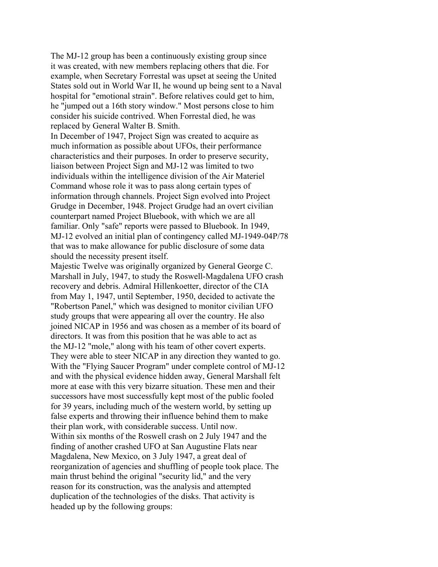The MJ-12 group has been a continuously existing group since it was created, with new members replacing others that die. For example, when Secretary Forrestal was upset at seeing the United States sold out in World War II, he wound up being sent to a Naval hospital for "emotional strain". Before relatives could get to him, he "jumped out a 16th story window." Most persons close to him consider his suicide contrived. When Forrestal died, he was replaced by General Walter B. Smith.

In December of 1947, Project Sign was created to acquire as much information as possible about UFOs, their performance characteristics and their purposes. In order to preserve security, liaison between Project Sign and MJ-12 was limited to two individuals within the intelligence division of the Air Materiel Command whose role it was to pass along certain types of information through channels. Project Sign evolved into Project Grudge in December, 1948. Project Grudge had an overt civilian counterpart named Project Bluebook, with which we are all familiar. Only "safe" reports were passed to Bluebook. In 1949, MJ-12 evolved an initial plan of contingency called MJ-1949-04P/78 that was to make allowance for public disclosure of some data should the necessity present itself.

Majestic Twelve was originally organized by General George C. Marshall in July, 1947, to study the Roswell-Magdalena UFO crash recovery and debris. Admiral Hillenkoetter, director of the CIA from May 1, 1947, until September, 1950, decided to activate the "Robertson Panel," which was designed to monitor civilian UFO study groups that were appearing all over the country. He also joined NICAP in 1956 and was chosen as a member of its board of directors. It was from this position that he was able to act as the MJ-12 "mole," along with his team of other covert experts. They were able to steer NICAP in any direction they wanted to go. With the "Flying Saucer Program" under complete control of MJ-12 and with the physical evidence hidden away, General Marshall felt more at ease with this very bizarre situation. These men and their successors have most successfully kept most of the public fooled for 39 years, including much of the western world, by setting up false experts and throwing their influence behind them to make their plan work, with considerable success. Until now. Within six months of the Roswell crash on 2 July 1947 and the finding of another crashed UFO at San Augustine Flats near Magdalena, New Mexico, on 3 July 1947, a great deal of reorganization of agencies and shuffling of people took place. The main thrust behind the original "security lid," and the very reason for its construction, was the analysis and attempted duplication of the technologies of the disks. That activity is headed up by the following groups: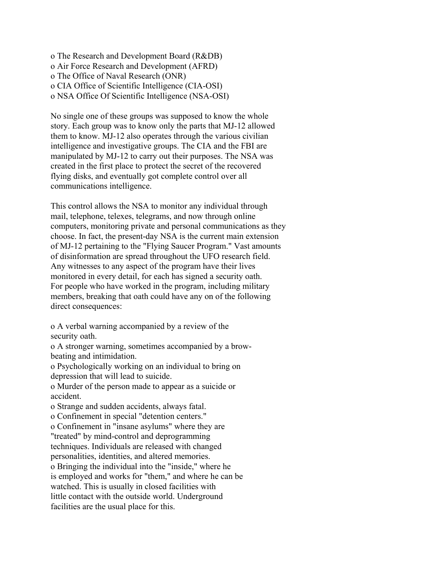o The Research and Development Board (R&DB) o Air Force Research and Development (AFRD) o The Office of Naval Research (ONR) o CIA Office of Scientific Intelligence (CIA-OSI) o NSA Office Of Scientific Intelligence (NSA-OSI)

No single one of these groups was supposed to know the whole story. Each group was to know only the parts that MJ-12 allowed them to know. MJ-12 also operates through the various civilian intelligence and investigative groups. The CIA and the FBI are manipulated by MJ-12 to carry out their purposes. The NSA was created in the first place to protect the secret of the recovered flying disks, and eventually got complete control over all communications intelligence.

This control allows the NSA to monitor any individual through mail, telephone, telexes, telegrams, and now through online computers, monitoring private and personal communications as they choose. In fact, the present-day NSA is the current main extension of MJ-12 pertaining to the "Flying Saucer Program." Vast amounts of disinformation are spread throughout the UFO research field. Any witnesses to any aspect of the program have their lives monitored in every detail, for each has signed a security oath. For people who have worked in the program, including military members, breaking that oath could have any on of the following direct consequences:

o A verbal warning accompanied by a review of the security oath.

o A stronger warning, sometimes accompanied by a browbeating and intimidation.

o Psychologically working on an individual to bring on depression that will lead to suicide.

o Murder of the person made to appear as a suicide or accident.

o Strange and sudden accidents, always fatal.

o Confinement in special "detention centers." o Confinement in "insane asylums" where they are "treated" by mind-control and deprogramming techniques. Individuals are released with changed personalities, identities, and altered memories. o Bringing the individual into the "inside," where he is employed and works for "them," and where he can be watched. This is usually in closed facilities with little contact with the outside world. Underground facilities are the usual place for this.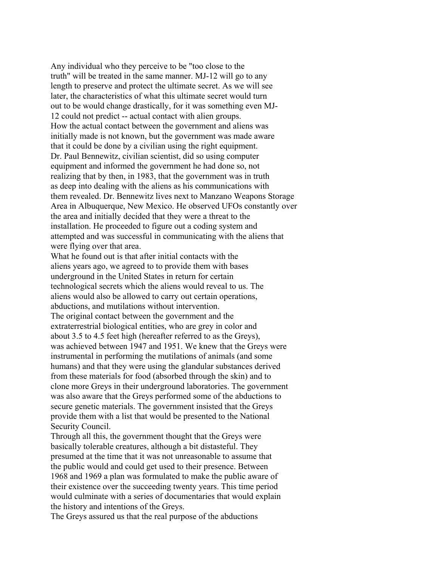Any individual who they perceive to be "too close to the truth" will be treated in the same manner. MJ-12 will go to any length to preserve and protect the ultimate secret. As we will see later, the characteristics of what this ultimate secret would turn out to be would change drastically, for it was something even MJ-12 could not predict -- actual contact with alien groups. How the actual contact between the government and aliens was initially made is not known, but the government was made aware that it could be done by a civilian using the right equipment. Dr. Paul Bennewitz, civilian scientist, did so using computer equipment and informed the government he had done so, not realizing that by then, in 1983, that the government was in truth as deep into dealing with the aliens as his communications with them revealed. Dr. Bennewitz lives next to Manzano Weapons Storage Area in Albuquerque, New Mexico. He observed UFOs constantly over the area and initially decided that they were a threat to the installation. He proceeded to figure out a coding system and attempted and was successful in communicating with the aliens that were flying over that area.

What he found out is that after initial contacts with the aliens years ago, we agreed to to provide them with bases underground in the United States in return for certain technological secrets which the aliens would reveal to us. The aliens would also be allowed to carry out certain operations, abductions, and mutilations without intervention. The original contact between the government and the extraterrestrial biological entities, who are grey in color and about 3.5 to 4.5 feet high (hereafter referred to as the Greys), was achieved between 1947 and 1951. We knew that the Greys were instrumental in performing the mutilations of animals (and some humans) and that they were using the glandular substances derived from these materials for food (absorbed through the skin) and to clone more Greys in their underground laboratories. The government was also aware that the Greys performed some of the abductions to secure genetic materials. The government insisted that the Greys provide them with a list that would be presented to the National Security Council.

Through all this, the government thought that the Greys were basically tolerable creatures, although a bit distasteful. They presumed at the time that it was not unreasonable to assume that the public would and could get used to their presence. Between 1968 and 1969 a plan was formulated to make the public aware of their existence over the succeeding twenty years. This time period would culminate with a series of documentaries that would explain the history and intentions of the Greys.

The Greys assured us that the real purpose of the abductions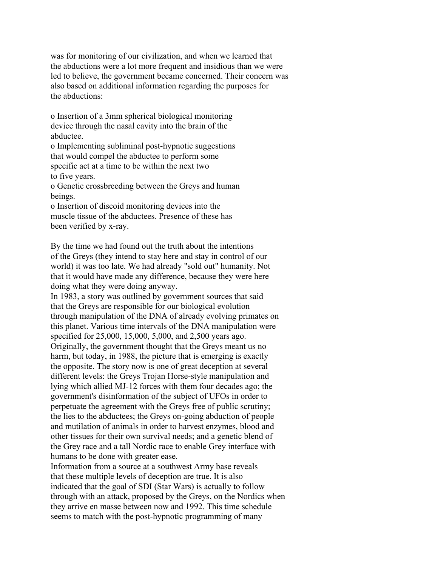was for monitoring of our civilization, and when we learned that the abductions were a lot more frequent and insidious than we were led to believe, the government became concerned. Their concern was also based on additional information regarding the purposes for the abductions:

o Insertion of a 3mm spherical biological monitoring device through the nasal cavity into the brain of the abductee.

o Implementing subliminal post-hypnotic suggestions that would compel the abductee to perform some specific act at a time to be within the next two to five years.

o Genetic crossbreeding between the Greys and human beings.

o Insertion of discoid monitoring devices into the muscle tissue of the abductees. Presence of these has been verified by x-ray.

By the time we had found out the truth about the intentions of the Greys (they intend to stay here and stay in control of our world) it was too late. We had already "sold out" humanity. Not that it would have made any difference, because they were here doing what they were doing anyway.

In 1983, a story was outlined by government sources that said that the Greys are responsible for our biological evolution through manipulation of the DNA of already evolving primates on this planet. Various time intervals of the DNA manipulation were specified for 25,000, 15,000, 5,000, and 2,500 years ago. Originally, the government thought that the Greys meant us no harm, but today, in 1988, the picture that is emerging is exactly the opposite. The story now is one of great deception at several different levels: the Greys Trojan Horse-style manipulation and lying which allied MJ-12 forces with them four decades ago; the government's disinformation of the subject of UFOs in order to perpetuate the agreement with the Greys free of public scrutiny; the lies to the abductees; the Greys on-going abduction of people and mutilation of animals in order to harvest enzymes, blood and other tissues for their own survival needs; and a genetic blend of the Grey race and a tall Nordic race to enable Grey interface with humans to be done with greater ease.

Information from a source at a southwest Army base reveals that these multiple levels of deception are true. It is also indicated that the goal of SDI (Star Wars) is actually to follow through with an attack, proposed by the Greys, on the Nordics when they arrive en masse between now and 1992. This time schedule seems to match with the post-hypnotic programming of many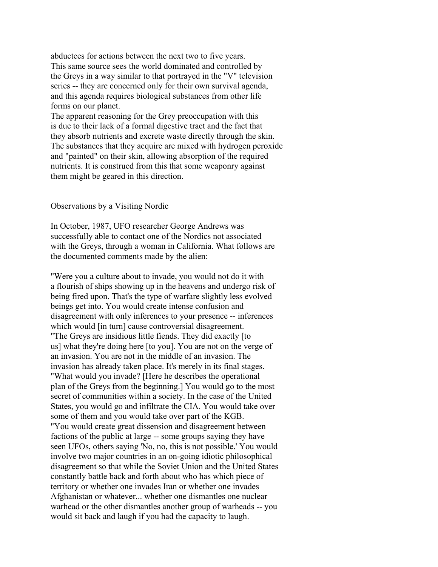abductees for actions between the next two to five years. This same source sees the world dominated and controlled by the Greys in a way similar to that portrayed in the "V" television series -- they are concerned only for their own survival agenda, and this agenda requires biological substances from other life forms on our planet.

The apparent reasoning for the Grey preoccupation with this is due to their lack of a formal digestive tract and the fact that they absorb nutrients and excrete waste directly through the skin. The substances that they acquire are mixed with hydrogen peroxide and "painted" on their skin, allowing absorption of the required nutrients. It is construed from this that some weaponry against them might be geared in this direction.

### Observations by a Visiting Nordic

In October, 1987, UFO researcher George Andrews was successfully able to contact one of the Nordics not associated with the Greys, through a woman in California. What follows are the documented comments made by the alien:

"Were you a culture about to invade, you would not do it with a flourish of ships showing up in the heavens and undergo risk of being fired upon. That's the type of warfare slightly less evolved beings get into. You would create intense confusion and disagreement with only inferences to your presence -- inferences which would [in turn] cause controversial disagreement. "The Greys are insidious little fiends. They did exactly [to us] what they're doing here [to you]. You are not on the verge of an invasion. You are not in the middle of an invasion. The invasion has already taken place. It's merely in its final stages. "What would you invade? [Here he describes the operational plan of the Greys from the beginning.] You would go to the most secret of communities within a society. In the case of the United States, you would go and infiltrate the CIA. You would take over some of them and you would take over part of the KGB. "You would create great dissension and disagreement between factions of the public at large -- some groups saying they have seen UFOs, others saying 'No, no, this is not possible.' You would involve two major countries in an on-going idiotic philosophical disagreement so that while the Soviet Union and the United States constantly battle back and forth about who has which piece of territory or whether one invades Iran or whether one invades Afghanistan or whatever... whether one dismantles one nuclear warhead or the other dismantles another group of warheads -- you would sit back and laugh if you had the capacity to laugh.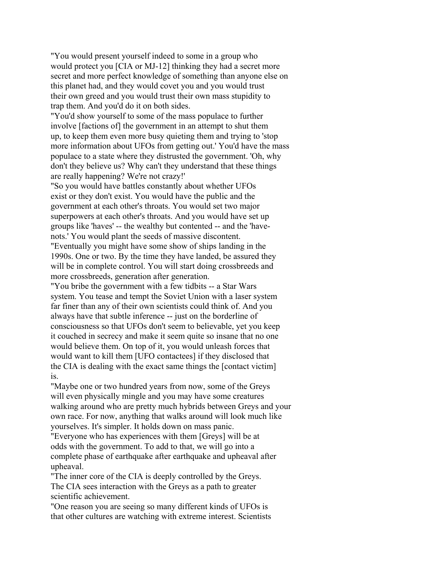"You would present yourself indeed to some in a group who would protect you [CIA or MJ-12] thinking they had a secret more secret and more perfect knowledge of something than anyone else on this planet had, and they would covet you and you would trust their own greed and you would trust their own mass stupidity to trap them. And you'd do it on both sides.

"You'd show yourself to some of the mass populace to further involve [factions of] the government in an attempt to shut them up, to keep them even more busy quieting them and trying to 'stop more information about UFOs from getting out.' You'd have the mass populace to a state where they distrusted the government. 'Oh, why don't they believe us? Why can't they understand that these things are really happening? We're not crazy!'

"So you would have battles constantly about whether UFOs exist or they don't exist. You would have the public and the government at each other's throats. You would set two major superpowers at each other's throats. And you would have set up groups like 'haves' -- the wealthy but contented -- and the 'havenots.' You would plant the seeds of massive discontent.

"Eventually you might have some show of ships landing in the 1990s. One or two. By the time they have landed, be assured they will be in complete control. You will start doing crossbreeds and more crossbreeds, generation after generation.

"You bribe the government with a few tidbits -- a Star Wars system. You tease and tempt the Soviet Union with a laser system far finer than any of their own scientists could think of. And you always have that subtle inference -- just on the borderline of consciousness so that UFOs don't seem to believable, yet you keep it couched in secrecy and make it seem quite so insane that no one would believe them. On top of it, you would unleash forces that would want to kill them [UFO contactees] if they disclosed that the CIA is dealing with the exact same things the [contact victim] is.

"Maybe one or two hundred years from now, some of the Greys will even physically mingle and you may have some creatures walking around who are pretty much hybrids between Greys and your own race. For now, anything that walks around will look much like yourselves. It's simpler. It holds down on mass panic.

"Everyone who has experiences with them [Greys] will be at odds with the government. To add to that, we will go into a complete phase of earthquake after earthquake and upheaval after upheaval.

"The inner core of the CIA is deeply controlled by the Greys. The CIA sees interaction with the Greys as a path to greater scientific achievement.

"One reason you are seeing so many different kinds of UFOs is that other cultures are watching with extreme interest. Scientists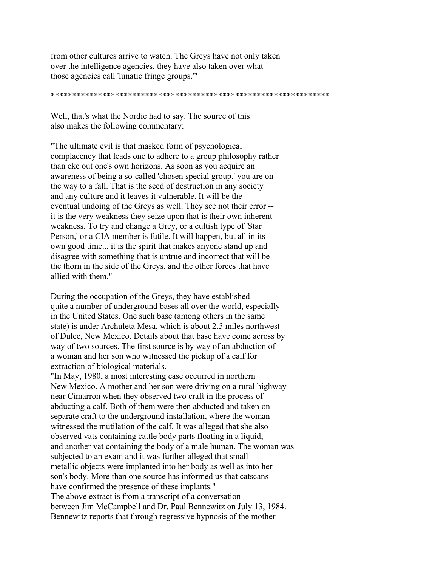from other cultures arrive to watch. The Greys have not only taken over the intelligence agencies, they have also taken over what those agencies call 'lunatic fringe groups.'"

#### \*\*\*\*\*\*\*\*\*\*\*\*\*\*\*\*\*\*\*\*\*\*\*\*\*\*\*\*\*\*\*\*\*\*\*\*\*\*\*\*\*\*\*\*\*\*\*\*\*\*\*\*\*\*\*\*\*\*\*\*\*\*\*\*\*

Well, that's what the Nordic had to say. The source of this also makes the following commentary:

"The ultimate evil is that masked form of psychological complacency that leads one to adhere to a group philosophy rather than eke out one's own horizons. As soon as you acquire an awareness of being a so-called 'chosen special group,' you are on the way to a fall. That is the seed of destruction in any society and any culture and it leaves it vulnerable. It will be the eventual undoing of the Greys as well. They see not their error - it is the very weakness they seize upon that is their own inherent weakness. To try and change a Grey, or a cultish type of 'Star Person,' or a CIA member is futile. It will happen, but all in its own good time... it is the spirit that makes anyone stand up and disagree with something that is untrue and incorrect that will be the thorn in the side of the Greys, and the other forces that have allied with them."

During the occupation of the Greys, they have established quite a number of underground bases all over the world, especially in the United States. One such base (among others in the same state) is under Archuleta Mesa, which is about 2.5 miles northwest of Dulce, New Mexico. Details about that base have come across by way of two sources. The first source is by way of an abduction of a woman and her son who witnessed the pickup of a calf for extraction of biological materials.

"In May, 1980, a most interesting case occurred in northern New Mexico. A mother and her son were driving on a rural highway near Cimarron when they observed two craft in the process of abducting a calf. Both of them were then abducted and taken on separate craft to the underground installation, where the woman witnessed the mutilation of the calf. It was alleged that she also observed vats containing cattle body parts floating in a liquid, and another vat containing the body of a male human. The woman was subjected to an exam and it was further alleged that small metallic objects were implanted into her body as well as into her son's body. More than one source has informed us that catscans have confirmed the presence of these implants." The above extract is from a transcript of a conversation between Jim McCampbell and Dr. Paul Bennewitz on July 13, 1984. Bennewitz reports that through regressive hypnosis of the mother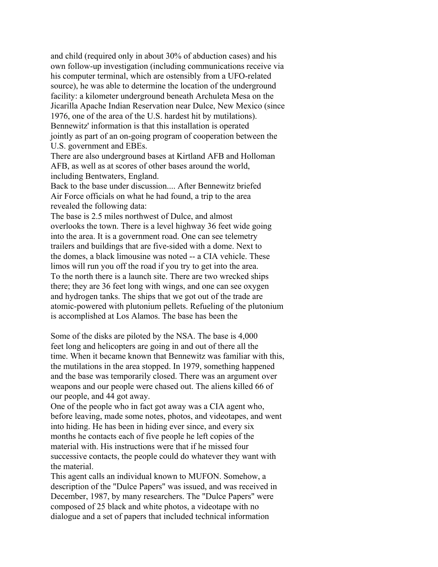and child (required only in about 30% of abduction cases) and his own follow-up investigation (including communications receive via his computer terminal, which are ostensibly from a UFO-related source), he was able to determine the location of the underground facility: a kilometer underground beneath Archuleta Mesa on the Jicarilla Apache Indian Reservation near Dulce, New Mexico (since 1976, one of the area of the U.S. hardest hit by mutilations). Bennewitz' information is that this installation is operated jointly as part of an on-going program of cooperation between the U.S. government and EBEs.

There are also underground bases at Kirtland AFB and Holloman AFB, as well as at scores of other bases around the world, including Bentwaters, England.

Back to the base under discussion.... After Bennewitz briefed Air Force officials on what he had found, a trip to the area revealed the following data:

The base is 2.5 miles northwest of Dulce, and almost overlooks the town. There is a level highway 36 feet wide going into the area. It is a government road. One can see telemetry trailers and buildings that are five-sided with a dome. Next to the domes, a black limousine was noted -- a CIA vehicle. These limos will run you off the road if you try to get into the area. To the north there is a launch site. There are two wrecked ships there; they are 36 feet long with wings, and one can see oxygen and hydrogen tanks. The ships that we got out of the trade are atomic-powered with plutonium pellets. Refueling of the plutonium is accomplished at Los Alamos. The base has been the

Some of the disks are piloted by the NSA. The base is 4,000 feet long and helicopters are going in and out of there all the time. When it became known that Bennewitz was familiar with this, the mutilations in the area stopped. In 1979, something happened and the base was temporarily closed. There was an argument over weapons and our people were chased out. The aliens killed 66 of our people, and 44 got away.

One of the people who in fact got away was a CIA agent who, before leaving, made some notes, photos, and videotapes, and went into hiding. He has been in hiding ever since, and every six months he contacts each of five people he left copies of the material with. His instructions were that if he missed four successive contacts, the people could do whatever they want with the material.

This agent calls an individual known to MUFON. Somehow, a description of the "Dulce Papers" was issued, and was received in December, 1987, by many researchers. The "Dulce Papers" were composed of 25 black and white photos, a videotape with no dialogue and a set of papers that included technical information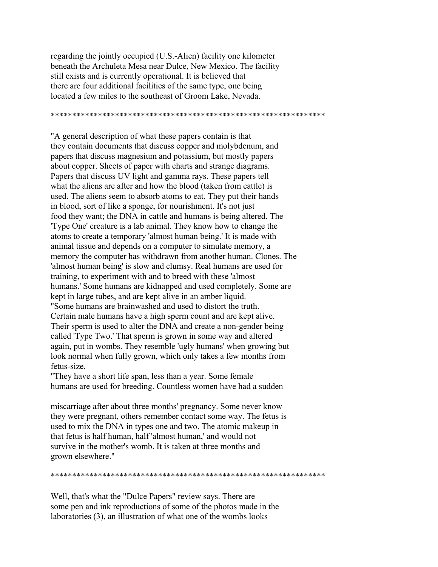regarding the jointly occupied (U.S.-Alien) facility one kilometer beneath the Archuleta Mesa near Dulce, New Mexico. The facility still exists and is currently operational. It is believed that there are four additional facilities of the same type, one being located a few miles to the southeast of Groom Lake, Nevada.

### \*\*\*\*\*\*\*\*\*\*\*\*\*\*\*\*\*\*\*\*\*\*\*\*\*\*\*\*\*\*\*\*\*\*\*\*\*\*\*\*\*\*\*\*\*\*\*\*\*\*\*\*\*\*\*\*\*\*\*\*\*\*\*\*

"A general description of what these papers contain is that they contain documents that discuss copper and molybdenum, and papers that discuss magnesium and potassium, but mostly papers about copper. Sheets of paper with charts and strange diagrams. Papers that discuss UV light and gamma rays. These papers tell what the aliens are after and how the blood (taken from cattle) is used. The aliens seem to absorb atoms to eat. They put their hands in blood, sort of like a sponge, for nourishment. It's not just food they want; the DNA in cattle and humans is being altered. The 'Type One' creature is a lab animal. They know how to change the atoms to create a temporary 'almost human being.' It is made with animal tissue and depends on a computer to simulate memory, a memory the computer has withdrawn from another human. Clones. The 'almost human being' is slow and clumsy. Real humans are used for training, to experiment with and to breed with these 'almost humans.' Some humans are kidnapped and used completely. Some are kept in large tubes, and are kept alive in an amber liquid. "Some humans are brainwashed and used to distort the truth. Certain male humans have a high sperm count and are kept alive. Their sperm is used to alter the DNA and create a non-gender being called 'Type Two.' That sperm is grown in some way and altered again, put in wombs. They resemble 'ugly humans' when growing but look normal when fully grown, which only takes a few months from fetus-size.

"They have a short life span, less than a year. Some female humans are used for breeding. Countless women have had a sudden

miscarriage after about three months' pregnancy. Some never know they were pregnant, others remember contact some way. The fetus is used to mix the DNA in types one and two. The atomic makeup in that fetus is half human, half 'almost human,' and would not survive in the mother's womb. It is taken at three months and grown elsewhere."

\*\*\*\*\*\*\*\*\*\*\*\*\*\*\*\*\*\*\*\*\*\*\*\*\*\*\*\*\*\*\*\*\*\*\*\*\*\*\*\*\*\*\*\*\*\*\*\*\*\*\*\*\*\*\*\*\*\*\*\*\*\*\*\*

Well, that's what the "Dulce Papers" review says. There are some pen and ink reproductions of some of the photos made in the laboratories (3), an illustration of what one of the wombs looks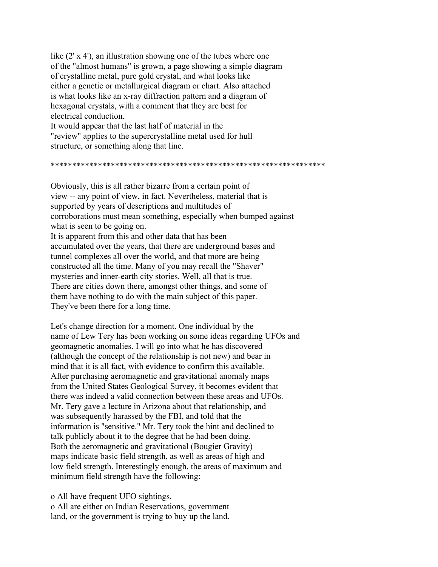like (2' x 4'), an illustration showing one of the tubes where one of the "almost humans" is grown, a page showing a simple diagram of crystalline metal, pure gold crystal, and what looks like either a genetic or metallurgical diagram or chart. Also attached is what looks like an x-ray diffraction pattern and a diagram of hexagonal crystals, with a comment that they are best for electrical conduction.

It would appear that the last half of material in the "review" applies to the supercrystalline metal used for hull structure, or something along that line.

### \*\*\*\*\*\*\*\*\*\*\*\*\*\*\*\*\*\*\*\*\*\*\*\*\*\*\*\*\*\*\*\*\*\*\*\*\*\*\*\*\*\*\*\*\*\*\*\*\*\*\*\*\*\*\*\*\*\*\*\*\*\*\*\*

Obviously, this is all rather bizarre from a certain point of view -- any point of view, in fact. Nevertheless, material that is supported by years of descriptions and multitudes of corroborations must mean something, especially when bumped against what is seen to be going on. It is apparent from this and other data that has been accumulated over the years, that there are underground bases and tunnel complexes all over the world, and that more are being constructed all the time. Many of you may recall the "Shaver" mysteries and inner-earth city stories. Well, all that is true. There are cities down there, amongst other things, and some of them have nothing to do with the main subject of this paper. They've been there for a long time.

Let's change direction for a moment. One individual by the name of Lew Tery has been working on some ideas regarding UFOs and geomagnetic anomalies. I will go into what he has discovered (although the concept of the relationship is not new) and bear in mind that it is all fact, with evidence to confirm this available. After purchasing aeromagnetic and gravitational anomaly maps from the United States Geological Survey, it becomes evident that there was indeed a valid connection between these areas and UFOs. Mr. Tery gave a lecture in Arizona about that relationship, and was subsequently harassed by the FBI, and told that the information is "sensitive." Mr. Tery took the hint and declined to talk publicly about it to the degree that he had been doing. Both the aeromagnetic and gravitational (Bougier Gravity) maps indicate basic field strength, as well as areas of high and low field strength. Interestingly enough, the areas of maximum and minimum field strength have the following:

o All have frequent UFO sightings. o All are either on Indian Reservations, government land, or the government is trying to buy up the land.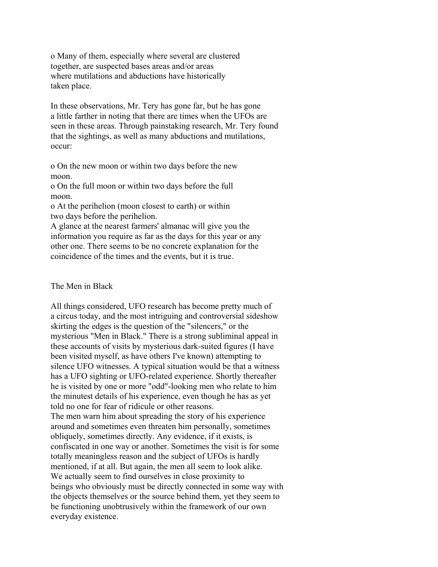o Many of them, especially where several are clustered together, are suspected bases areas and/or areas where mutilations and abductions have historically taken place.

In these observations, Mr. Tery has gone far, but he has gone a little farther in noting that there are times when the UFOs are seen in these areas. Through painstaking research, Mr. Tery found that the sightings, as well as many abductions and mutilations, occur:

o On the new moon or within two days before the new moon.

o On the full moon or within two days before the full moon.

o At the perihelion (moon closest to earth) or within two days before the perihelion.

A glance at the nearest farmers' almanac will give you the information you require as far as the days for this year or any other one. There seems to be no concrete explanation for the coincidence of the times and the events, but it is true.

The Men in Black

All things considered, UFO research has become pretty much of a circus today, and the most intriguing and controversial sideshow skirting the edges is the question of the "silencers," or the mysterious "Men in Black." There is a strong subliminal appeal in these accounts of visits by mysterious dark-suited figures (I have been visited myself, as have others I've known) attempting to silence UFO witnesses. A typical situation would be that a witness has a UFO sighting or UFO-related experience. Shortly thereafter he is visited by one or more "odd"-looking men who relate to him the minutest details of his experience, even though he has as yet told no one for fear of ridicule or other reasons.

The men warn him about spreading the story of his experience around and sometimes even threaten him personally, sometimes obliquely, sometimes directly. Any evidence, if it exists, is confiscated in one way or another. Sometimes the visit is for some totally meaningless reason and the subject of UFOs is hardly mentioned, if at all. But again, the men all seem to look alike. We actually seem to find ourselves in close proximity to beings who obviously must be directly connected in some way with the objects themselves or the source behind them, yet they seem to be functioning unobtrusively within the framework of our own everyday existence.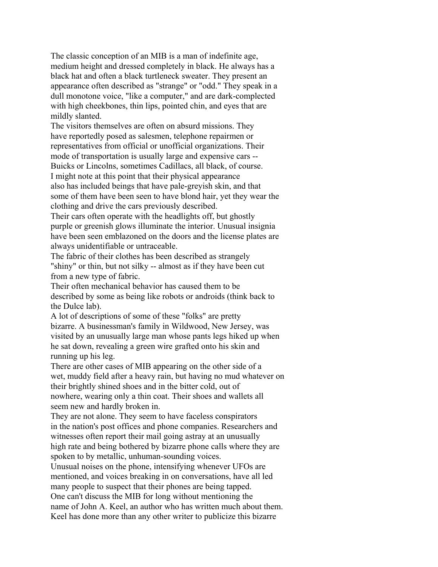The classic conception of an MIB is a man of indefinite age, medium height and dressed completely in black. He always has a black hat and often a black turtleneck sweater. They present an appearance often described as "strange" or "odd." They speak in a dull monotone voice, "like a computer," and are dark-complected with high cheekbones, thin lips, pointed chin, and eyes that are mildly slanted.

The visitors themselves are often on absurd missions. They have reportedly posed as salesmen, telephone repairmen or representatives from official or unofficial organizations. Their mode of transportation is usually large and expensive cars -- Buicks or Lincolns, sometimes Cadillacs, all black, of course. I might note at this point that their physical appearance also has included beings that have pale-greyish skin, and that some of them have been seen to have blond hair, yet they wear the clothing and drive the cars previously described.

Their cars often operate with the headlights off, but ghostly purple or greenish glows illuminate the interior. Unusual insignia have been seen emblazoned on the doors and the license plates are always unidentifiable or untraceable.

The fabric of their clothes has been described as strangely "shiny" or thin, but not silky -- almost as if they have been cut from a new type of fabric.

Their often mechanical behavior has caused them to be described by some as being like robots or androids (think back to the Dulce lab).

A lot of descriptions of some of these "folks" are pretty bizarre. A businessman's family in Wildwood, New Jersey, was visited by an unusually large man whose pants legs hiked up when he sat down, revealing a green wire grafted onto his skin and running up his leg.

There are other cases of MIB appearing on the other side of a wet, muddy field after a heavy rain, but having no mud whatever on their brightly shined shoes and in the bitter cold, out of nowhere, wearing only a thin coat. Their shoes and wallets all seem new and hardly broken in.

They are not alone. They seem to have faceless conspirators in the nation's post offices and phone companies. Researchers and witnesses often report their mail going astray at an unusually high rate and being bothered by bizarre phone calls where they are spoken to by metallic, unhuman-sounding voices.

Unusual noises on the phone, intensifying whenever UFOs are mentioned, and voices breaking in on conversations, have all led many people to suspect that their phones are being tapped. One can't discuss the MIB for long without mentioning the name of John A. Keel, an author who has written much about them. Keel has done more than any other writer to publicize this bizarre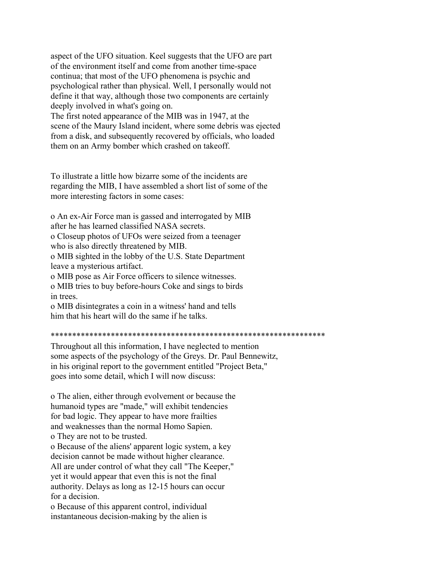aspect of the UFO situation. Keel suggests that the UFO are part of the environment itself and come from another time-space continua; that most of the UFO phenomena is psychic and psychological rather than physical. Well, I personally would not define it that way, although those two components are certainly deeply involved in what's going on.

The first noted appearance of the MIB was in 1947, at the scene of the Maury Island incident, where some debris was ejected from a disk, and subsequently recovered by officials, who loaded them on an Army bomber which crashed on takeoff.

To illustrate a little how bizarre some of the incidents are regarding the MIB, I have assembled a short list of some of the more interesting factors in some cases:

o An ex-Air Force man is gassed and interrogated by MIB after he has learned classified NASA secrets.

o Closeup photos of UFOs were seized from a teenager

who is also directly threatened by MIB.

o MIB sighted in the lobby of the U.S. State Department leave a mysterious artifact.

o MIB pose as Air Force officers to silence witnesses. o MIB tries to buy before-hours Coke and sings to birds in trees.

o MIB disintegrates a coin in a witness' hand and tells him that his heart will do the same if he talks.

\*\*\*\*\*\*\*\*\*\*\*\*\*\*\*\*\*\*\*\*\*\*\*\*\*\*\*\*\*\*\*\*\*\*\*\*\*\*\*\*\*\*\*\*\*\*\*\*\*\*\*\*\*\*\*\*\*\*\*\*\*\*\*\*

Throughout all this information, I have neglected to mention some aspects of the psychology of the Greys. Dr. Paul Bennewitz, in his original report to the government entitled "Project Beta," goes into some detail, which I will now discuss:

o The alien, either through evolvement or because the humanoid types are "made," will exhibit tendencies for bad logic. They appear to have more frailties and weaknesses than the normal Homo Sapien. o They are not to be trusted.

o Because of the aliens' apparent logic system, a key decision cannot be made without higher clearance. All are under control of what they call "The Keeper," yet it would appear that even this is not the final authority. Delays as long as 12-15 hours can occur for a decision.

o Because of this apparent control, individual instantaneous decision-making by the alien is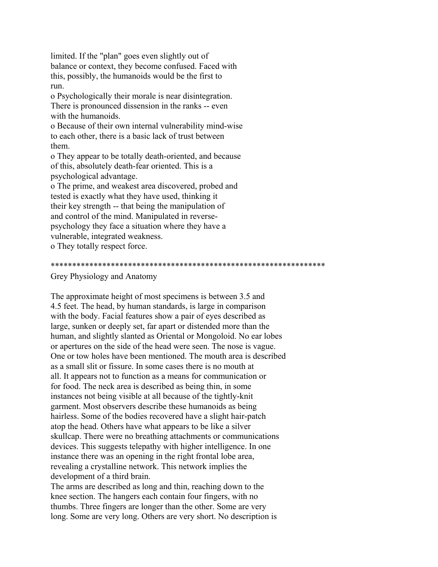limited. If the "plan" goes even slightly out of balance or context, they become confused. Faced with this, possibly, the humanoids would be the first to run.

o Psychologically their morale is near disintegration. There is pronounced dissension in the ranks -- even with the humanoids.

o Because of their own internal vulnerability mind-wise to each other, there is a basic lack of trust between them.

o They appear to be totally death-oriented, and because of this, absolutely death-fear oriented. This is a psychological advantage.

o The prime, and weakest area discovered, probed and tested is exactly what they have used, thinking it their key strength -- that being the manipulation of and control of the mind. Manipulated in reversepsychology they face a situation where they have a vulnerable, integrated weakness.

o They totally respect force.

### \*\*\*\*\*\*\*\*\*\*\*\*\*\*\*\*\*\*\*\*\*\*\*\*\*\*\*\*\*\*\*\*\*\*\*\*\*\*\*\*\*\*\*\*\*\*\*\*\*\*\*\*\*\*\*\*\*\*\*\*\*\*\*\*

Grey Physiology and Anatomy

The approximate height of most specimens is between 3.5 and 4.5 feet. The head, by human standards, is large in comparison with the body. Facial features show a pair of eyes described as large, sunken or deeply set, far apart or distended more than the human, and slightly slanted as Oriental or Mongoloid. No ear lobes or apertures on the side of the head were seen. The nose is vague. One or tow holes have been mentioned. The mouth area is described as a small slit or fissure. In some cases there is no mouth at all. It appears not to function as a means for communication or for food. The neck area is described as being thin, in some instances not being visible at all because of the tightly-knit garment. Most observers describe these humanoids as being hairless. Some of the bodies recovered have a slight hair-patch atop the head. Others have what appears to be like a silver skullcap. There were no breathing attachments or communications devices. This suggests telepathy with higher intelligence. In one instance there was an opening in the right frontal lobe area, revealing a crystalline network. This network implies the development of a third brain.

The arms are described as long and thin, reaching down to the knee section. The hangers each contain four fingers, with no thumbs. Three fingers are longer than the other. Some are very long. Some are very long. Others are very short. No description is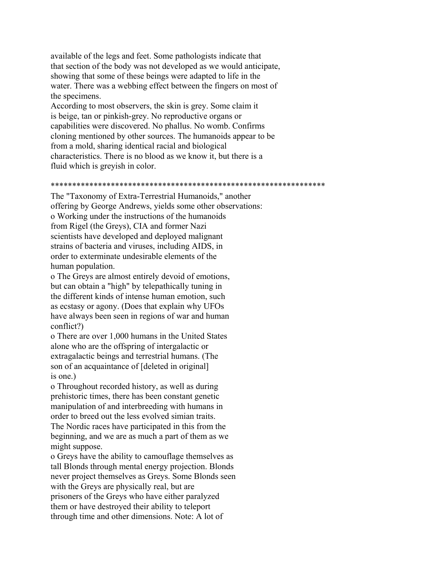available of the legs and feet. Some pathologists indicate that that section of the body was not developed as we would anticipate, showing that some of these beings were adapted to life in the water. There was a webbing effect between the fingers on most of the specimens.

According to most observers, the skin is grey. Some claim it is beige, tan or pinkish-grey. No reproductive organs or capabilities were discovered. No phallus. No womb. Confirms cloning mentioned by other sources. The humanoids appear to be from a mold, sharing identical racial and biological characteristics. There is no blood as we know it, but there is a fluid which is greyish in color.

### \*\*\*\*\*\*\*\*\*\*\*\*\*\*\*\*\*\*\*\*\*\*\*\*\*\*\*\*\*\*\*\*\*\*\*\*\*\*\*\*\*\*\*\*\*\*\*\*\*\*\*\*\*\*\*\*\*\*\*\*\*\*\*\*

The "Taxonomy of Extra-Terrestrial Humanoids," another offering by George Andrews, yields some other observations: o Working under the instructions of the humanoids from Rigel (the Greys), CIA and former Nazi scientists have developed and deployed malignant strains of bacteria and viruses, including AIDS, in order to exterminate undesirable elements of the human population.

o The Greys are almost entirely devoid of emotions, but can obtain a "high" by telepathically tuning in the different kinds of intense human emotion, such as ecstasy or agony. (Does that explain why UFOs have always been seen in regions of war and human conflict?)

o There are over 1,000 humans in the United States alone who are the offspring of intergalactic or extragalactic beings and terrestrial humans. (The son of an acquaintance of [deleted in original] is one.)

o Throughout recorded history, as well as during prehistoric times, there has been constant genetic manipulation of and interbreeding with humans in order to breed out the less evolved simian traits.

The Nordic races have participated in this from the beginning, and we are as much a part of them as we might suppose.

o Greys have the ability to camouflage themselves as tall Blonds through mental energy projection. Blonds never project themselves as Greys. Some Blonds seen with the Greys are physically real, but are prisoners of the Greys who have either paralyzed them or have destroyed their ability to teleport through time and other dimensions. Note: A lot of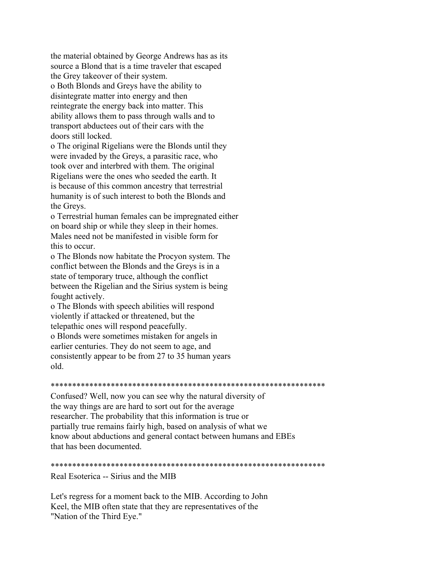the material obtained by George Andrews has as its source a Blond that is a time traveler that escaped the Grey takeover of their system. o Both Blonds and Greys have the ability to disintegrate matter into energy and then reintegrate the energy back into matter. This ability allows them to pass through walls and to transport abductees out of their cars with the doors still locked.

o The original Rigelians were the Blonds until they were invaded by the Greys, a parasitic race, who took over and interbred with them. The original Rigelians were the ones who seeded the earth. It is because of this common ancestry that terrestrial humanity is of such interest to both the Blonds and the Greys.

o Terrestrial human females can be impregnated either on board ship or while they sleep in their homes. Males need not be manifested in visible form for this to occur.

o The Blonds now habitate the Procyon system. The conflict between the Blonds and the Greys is in a state of temporary truce, although the conflict between the Rigelian and the Sirius system is being fought actively.

o The Blonds with speech abilities will respond violently if attacked or threatened, but the telepathic ones will respond peacefully. o Blonds were sometimes mistaken for angels in earlier centuries. They do not seem to age, and consistently appear to be from 27 to 35 human years old.

## \*\*\*\*\*\*\*\*\*\*\*\*\*\*\*\*\*\*\*\*\*\*\*\*\*\*\*\*\*\*\*\*\*\*\*\*\*\*\*\*\*\*\*\*\*\*\*\*\*\*\*\*\*\*\*\*\*\*\*\*\*\*\*\*

Confused? Well, now you can see why the natural diversity of the way things are are hard to sort out for the average researcher. The probability that this information is true or partially true remains fairly high, based on analysis of what we know about abductions and general contact between humans and EBEs that has been documented.

## \*\*\*\*\*\*\*\*\*\*\*\*\*\*\*\*\*\*\*\*\*\*\*\*\*\*\*\*\*\*\*\*\*\*\*\*\*\*\*\*\*\*\*\*\*\*\*\*\*\*\*\*\*\*\*\*\*\*\*\*\*\*\*\*

Real Esoterica -- Sirius and the MIB

Let's regress for a moment back to the MIB. According to John Keel, the MIB often state that they are representatives of the "Nation of the Third Eye."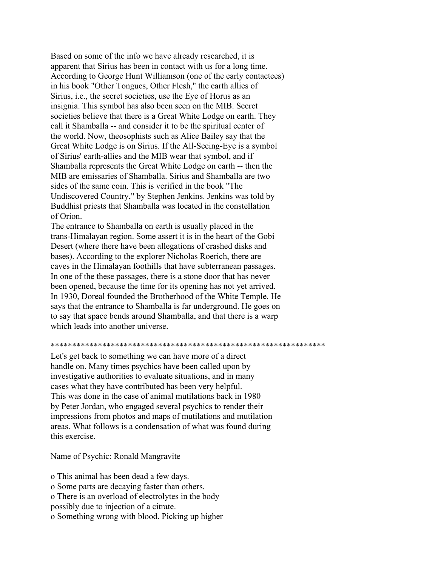Based on some of the info we have already researched, it is apparent that Sirius has been in contact with us for a long time. According to George Hunt Williamson (one of the early contactees) in his book "Other Tongues, Other Flesh," the earth allies of Sirius, i.e., the secret societies, use the Eye of Horus as an insignia. This symbol has also been seen on the MIB. Secret societies believe that there is a Great White Lodge on earth. They call it Shamballa -- and consider it to be the spiritual center of the world. Now, theosophists such as Alice Bailey say that the Great White Lodge is on Sirius. If the All-Seeing-Eye is a symbol of Sirius' earth-allies and the MIB wear that symbol, and if Shamballa represents the Great White Lodge on earth -- then the MIB are emissaries of Shamballa. Sirius and Shamballa are two sides of the same coin. This is verified in the book "The Undiscovered Country," by Stephen Jenkins. Jenkins was told by Buddhist priests that Shamballa was located in the constellation of Orion.

The entrance to Shamballa on earth is usually placed in the trans-Himalayan region. Some assert it is in the heart of the Gobi Desert (where there have been allegations of crashed disks and bases). According to the explorer Nicholas Roerich, there are caves in the Himalayan foothills that have subterranean passages. In one of the these passages, there is a stone door that has never been opened, because the time for its opening has not yet arrived. In 1930, Doreal founded the Brotherhood of the White Temple. He says that the entrance to Shamballa is far underground. He goes on to say that space bends around Shamballa, and that there is a warp which leads into another universe.

### \*\*\*\*\*\*\*\*\*\*\*\*\*\*\*\*\*\*\*\*\*\*\*\*\*\*\*\*\*\*\*\*\*\*\*\*\*\*\*\*\*\*\*\*\*\*\*\*\*\*\*\*\*\*\*\*\*\*\*\*\*\*\*\*

Let's get back to something we can have more of a direct handle on. Many times psychics have been called upon by investigative authorities to evaluate situations, and in many cases what they have contributed has been very helpful. This was done in the case of animal mutilations back in 1980 by Peter Jordan, who engaged several psychics to render their impressions from photos and maps of mutilations and mutilation areas. What follows is a condensation of what was found during this exercise.

Name of Psychic: Ronald Mangravite

o This animal has been dead a few days. o Some parts are decaying faster than others. o There is an overload of electrolytes in the body possibly due to injection of a citrate. o Something wrong with blood. Picking up higher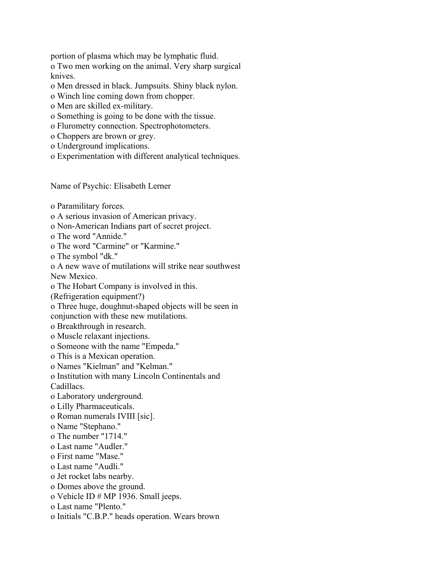portion of plasma which may be lymphatic fluid. o Two men working on the animal. Very sharp surgical knives.

o Men dressed in black. Jumpsuits. Shiny black nylon.

o Winch line coming down from chopper.

o Men are skilled ex-military.

o Something is going to be done with the tissue.

o Flurometry connection. Spectrophotometers.

o Choppers are brown or grey.

o Underground implications.

o Experimentation with different analytical techniques.

Name of Psychic: Elisabeth Lerner

o Paramilitary forces.

o A serious invasion of American privacy.

o Non-American Indians part of secret project.

o The word "Annide."

o The word "Carmine" or "Karmine."

o The symbol "dk."

o A new wave of mutilations will strike near southwest

New Mexico.

o The Hobart Company is involved in this.

(Refrigeration equipment?)

o Three huge, doughnut-shaped objects will be seen in

conjunction with these new mutilations.

o Breakthrough in research.

o Muscle relaxant injections.

o Someone with the name "Empeda."

o This is a Mexican operation.

o Names "Kielman" and "Kelman."

o Institution with many Lincoln Continentals and

Cadillacs.

o Laboratory underground.

o Lilly Pharmaceuticals.

o Roman numerals IVIII [sic].

o Name "Stephano."

o The number "1714."

o Last name "Audler."

o First name "Mase."

o Last name "Audli."

o Jet rocket labs nearby.

o Domes above the ground.

o Vehicle ID # MP 1936. Small jeeps.

o Last name "Plento."

o Initials "C.B.P." heads operation. Wears brown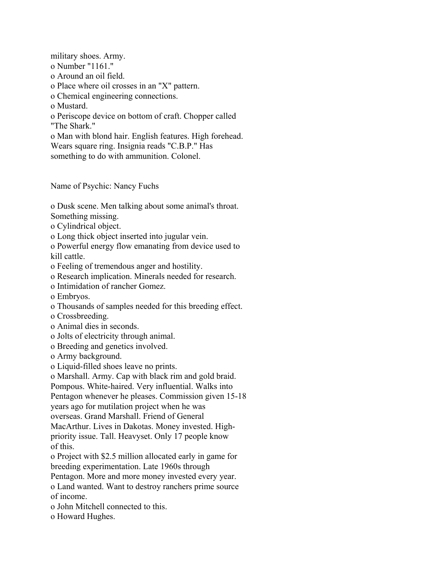military shoes. Army. o Number "1161." o Around an oil field. o Place where oil crosses in an "X" pattern. o Chemical engineering connections. o Mustard. o Periscope device on bottom of craft. Chopper called "The Shark." o Man with blond hair. English features. High forehead. Wears square ring. Insignia reads "C.B.P." Has something to do with ammunition. Colonel.

Name of Psychic: Nancy Fuchs

o Dusk scene. Men talking about some animal's throat.

Something missing.

o Cylindrical object.

o Long thick object inserted into jugular vein.

o Powerful energy flow emanating from device used to kill cattle.

o Feeling of tremendous anger and hostility.

o Research implication. Minerals needed for research.

o Intimidation of rancher Gomez.

o Embryos.

o Thousands of samples needed for this breeding effect.

o Crossbreeding.

o Animal dies in seconds.

o Jolts of electricity through animal.

o Breeding and genetics involved.

o Army background.

o Liquid-filled shoes leave no prints.

o Marshall. Army. Cap with black rim and gold braid.

Pompous. White-haired. Very influential. Walks into

Pentagon whenever he pleases. Commission given 15-18

years ago for mutilation project when he was

overseas. Grand Marshall. Friend of General

MacArthur. Lives in Dakotas. Money invested. High-

priority issue. Tall. Heavyset. Only 17 people know of this.

o Project with \$2.5 million allocated early in game for breeding experimentation. Late 1960s through

Pentagon. More and more money invested every year.

o Land wanted. Want to destroy ranchers prime source of income.

o John Mitchell connected to this.

o Howard Hughes.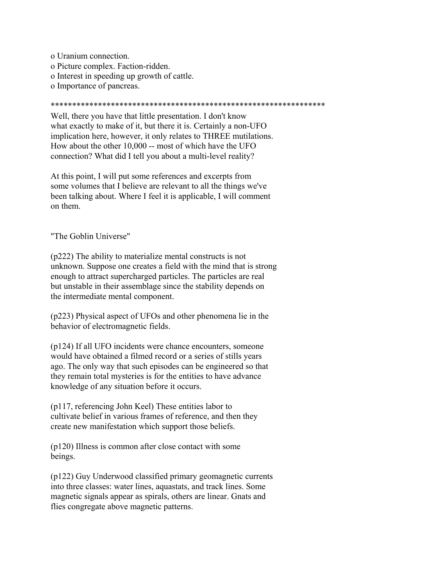o Uranium connection. o Picture complex. Faction-ridden. o Interest in speeding up growth of cattle. o Importance of pancreas.

### \*\*\*\*\*\*\*\*\*\*\*\*\*\*\*\*\*\*\*\*\*\*\*\*\*\*\*\*\*\*\*\*\*\*\*\*\*\*\*\*\*\*\*\*\*\*\*\*\*\*\*\*\*\*\*\*\*\*\*\*\*\*\*\*

Well, there you have that little presentation. I don't know what exactly to make of it, but there it is. Certainly a non-UFO implication here, however, it only relates to THREE mutilations. How about the other 10,000 -- most of which have the UFO connection? What did I tell you about a multi-level reality?

At this point, I will put some references and excerpts from some volumes that I believe are relevant to all the things we've been talking about. Where I feel it is applicable, I will comment on them.

## "The Goblin Universe"

(p222) The ability to materialize mental constructs is not unknown. Suppose one creates a field with the mind that is strong enough to attract supercharged particles. The particles are real but unstable in their assemblage since the stability depends on the intermediate mental component.

(p223) Physical aspect of UFOs and other phenomena lie in the behavior of electromagnetic fields.

(p124) If all UFO incidents were chance encounters, someone would have obtained a filmed record or a series of stills years ago. The only way that such episodes can be engineered so that they remain total mysteries is for the entities to have advance knowledge of any situation before it occurs.

(p117, referencing John Keel) These entities labor to cultivate belief in various frames of reference, and then they create new manifestation which support those beliefs.

(p120) Illness is common after close contact with some beings.

(p122) Guy Underwood classified primary geomagnetic currents into three classes: water lines, aquastats, and track lines. Some magnetic signals appear as spirals, others are linear. Gnats and flies congregate above magnetic patterns.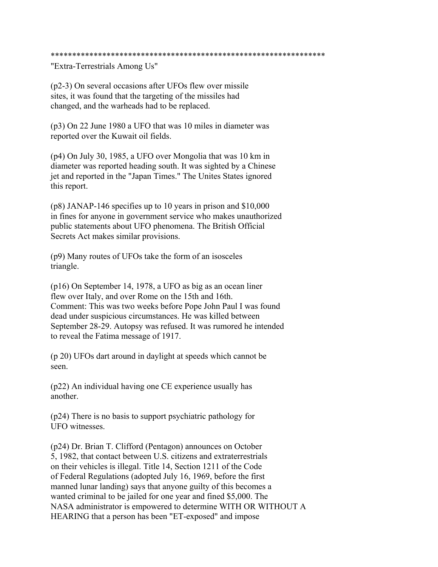#### \*\*\*\*\*\*\*\*\*\*\*\*\*\*\*\*\*\*\*\*\*\*\*\*\*\*\*\*\*\*\*\*\*\*\*\*\*\*\*\*\*\*\*\*\*\*\*\*\*\*\*\*\*\*\*\*\*\*\*\*\*\*\*\*

"Extra-Terrestrials Among Us"

(p2-3) On several occasions after UFOs flew over missile sites, it was found that the targeting of the missiles had changed, and the warheads had to be replaced.

(p3) On 22 June 1980 a UFO that was 10 miles in diameter was reported over the Kuwait oil fields.

(p4) On July 30, 1985, a UFO over Mongolia that was 10 km in diameter was reported heading south. It was sighted by a Chinese jet and reported in the "Japan Times." The Unites States ignored this report.

(p8) JANAP-146 specifies up to 10 years in prison and \$10,000 in fines for anyone in government service who makes unauthorized public statements about UFO phenomena. The British Official Secrets Act makes similar provisions.

(p9) Many routes of UFOs take the form of an isosceles triangle.

(p16) On September 14, 1978, a UFO as big as an ocean liner flew over Italy, and over Rome on the 15th and 16th. Comment: This was two weeks before Pope John Paul I was found dead under suspicious circumstances. He was killed between September 28-29. Autopsy was refused. It was rumored he intended to reveal the Fatima message of 1917.

(p 20) UFOs dart around in daylight at speeds which cannot be seen.

(p22) An individual having one CE experience usually has another.

(p24) There is no basis to support psychiatric pathology for UFO witnesses.

(p24) Dr. Brian T. Clifford (Pentagon) announces on October 5, 1982, that contact between U.S. citizens and extraterrestrials on their vehicles is illegal. Title 14, Section 1211 of the Code of Federal Regulations (adopted July 16, 1969, before the first manned lunar landing) says that anyone guilty of this becomes a wanted criminal to be jailed for one year and fined \$5,000. The NASA administrator is empowered to determine WITH OR WITHOUT A HEARING that a person has been "ET-exposed" and impose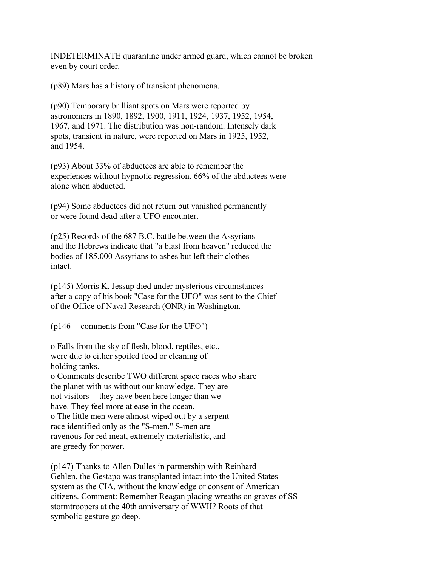INDETERMINATE quarantine under armed guard, which cannot be broken even by court order.

(p89) Mars has a history of transient phenomena.

(p90) Temporary brilliant spots on Mars were reported by astronomers in 1890, 1892, 1900, 1911, 1924, 1937, 1952, 1954, 1967, and 1971. The distribution was non-random. Intensely dark spots, transient in nature, were reported on Mars in 1925, 1952, and 1954.

(p93) About 33% of abductees are able to remember the experiences without hypnotic regression. 66% of the abductees were alone when abducted.

(p94) Some abductees did not return but vanished permanently or were found dead after a UFO encounter.

(p25) Records of the 687 B.C. battle between the Assyrians and the Hebrews indicate that "a blast from heaven" reduced the bodies of 185,000 Assyrians to ashes but left their clothes intact.

(p145) Morris K. Jessup died under mysterious circumstances after a copy of his book "Case for the UFO" was sent to the Chief of the Office of Naval Research (ONR) in Washington.

(p146 -- comments from "Case for the UFO")

o Falls from the sky of flesh, blood, reptiles, etc., were due to either spoiled food or cleaning of holding tanks. o Comments describe TWO different space races who share the planet with us without our knowledge. They are not visitors -- they have been here longer than we

have. They feel more at ease in the ocean. o The little men were almost wiped out by a serpent race identified only as the "S-men." S-men are ravenous for red meat, extremely materialistic, and are greedy for power.

(p147) Thanks to Allen Dulles in partnership with Reinhard Gehlen, the Gestapo was transplanted intact into the United States system as the CIA, without the knowledge or consent of American citizens. Comment: Remember Reagan placing wreaths on graves of SS stormtroopers at the 40th anniversary of WWII? Roots of that symbolic gesture go deep.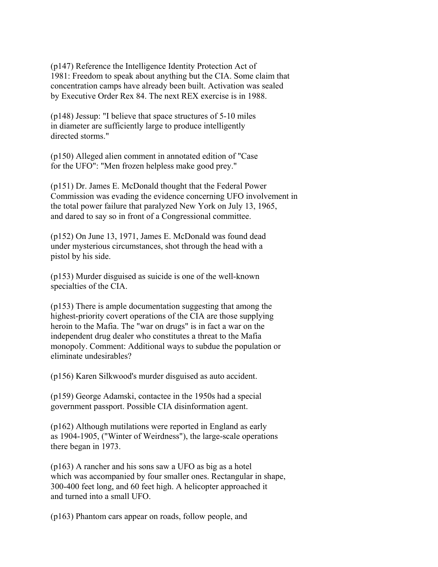(p147) Reference the Intelligence Identity Protection Act of 1981: Freedom to speak about anything but the CIA. Some claim that concentration camps have already been built. Activation was sealed by Executive Order Rex 84. The next REX exercise is in 1988.

(p148) Jessup: "I believe that space structures of 5-10 miles in diameter are sufficiently large to produce intelligently directed storms."

(p150) Alleged alien comment in annotated edition of "Case for the UFO": "Men frozen helpless make good prey."

(p151) Dr. James E. McDonald thought that the Federal Power Commission was evading the evidence concerning UFO involvement in the total power failure that paralyzed New York on July 13, 1965, and dared to say so in front of a Congressional committee.

(p152) On June 13, 1971, James E. McDonald was found dead under mysterious circumstances, shot through the head with a pistol by his side.

(p153) Murder disguised as suicide is one of the well-known specialties of the CIA.

(p153) There is ample documentation suggesting that among the highest-priority covert operations of the CIA are those supplying heroin to the Mafia. The "war on drugs" is in fact a war on the independent drug dealer who constitutes a threat to the Mafia monopoly. Comment: Additional ways to subdue the population or eliminate undesirables?

(p156) Karen Silkwood's murder disguised as auto accident.

(p159) George Adamski, contactee in the 1950s had a special government passport. Possible CIA disinformation agent.

(p162) Although mutilations were reported in England as early as 1904-1905, ("Winter of Weirdness"), the large-scale operations there began in 1973.

(p163) A rancher and his sons saw a UFO as big as a hotel which was accompanied by four smaller ones. Rectangular in shape, 300-400 feet long, and 60 feet high. A helicopter approached it and turned into a small UFO.

(p163) Phantom cars appear on roads, follow people, and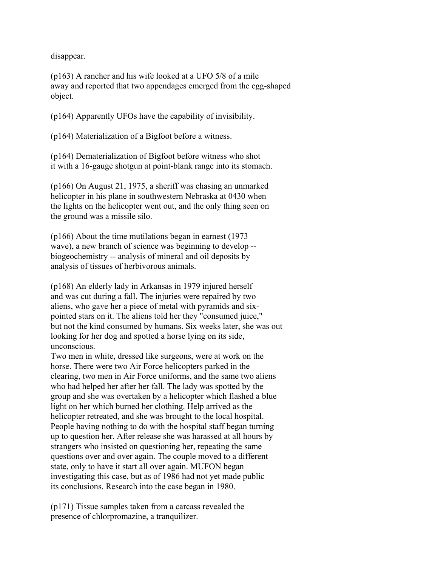disappear.

(p163) A rancher and his wife looked at a UFO 5/8 of a mile away and reported that two appendages emerged from the egg-shaped object.

(p164) Apparently UFOs have the capability of invisibility.

(p164) Materialization of a Bigfoot before a witness.

(p164) Dematerialization of Bigfoot before witness who shot it with a 16-gauge shotgun at point-blank range into its stomach.

(p166) On August 21, 1975, a sheriff was chasing an unmarked helicopter in his plane in southwestern Nebraska at 0430 when the lights on the helicopter went out, and the only thing seen on the ground was a missile silo.

(p166) About the time mutilations began in earnest (1973 wave), a new branch of science was beginning to develop - biogeochemistry -- analysis of mineral and oil deposits by analysis of tissues of herbivorous animals.

(p168) An elderly lady in Arkansas in 1979 injured herself and was cut during a fall. The injuries were repaired by two aliens, who gave her a piece of metal with pyramids and sixpointed stars on it. The aliens told her they "consumed juice," but not the kind consumed by humans. Six weeks later, she was out looking for her dog and spotted a horse lying on its side, unconscious.

Two men in white, dressed like surgeons, were at work on the horse. There were two Air Force helicopters parked in the clearing, two men in Air Force uniforms, and the same two aliens who had helped her after her fall. The lady was spotted by the group and she was overtaken by a helicopter which flashed a blue light on her which burned her clothing. Help arrived as the helicopter retreated, and she was brought to the local hospital. People having nothing to do with the hospital staff began turning up to question her. After release she was harassed at all hours by strangers who insisted on questioning her, repeating the same questions over and over again. The couple moved to a different state, only to have it start all over again. MUFON began investigating this case, but as of 1986 had not yet made public its conclusions. Research into the case began in 1980.

(p171) Tissue samples taken from a carcass revealed the presence of chlorpromazine, a tranquilizer.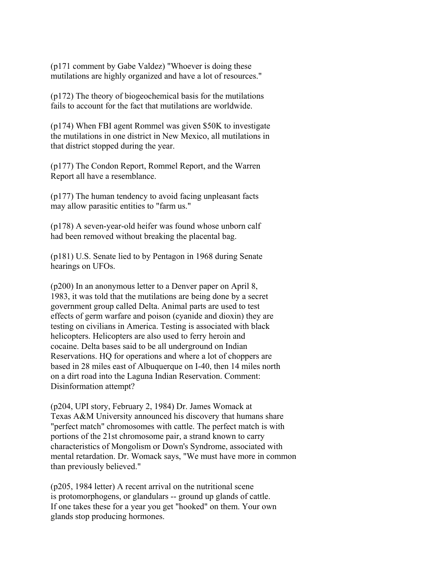(p171 comment by Gabe Valdez) "Whoever is doing these mutilations are highly organized and have a lot of resources."

(p172) The theory of biogeochemical basis for the mutilations fails to account for the fact that mutilations are worldwide.

(p174) When FBI agent Rommel was given \$50K to investigate the mutilations in one district in New Mexico, all mutilations in that district stopped during the year.

(p177) The Condon Report, Rommel Report, and the Warren Report all have a resemblance.

(p177) The human tendency to avoid facing unpleasant facts may allow parasitic entities to "farm us."

(p178) A seven-year-old heifer was found whose unborn calf had been removed without breaking the placental bag.

(p181) U.S. Senate lied to by Pentagon in 1968 during Senate hearings on UFOs.

(p200) In an anonymous letter to a Denver paper on April 8, 1983, it was told that the mutilations are being done by a secret government group called Delta. Animal parts are used to test effects of germ warfare and poison (cyanide and dioxin) they are testing on civilians in America. Testing is associated with black helicopters. Helicopters are also used to ferry heroin and cocaine. Delta bases said to be all underground on Indian Reservations. HQ for operations and where a lot of choppers are based in 28 miles east of Albuquerque on I-40, then 14 miles north on a dirt road into the Laguna Indian Reservation. Comment: Disinformation attempt?

(p204, UPI story, February 2, 1984) Dr. James Womack at Texas A&M University announced his discovery that humans share "perfect match" chromosomes with cattle. The perfect match is with portions of the 21st chromosome pair, a strand known to carry characteristics of Mongolism or Down's Syndrome, associated with mental retardation. Dr. Womack says, "We must have more in common than previously believed."

(p205, 1984 letter) A recent arrival on the nutritional scene is protomorphogens, or glandulars -- ground up glands of cattle. If one takes these for a year you get "hooked" on them. Your own glands stop producing hormones.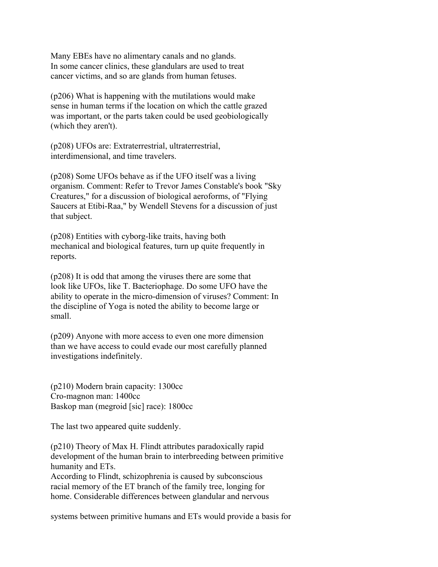Many EBEs have no alimentary canals and no glands. In some cancer clinics, these glandulars are used to treat cancer victims, and so are glands from human fetuses.

(p206) What is happening with the mutilations would make sense in human terms if the location on which the cattle grazed was important, or the parts taken could be used geobiologically (which they aren't).

(p208) UFOs are: Extraterrestrial, ultraterrestrial, interdimensional, and time travelers.

(p208) Some UFOs behave as if the UFO itself was a living organism. Comment: Refer to Trevor James Constable's book "Sky Creatures," for a discussion of biological aeroforms, of "Flying Saucers at Etibi-Raa," by Wendell Stevens for a discussion of just that subject.

(p208) Entities with cyborg-like traits, having both mechanical and biological features, turn up quite frequently in reports.

(p208) It is odd that among the viruses there are some that look like UFOs, like T. Bacteriophage. Do some UFO have the ability to operate in the micro-dimension of viruses? Comment: In the discipline of Yoga is noted the ability to become large or small.

(p209) Anyone with more access to even one more dimension than we have access to could evade our most carefully planned investigations indefinitely.

(p210) Modern brain capacity: 1300cc Cro-magnon man: 1400cc Baskop man (megroid [sic] race): 1800cc

The last two appeared quite suddenly.

(p210) Theory of Max H. Flindt attributes paradoxically rapid development of the human brain to interbreeding between primitive humanity and ETs.

According to Flindt, schizophrenia is caused by subconscious racial memory of the ET branch of the family tree, longing for home. Considerable differences between glandular and nervous

systems between primitive humans and ETs would provide a basis for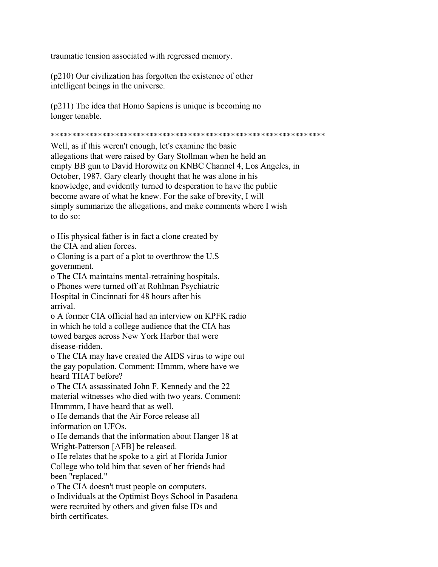traumatic tension associated with regressed memory.

(p210) Our civilization has forgotten the existence of other intelligent beings in the universe.

(p211) The idea that Homo Sapiens is unique is becoming no longer tenable.

\*\*\*\*\*\*\*\*\*\*\*\*\*\*\*\*\*\*\*\*\*\*\*\*\*\*\*\*\*\*\*\*\*\*\*\*\*\*\*\*\*\*\*\*\*\*\*\*\*\*\*\*\*\*\*\*\*\*\*\*\*\*\*\*

Well, as if this weren't enough, let's examine the basic allegations that were raised by Gary Stollman when he held an empty BB gun to David Horowitz on KNBC Channel 4, Los Angeles, in October, 1987. Gary clearly thought that he was alone in his knowledge, and evidently turned to desperation to have the public become aware of what he knew. For the sake of brevity, I will simply summarize the allegations, and make comments where I wish to do so:

o His physical father is in fact a clone created by the CIA and alien forces.

o Cloning is a part of a plot to overthrow the U.S government.

o The CIA maintains mental-retraining hospitals. o Phones were turned off at Rohlman Psychiatric Hospital in Cincinnati for 48 hours after his arrival.

o A former CIA official had an interview on KPFK radio in which he told a college audience that the CIA has towed barges across New York Harbor that were disease-ridden.

o The CIA may have created the AIDS virus to wipe out the gay population. Comment: Hmmm, where have we heard THAT before?

o The CIA assassinated John F. Kennedy and the 22 material witnesses who died with two years. Comment: Hmmmm, I have heard that as well.

o He demands that the Air Force release all information on UFOs.

o He demands that the information about Hanger 18 at Wright-Patterson [AFB] be released.

o He relates that he spoke to a girl at Florida Junior College who told him that seven of her friends had been "replaced."

o The CIA doesn't trust people on computers. o Individuals at the Optimist Boys School in Pasadena were recruited by others and given false IDs and birth certificates.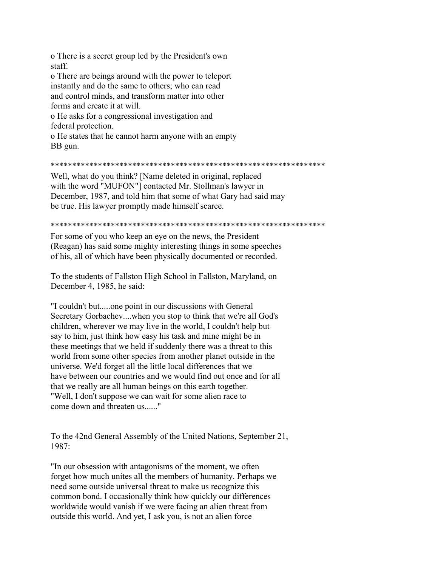o There is a secret group led by the President's own staff.

o There are beings around with the power to teleport instantly and do the same to others; who can read and control minds, and transform matter into other forms and create it at will.

o He asks for a congressional investigation and federal protection.

o He states that he cannot harm anyone with an empty BB gun.

### \*\*\*\*\*\*\*\*\*\*\*\*\*\*\*\*\*\*\*\*\*\*\*\*\*\*\*\*\*\*\*\*\*\*\*\*\*\*\*\*\*\*\*\*\*\*\*\*\*\*\*\*\*\*\*\*\*\*\*\*\*\*\*\*

Well, what do you think? [Name deleted in original, replaced with the word "MUFON"] contacted Mr. Stollman's lawyer in December, 1987, and told him that some of what Gary had said may be true. His lawyer promptly made himself scarce.

\*\*\*\*\*\*\*\*\*\*\*\*\*\*\*\*\*\*\*\*\*\*\*\*\*\*\*\*\*\*\*\*\*\*\*\*\*\*\*\*\*\*\*\*\*\*\*\*\*\*\*\*\*\*\*\*\*\*\*\*\*\*\*\*

For some of you who keep an eye on the news, the President (Reagan) has said some mighty interesting things in some speeches of his, all of which have been physically documented or recorded.

To the students of Fallston High School in Fallston, Maryland, on December 4, 1985, he said:

"I couldn't but.....one point in our discussions with General Secretary Gorbachev....when you stop to think that we're all God's children, wherever we may live in the world, I couldn't help but say to him, just think how easy his task and mine might be in these meetings that we held if suddenly there was a threat to this world from some other species from another planet outside in the universe. We'd forget all the little local differences that we have between our countries and we would find out once and for all that we really are all human beings on this earth together. "Well, I don't suppose we can wait for some alien race to come down and threaten us......"

To the 42nd General Assembly of the United Nations, September 21, 1987:

"In our obsession with antagonisms of the moment, we often forget how much unites all the members of humanity. Perhaps we need some outside universal threat to make us recognize this common bond. I occasionally think how quickly our differences worldwide would vanish if we were facing an alien threat from outside this world. And yet, I ask you, is not an alien force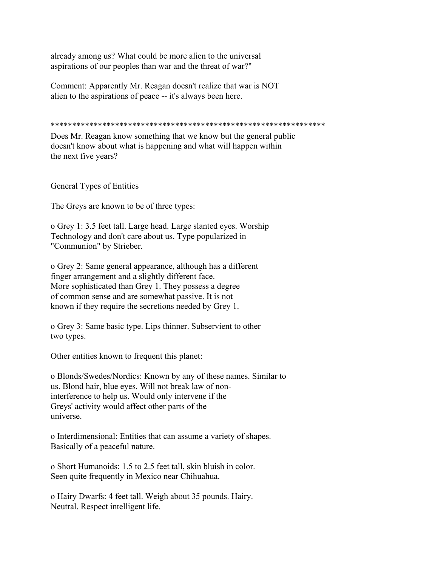already among us? What could be more alien to the universal aspirations of our peoples than war and the threat of war?"

Comment: Apparently Mr. Reagan doesn't realize that war is NOT alien to the aspirations of peace -- it's always been here.

\*\*\*\*\*\*\*\*\*\*\*\*\*\*\*\*\*\*\*\*\*\*\*\*\*\*\*\*\*\*\*\*\*\*\*\*\*\*\*\*\*\*\*\*\*\*\*\*\*\*\*\*\*\*\*\*\*\*\*\*\*\*\*\*

Does Mr. Reagan know something that we know but the general public doesn't know about what is happening and what will happen within the next five years?

General Types of Entities

The Greys are known to be of three types:

o Grey 1: 3.5 feet tall. Large head. Large slanted eyes. Worship Technology and don't care about us. Type popularized in "Communion" by Strieber.

o Grey 2: Same general appearance, although has a different finger arrangement and a slightly different face. More sophisticated than Grey 1. They possess a degree of common sense and are somewhat passive. It is not known if they require the secretions needed by Grey 1.

o Grey 3: Same basic type. Lips thinner. Subservient to other two types.

Other entities known to frequent this planet:

o Blonds/Swedes/Nordics: Known by any of these names. Similar to us. Blond hair, blue eyes. Will not break law of noninterference to help us. Would only intervene if the Greys' activity would affect other parts of the universe.

o Interdimensional: Entities that can assume a variety of shapes. Basically of a peaceful nature.

o Short Humanoids: 1.5 to 2.5 feet tall, skin bluish in color. Seen quite frequently in Mexico near Chihuahua.

o Hairy Dwarfs: 4 feet tall. Weigh about 35 pounds. Hairy. Neutral. Respect intelligent life.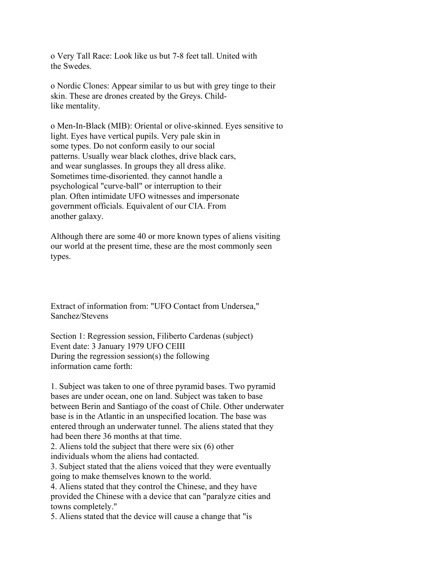o Very Tall Race: Look like us but 7-8 feet tall. United with the Swedes.

o Nordic Clones: Appear similar to us but with grey tinge to their skin. These are drones created by the Greys. Childlike mentality.

o Men-In-Black (MIB): Oriental or olive-skinned. Eyes sensitive to light. Eyes have vertical pupils. Very pale skin in some types. Do not conform easily to our social patterns. Usually wear black clothes, drive black cars, and wear sunglasses. In groups they all dress alike. Sometimes time-disoriented. they cannot handle a psychological "curve-ball" or interruption to their plan. Often intimidate UFO witnesses and impersonate government officials. Equivalent of our CIA. From another galaxy.

Although there are some 40 or more known types of aliens visiting our world at the present time, these are the most commonly seen types.

Extract of information from: "UFO Contact from Undersea," Sanchez/Stevens

Section 1: Regression session, Filiberto Cardenas (subject) Event date: 3 January 1979 UFO CEIII During the regression session(s) the following information came forth:

1. Subject was taken to one of three pyramid bases. Two pyramid bases are under ocean, one on land. Subject was taken to base between Berin and Santiago of the coast of Chile. Other underwater base is in the Atlantic in an unspecified location. The base was entered through an underwater tunnel. The aliens stated that they had been there 36 months at that time.

2. Aliens told the subject that there were six (6) other

individuals whom the aliens had contacted.

3. Subject stated that the aliens voiced that they were eventually going to make themselves known to the world.

4. Aliens stated that they control the Chinese, and they have provided the Chinese with a device that can "paralyze cities and towns completely."

5. Aliens stated that the device will cause a change that "is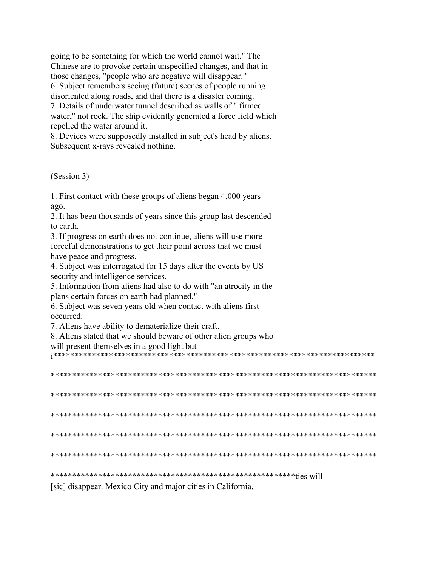going to be something for which the world cannot wait." The Chinese are to provoke certain unspecified changes, and that in those changes, "people who are negative will disappear." 6. Subject remembers seeing (future) scenes of people running disoriented along roads, and that there is a disaster coming. 7. Details of underwater tunnel described as walls of " firmed water," not rock. The ship evidently generated a force field which repelled the water around it.

8. Devices were supposedly installed in subject's head by aliens. Subsequent x-rays revealed nothing.

(Session 3)

1. First contact with these groups of aliens began 4,000 years ago.

2. It has been thousands of years since this group last descended to earth.

3. If progress on earth does not continue, aliens will use more forceful demonstrations to get their point across that we must have peace and progress.

4. Subject was interrogated for 15 days after the events by US security and intelligence services.

5. Information from aliens had also to do with "an atrocity in the plans certain forces on earth had planned."

6. Subject was seven years old when contact with aliens first occurred.

7. Aliens have ability to dematerialize their craft.

8. Aliens stated that we should beware of other alien groups who

will present themselves in a good light but

i\*\*\*\*\*\*\*\*\*\*\*\*\*\*\*\*\*\*\*\*\*\*\*\*\*\*\*\*\*\*\*\*\*\*\*\*\*\*\*\*\*\*\*\*\*\*\*\*\*\*\*\*\*\*\*\*\*\*\*\*\*\*\*\*\*\*\*\*\*\*\*\*\*\*\* \*\*\*\*\*\*\*\*\*\*\*\*\*\*\*\*\*\*\*\*\*\*\*\*\*\*\*\*\*\*\*\*\*\*\*\*\*\*\*\*\*\*\*\*\*\*\*\*\*\*\*\*\*\*\*\*\*\*\*\*\*\*\*\*\*\*\*\*\*\*\*\*\*\*\*\*

\*\*\*\*\*\*\*\*\*\*\*\*\*\*\*\*\*\*\*\*\*\*\*\*\*\*\*\*\*\*\*\*\*\*\*\*\*\*\*\*\*\*\*\*\*\*\*\*\*\*\*\*\*\*\*\*\*\*\*\*\*\*\*\*\*\*\*\*\*\*\*\*\*\*\*\* \*\*\*\*\*\*\*\*\*\*\*\*\*\*\*\*\*\*\*\*\*\*\*\*\*\*\*\*\*\*\*\*\*\*\*\*\*\*\*\*\*\*\*\*\*\*\*\*\*\*\*\*\*\*\*\*\*\*\*\*\*\*\*\*\*\*\*\*\*\*\*\*\*\*\*\* \*\*\*\*\*\*\*\*\*\*\*\*\*\*\*\*\*\*\*\*\*\*\*\*\*\*\*\*\*\*\*\*\*\*\*\*\*\*\*\*\*\*\*\*\*\*\*\*\*\*\*\*\*\*\*\*\*\*\*\*\*\*\*\*\*\*\*\*\*\*\*\*\*\*\*\* \*\*\*\*\*\*\*\*\*\*\*\*\*\*\*\*\*\*\*\*\*\*\*\*\*\*\*\*\*\*\*\*\*\*\*\*\*\*\*\*\*\*\*\*\*\*\*\*\*\*\*\*\*\*\*\*\*\*\*\*\*\*\*\*\*\*\*\*\*\*\*\*\*\*\*\* \*\*\*\*\*\*\*\*\*\*\*\*\*\*\*\*\*\*\*\*\*\*\*\*\*\*\*\*\*\*\*\*\*\*\*\*\*\*\*\*\*\*\*\*\*\*\*\*\*\*\*\*\*\*\*\*\*ties will

[sic] disappear. Mexico City and major cities in California.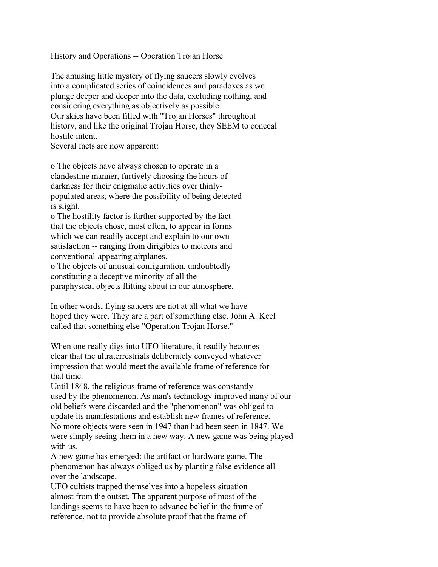History and Operations -- Operation Trojan Horse

The amusing little mystery of flying saucers slowly evolves into a complicated series of coincidences and paradoxes as we plunge deeper and deeper into the data, excluding nothing, and considering everything as objectively as possible. Our skies have been filled with "Trojan Horses" throughout history, and like the original Trojan Horse, they SEEM to conceal hostile intent.

Several facts are now apparent:

o The objects have always chosen to operate in a clandestine manner, furtively choosing the hours of darkness for their enigmatic activities over thinlypopulated areas, where the possibility of being detected is slight.

o The hostility factor is further supported by the fact that the objects chose, most often, to appear in forms which we can readily accept and explain to our own satisfaction -- ranging from dirigibles to meteors and conventional-appearing airplanes.

o The objects of unusual configuration, undoubtedly constituting a deceptive minority of all the paraphysical objects flitting about in our atmosphere.

In other words, flying saucers are not at all what we have hoped they were. They are a part of something else. John A. Keel called that something else "Operation Trojan Horse."

When one really digs into UFO literature, it readily becomes clear that the ultraterrestrials deliberately conveyed whatever impression that would meet the available frame of reference for that time.

Until 1848, the religious frame of reference was constantly used by the phenomenon. As man's technology improved many of our old beliefs were discarded and the "phenomenon" was obliged to update its manifestations and establish new frames of reference. No more objects were seen in 1947 than had been seen in 1847. We were simply seeing them in a new way. A new game was being played with us.

A new game has emerged: the artifact or hardware game. The phenomenon has always obliged us by planting false evidence all over the landscape.

UFO cultists trapped themselves into a hopeless situation almost from the outset. The apparent purpose of most of the landings seems to have been to advance belief in the frame of reference, not to provide absolute proof that the frame of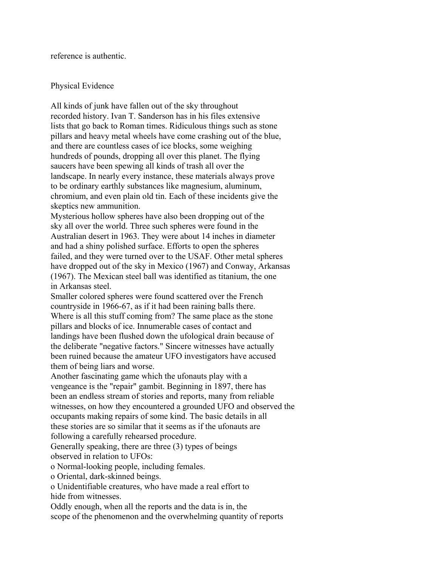reference is authentic.

# Physical Evidence

All kinds of junk have fallen out of the sky throughout recorded history. Ivan T. Sanderson has in his files extensive lists that go back to Roman times. Ridiculous things such as stone pillars and heavy metal wheels have come crashing out of the blue, and there are countless cases of ice blocks, some weighing hundreds of pounds, dropping all over this planet. The flying saucers have been spewing all kinds of trash all over the landscape. In nearly every instance, these materials always prove to be ordinary earthly substances like magnesium, aluminum, chromium, and even plain old tin. Each of these incidents give the skeptics new ammunition.

Mysterious hollow spheres have also been dropping out of the sky all over the world. Three such spheres were found in the Australian desert in 1963. They were about 14 inches in diameter and had a shiny polished surface. Efforts to open the spheres failed, and they were turned over to the USAF. Other metal spheres have dropped out of the sky in Mexico (1967) and Conway, Arkansas (1967). The Mexican steel ball was identified as titanium, the one in Arkansas steel.

Smaller colored spheres were found scattered over the French countryside in 1966-67, as if it had been raining balls there. Where is all this stuff coming from? The same place as the stone pillars and blocks of ice. Innumerable cases of contact and landings have been flushed down the ufological drain because of the deliberate "negative factors." Sincere witnesses have actually been ruined because the amateur UFO investigators have accused them of being liars and worse.

Another fascinating game which the ufonauts play with a vengeance is the "repair" gambit. Beginning in 1897, there has been an endless stream of stories and reports, many from reliable witnesses, on how they encountered a grounded UFO and observed the occupants making repairs of some kind. The basic details in all these stories are so similar that it seems as if the ufonauts are following a carefully rehearsed procedure.

Generally speaking, there are three (3) types of beings

observed in relation to UFOs:

o Normal-looking people, including females.

o Oriental, dark-skinned beings.

o Unidentifiable creatures, who have made a real effort to hide from witnesses.

Oddly enough, when all the reports and the data is in, the scope of the phenomenon and the overwhelming quantity of reports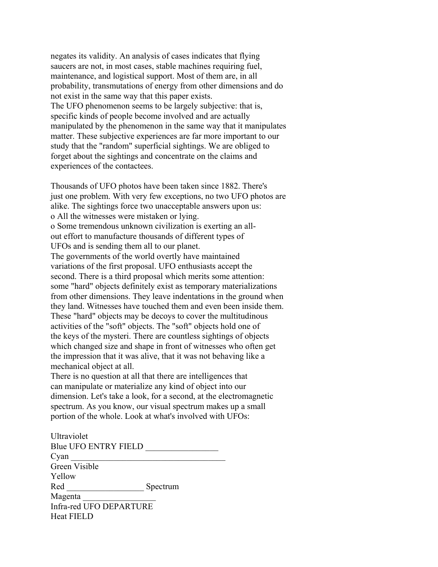negates its validity. An analysis of cases indicates that flying saucers are not, in most cases, stable machines requiring fuel, maintenance, and logistical support. Most of them are, in all probability, transmutations of energy from other dimensions and do not exist in the same way that this paper exists. The UFO phenomenon seems to be largely subjective: that is, specific kinds of people become involved and are actually manipulated by the phenomenon in the same way that it manipulates matter. These subjective experiences are far more important to our study that the "random" superficial sightings. We are obliged to forget about the sightings and concentrate on the claims and experiences of the contactees.

Thousands of UFO photos have been taken since 1882. There's just one problem. With very few exceptions, no two UFO photos are alike. The sightings force two unacceptable answers upon us: o All the witnesses were mistaken or lying. o Some tremendous unknown civilization is exerting an allout effort to manufacture thousands of different types of UFOs and is sending them all to our planet. The governments of the world overtly have maintained variations of the first proposal. UFO enthusiasts accept the second. There is a third proposal which merits some attention: some "hard" objects definitely exist as temporary materializations from other dimensions. They leave indentations in the ground when they land. Witnesses have touched them and even been inside them. These "hard" objects may be decoys to cover the multitudinous activities of the "soft" objects. The "soft" objects hold one of the keys of the mysteri. There are countless sightings of objects which changed size and shape in front of witnesses who often get the impression that it was alive, that it was not behaving like a mechanical object at all.

There is no question at all that there are intelligences that can manipulate or materialize any kind of object into our dimension. Let's take a look, for a second, at the electromagnetic spectrum. As you know, our visual spectrum makes up a small portion of the whole. Look at what's involved with UFOs:

Ultraviolet Blue UFO ENTRY FIELD \_\_\_\_\_\_\_\_\_\_\_\_\_\_\_\_\_  $Cyan$ Green Visible Yellow Red \_\_\_\_\_\_\_\_\_\_\_\_\_\_\_\_\_\_ Spectrum Magenta \_\_\_\_\_\_\_\_\_\_\_\_\_\_\_\_\_ Infra-red UFO DEPARTURE Heat FIELD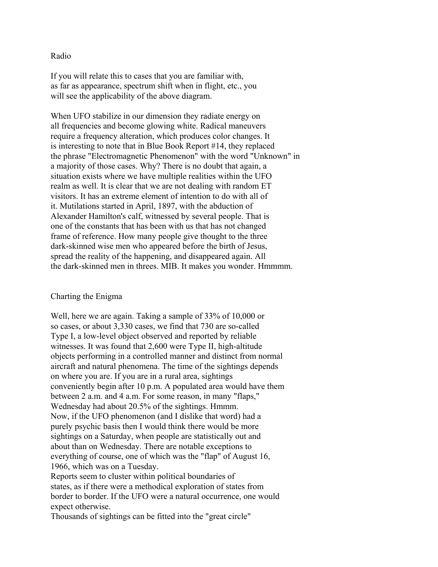### Radio

If you will relate this to cases that you are familiar with, as far as appearance, spectrum shift when in flight, etc., you will see the applicability of the above diagram.

When UFO stabilize in our dimension they radiate energy on all frequencies and become glowing white. Radical maneuvers require a frequency alteration, which produces color changes. It is interesting to note that in Blue Book Report #14, they replaced the phrase "Electromagnetic Phenomenon" with the word "Unknown" in a majority of those cases. Why? There is no doubt that again, a situation exists where we have multiple realities within the UFO realm as well. It is clear that we are not dealing with random ET visitors. It has an extreme element of intention to do with all of it. Mutilations started in April, 1897, with the abduction of Alexander Hamilton's calf, witnessed by several people. That is one of the constants that has been with us that has not changed frame of reference. How many people give thought to the three dark-skinned wise men who appeared before the birth of Jesus, spread the reality of the happening, and disappeared again. All the dark-skinned men in threes. MIB. It makes you wonder. Hmmmm.

## Charting the Enigma

Well, here we are again. Taking a sample of 33% of 10,000 or so cases, or about 3,330 cases, we find that 730 are so-called Type I, a low-level object observed and reported by reliable witnesses. It was found that 2,600 were Type II, high-altitude objects performing in a controlled manner and distinct from normal aircraft and natural phenomena. The time of the sightings depends on where you are. If you are in a rural area, sightings conveniently begin after 10 p.m. A populated area would have them between 2 a.m. and 4 a.m. For some reason, in many "flaps," Wednesday had about 20.5% of the sightings. Hmmm. Now, if the UFO phenomenon (and I dislike that word) had a purely psychic basis then I would think there would be more sightings on a Saturday, when people are statistically out and about than on Wednesday. There are notable exceptions to everything of course, one of which was the "flap" of August 16, 1966, which was on a Tuesday.

Reports seem to cluster within political boundaries of states, as if there were a methodical exploration of states from border to border. If the UFO were a natural occurrence, one would expect otherwise.

Thousands of sightings can be fitted into the "great circle"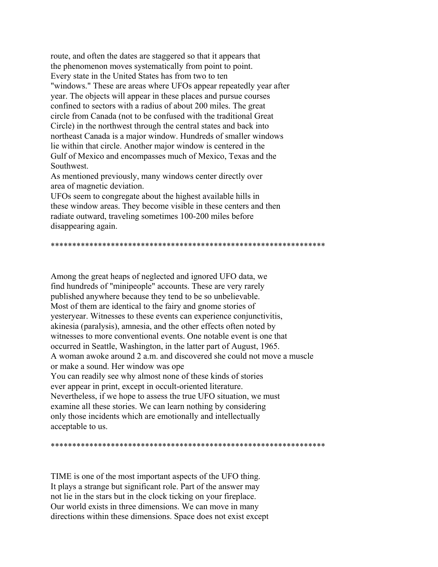route, and often the dates are staggered so that it appears that the phenomenon moves systematically from point to point. Every state in the United States has from two to ten "windows." These are areas where UFOs appear repeatedly year after year. The objects will appear in these places and pursue courses confined to sectors with a radius of about 200 miles. The great circle from Canada (not to be confused with the traditional Great Circle) in the northwest through the central states and back into northeast Canada is a major window. Hundreds of smaller windows lie within that circle. Another major window is centered in the Gulf of Mexico and encompasses much of Mexico, Texas and the Southwest.

As mentioned previously, many windows center directly over area of magnetic deviation.

UFOs seem to congregate about the highest available hills in these window areas. They become visible in these centers and then radiate outward, traveling sometimes 100-200 miles before disappearing again.

\*\*\*\*\*\*\*\*\*\*\*\*\*\*\*\*\*\*\*\*\*\*\*\*\*\*\*\*\*\*\*\*\*\*\*\*\*\*\*\*\*\*\*\*\*\*\*\*\*\*\*\*\*\*\*\*\*\*\*\*\*\*\*\*

Among the great heaps of neglected and ignored UFO data, we find hundreds of "minipeople" accounts. These are very rarely published anywhere because they tend to be so unbelievable. Most of them are identical to the fairy and gnome stories of yesteryear. Witnesses to these events can experience conjunctivitis, akinesia (paralysis), amnesia, and the other effects often noted by witnesses to more conventional events. One notable event is one that occurred in Seattle, Washington, in the latter part of August, 1965. A woman awoke around 2 a.m. and discovered she could not move a muscle or make a sound. Her window was ope You can readily see why almost none of these kinds of stories ever appear in print, except in occult-oriented literature. Nevertheless, if we hope to assess the true UFO situation, we must examine all these stories. We can learn nothing by considering only those incidents which are emotionally and intellectually acceptable to us.

### \*\*\*\*\*\*\*\*\*\*\*\*\*\*\*\*\*\*\*\*\*\*\*\*\*\*\*\*\*\*\*\*\*\*\*\*\*\*\*\*\*\*\*\*\*\*\*\*\*\*\*\*\*\*\*\*\*\*\*\*\*\*\*\*

TIME is one of the most important aspects of the UFO thing. It plays a strange but significant role. Part of the answer may not lie in the stars but in the clock ticking on your fireplace. Our world exists in three dimensions. We can move in many directions within these dimensions. Space does not exist except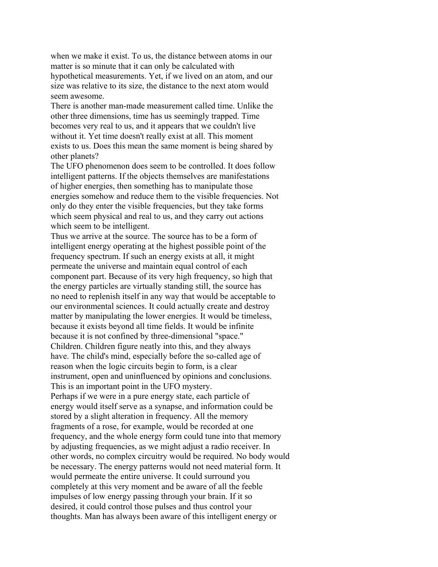when we make it exist. To us, the distance between atoms in our matter is so minute that it can only be calculated with hypothetical measurements. Yet, if we lived on an atom, and our size was relative to its size, the distance to the next atom would seem awesome.

There is another man-made measurement called time. Unlike the other three dimensions, time has us seemingly trapped. Time becomes very real to us, and it appears that we couldn't live without it. Yet time doesn't really exist at all. This moment exists to us. Does this mean the same moment is being shared by other planets?

The UFO phenomenon does seem to be controlled. It does follow intelligent patterns. If the objects themselves are manifestations of higher energies, then something has to manipulate those energies somehow and reduce them to the visible frequencies. Not only do they enter the visible frequencies, but they take forms which seem physical and real to us, and they carry out actions which seem to be intelligent.

Thus we arrive at the source. The source has to be a form of intelligent energy operating at the highest possible point of the frequency spectrum. If such an energy exists at all, it might permeate the universe and maintain equal control of each component part. Because of its very high frequency, so high that the energy particles are virtually standing still, the source has no need to replenish itself in any way that would be acceptable to our environmental sciences. It could actually create and destroy matter by manipulating the lower energies. It would be timeless, because it exists beyond all time fields. It would be infinite because it is not confined by three-dimensional "space." Children. Children figure neatly into this, and they always have. The child's mind, especially before the so-called age of reason when the logic circuits begin to form, is a clear instrument, open and uninfluenced by opinions and conclusions. This is an important point in the UFO mystery. Perhaps if we were in a pure energy state, each particle of energy would itself serve as a synapse, and information could be stored by a slight alteration in frequency. All the memory fragments of a rose, for example, would be recorded at one frequency, and the whole energy form could tune into that memory by adjusting frequencies, as we might adjust a radio receiver. In other words, no complex circuitry would be required. No body would be necessary. The energy patterns would not need material form. It would permeate the entire universe. It could surround you completely at this very moment and be aware of all the feeble impulses of low energy passing through your brain. If it so desired, it could control those pulses and thus control your thoughts. Man has always been aware of this intelligent energy or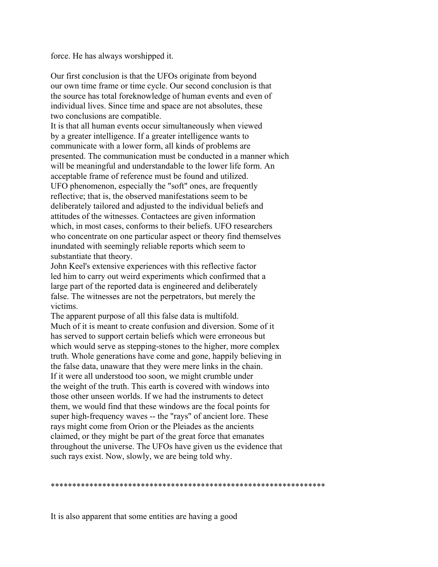force. He has always worshipped it.

Our first conclusion is that the UFOs originate from beyond our own time frame or time cycle. Our second conclusion is that the source has total foreknowledge of human events and even of individual lives. Since time and space are not absolutes, these two conclusions are compatible.

It is that all human events occur simultaneously when viewed by a greater intelligence. If a greater intelligence wants to communicate with a lower form, all kinds of problems are presented. The communication must be conducted in a manner which will be meaningful and understandable to the lower life form. An acceptable frame of reference must be found and utilized. UFO phenomenon, especially the "soft" ones, are frequently reflective; that is, the observed manifestations seem to be deliberately tailored and adjusted to the individual beliefs and attitudes of the witnesses. Contactees are given information which, in most cases, conforms to their beliefs. UFO researchers who concentrate on one particular aspect or theory find themselves inundated with seemingly reliable reports which seem to substantiate that theory.

John Keel's extensive experiences with this reflective factor led him to carry out weird experiments which confirmed that a large part of the reported data is engineered and deliberately false. The witnesses are not the perpetrators, but merely the victims.

The apparent purpose of all this false data is multifold. Much of it is meant to create confusion and diversion. Some of it has served to support certain beliefs which were erroneous but which would serve as stepping-stones to the higher, more complex truth. Whole generations have come and gone, happily believing in the false data, unaware that they were mere links in the chain. If it were all understood too soon, we might crumble under the weight of the truth. This earth is covered with windows into those other unseen worlds. If we had the instruments to detect them, we would find that these windows are the focal points for super high-frequency waves -- the "rays" of ancient lore. These rays might come from Orion or the Pleiades as the ancients claimed, or they might be part of the great force that emanates throughout the universe. The UFOs have given us the evidence that such rays exist. Now, slowly, we are being told why.

#### \*\*\*\*\*\*\*\*\*\*\*\*\*\*\*\*\*\*\*\*\*\*\*\*\*\*\*\*\*\*\*\*\*\*\*\*\*\*\*\*\*\*\*\*\*\*\*\*\*\*\*\*\*\*\*\*\*\*\*\*\*\*\*\*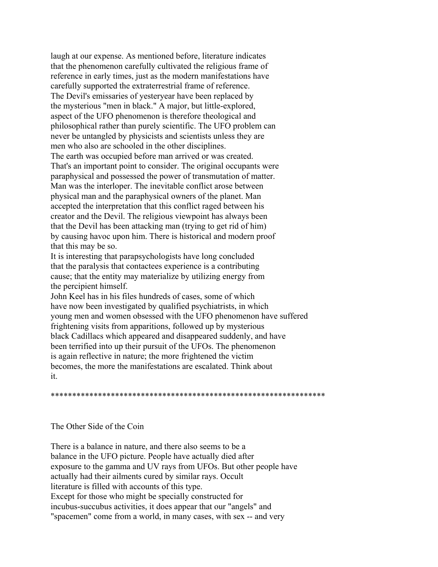laugh at our expense. As mentioned before, literature indicates that the phenomenon carefully cultivated the religious frame of reference in early times, just as the modern manifestations have carefully supported the extraterrestrial frame of reference. The Devil's emissaries of yesteryear have been replaced by the mysterious "men in black." A major, but little-explored, aspect of the UFO phenomenon is therefore theological and philosophical rather than purely scientific. The UFO problem can never be untangled by physicists and scientists unless they are men who also are schooled in the other disciplines.

The earth was occupied before man arrived or was created. That's an important point to consider. The original occupants were paraphysical and possessed the power of transmutation of matter. Man was the interloper. The inevitable conflict arose between physical man and the paraphysical owners of the planet. Man accepted the interpretation that this conflict raged between his creator and the Devil. The religious viewpoint has always been that the Devil has been attacking man (trying to get rid of him) by causing havoc upon him. There is historical and modern proof that this may be so.

It is interesting that parapsychologists have long concluded that the paralysis that contactees experience is a contributing cause; that the entity may materialize by utilizing energy from the percipient himself.

John Keel has in his files hundreds of cases, some of which have now been investigated by qualified psychiatrists, in which young men and women obsessed with the UFO phenomenon have suffered frightening visits from apparitions, followed up by mysterious black Cadillacs which appeared and disappeared suddenly, and have been terrified into up their pursuit of the UFOs. The phenomenon is again reflective in nature; the more frightened the victim becomes, the more the manifestations are escalated. Think about it.

### \*\*\*\*\*\*\*\*\*\*\*\*\*\*\*\*\*\*\*\*\*\*\*\*\*\*\*\*\*\*\*\*\*\*\*\*\*\*\*\*\*\*\*\*\*\*\*\*\*\*\*\*\*\*\*\*\*\*\*\*\*\*\*\*

## The Other Side of the Coin

There is a balance in nature, and there also seems to be a balance in the UFO picture. People have actually died after exposure to the gamma and UV rays from UFOs. But other people have actually had their ailments cured by similar rays. Occult literature is filled with accounts of this type. Except for those who might be specially constructed for incubus-succubus activities, it does appear that our "angels" and "spacemen" come from a world, in many cases, with sex -- and very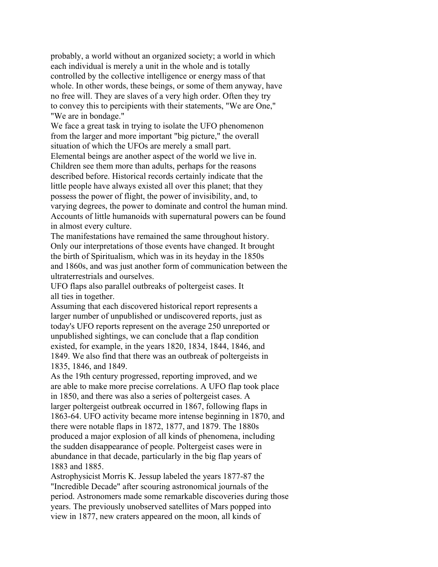probably, a world without an organized society; a world in which each individual is merely a unit in the whole and is totally controlled by the collective intelligence or energy mass of that whole. In other words, these beings, or some of them anyway, have no free will. They are slaves of a very high order. Often they try to convey this to percipients with their statements, "We are One," "We are in bondage."

We face a great task in trying to isolate the UFO phenomenon from the larger and more important "big picture," the overall situation of which the UFOs are merely a small part.

Elemental beings are another aspect of the world we live in. Children see them more than adults, perhaps for the reasons described before. Historical records certainly indicate that the little people have always existed all over this planet; that they possess the power of flight, the power of invisibility, and, to varying degrees, the power to dominate and control the human mind. Accounts of little humanoids with supernatural powers can be found in almost every culture.

The manifestations have remained the same throughout history. Only our interpretations of those events have changed. It brought the birth of Spiritualism, which was in its heyday in the 1850s and 1860s, and was just another form of communication between the ultraterrestrials and ourselves.

UFO flaps also parallel outbreaks of poltergeist cases. It all ties in together.

Assuming that each discovered historical report represents a larger number of unpublished or undiscovered reports, just as today's UFO reports represent on the average 250 unreported or unpublished sightings, we can conclude that a flap condition existed, for example, in the years 1820, 1834, 1844, 1846, and 1849. We also find that there was an outbreak of poltergeists in 1835, 1846, and 1849.

As the 19th century progressed, reporting improved, and we are able to make more precise correlations. A UFO flap took place in 1850, and there was also a series of poltergeist cases. A larger poltergeist outbreak occurred in 1867, following flaps in 1863-64. UFO activity became more intense beginning in 1870, and there were notable flaps in 1872, 1877, and 1879. The 1880s produced a major explosion of all kinds of phenomena, including the sudden disappearance of people. Poltergeist cases were in abundance in that decade, particularly in the big flap years of 1883 and 1885.

Astrophysicist Morris K. Jessup labeled the years 1877-87 the "Incredible Decade" after scouring astronomical journals of the period. Astronomers made some remarkable discoveries during those years. The previously unobserved satellites of Mars popped into view in 1877, new craters appeared on the moon, all kinds of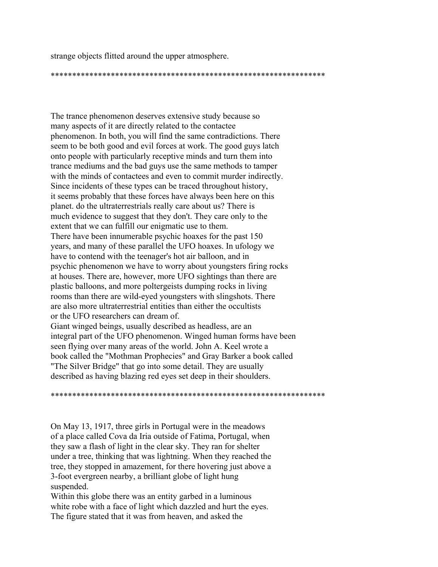strange objects flitted around the upper atmosphere.

#### \*\*\*\*\*\*\*\*\*\*\*\*\*\*\*\*\*\*\*\*\*\*\*\*\*\*\*\*\*\*\*\*\*\*\*\*\*\*\*\*\*\*\*\*\*\*\*\*\*\*\*\*\*\*\*\*\*\*\*\*\*\*\*\*

The trance phenomenon deserves extensive study because so many aspects of it are directly related to the contactee phenomenon. In both, you will find the same contradictions. There seem to be both good and evil forces at work. The good guys latch onto people with particularly receptive minds and turn them into trance mediums and the bad guys use the same methods to tamper with the minds of contactees and even to commit murder indirectly. Since incidents of these types can be traced throughout history, it seems probably that these forces have always been here on this planet. do the ultraterrestrials really care about us? There is much evidence to suggest that they don't. They care only to the extent that we can fulfill our enigmatic use to them. There have been innumerable psychic hoaxes for the past 150 years, and many of these parallel the UFO hoaxes. In ufology we have to contend with the teenager's hot air balloon, and in psychic phenomenon we have to worry about youngsters firing rocks at houses. There are, however, more UFO sightings than there are plastic balloons, and more poltergeists dumping rocks in living rooms than there are wild-eyed youngsters with slingshots. There are also more ultraterrestrial entities than either the occultists or the UFO researchers can dream of. Giant winged beings, usually described as headless, are an integral part of the UFO phenomenon. Winged human forms have been seen flying over many areas of the world. John A. Keel wrote a book called the "Mothman Prophecies" and Gray Barker a book called "The Silver Bridge" that go into some detail. They are usually described as having blazing red eyes set deep in their shoulders.

#### \*\*\*\*\*\*\*\*\*\*\*\*\*\*\*\*\*\*\*\*\*\*\*\*\*\*\*\*\*\*\*\*\*\*\*\*\*\*\*\*\*\*\*\*\*\*\*\*\*\*\*\*\*\*\*\*\*\*\*\*\*\*\*\*

On May 13, 1917, three girls in Portugal were in the meadows of a place called Cova da Iria outside of Fatima, Portugal, when they saw a flash of light in the clear sky. They ran for shelter under a tree, thinking that was lightning. When they reached the tree, they stopped in amazement, for there hovering just above a 3-foot evergreen nearby, a brilliant globe of light hung suspended.

Within this globe there was an entity garbed in a luminous white robe with a face of light which dazzled and hurt the eyes. The figure stated that it was from heaven, and asked the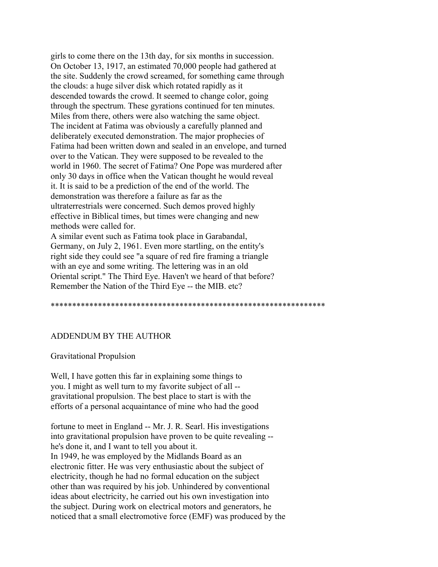girls to come there on the 13th day, for six months in succession. On October 13, 1917, an estimated 70,000 people had gathered at the site. Suddenly the crowd screamed, for something came through the clouds: a huge silver disk which rotated rapidly as it descended towards the crowd. It seemed to change color, going through the spectrum. These gyrations continued for ten minutes. Miles from there, others were also watching the same object. The incident at Fatima was obviously a carefully planned and deliberately executed demonstration. The major prophecies of Fatima had been written down and sealed in an envelope, and turned over to the Vatican. They were supposed to be revealed to the world in 1960. The secret of Fatima? One Pope was murdered after only 30 days in office when the Vatican thought he would reveal it. It is said to be a prediction of the end of the world. The demonstration was therefore a failure as far as the ultraterrestrials were concerned. Such demos proved highly effective in Biblical times, but times were changing and new methods were called for. A similar event such as Fatima took place in Garabandal,

Germany, on July 2, 1961. Even more startling, on the entity's right side they could see "a square of red fire framing a triangle with an eye and some writing. The lettering was in an old Oriental script." The Third Eye. Haven't we heard of that before? Remember the Nation of the Third Eye -- the MIB. etc?

\*\*\*\*\*\*\*\*\*\*\*\*\*\*\*\*\*\*\*\*\*\*\*\*\*\*\*\*\*\*\*\*\*\*\*\*\*\*\*\*\*\*\*\*\*\*\*\*\*\*\*\*\*\*\*\*\*\*\*\*\*\*\*\*

# ADDENDUM BY THE AUTHOR

Gravitational Propulsion

Well, I have gotten this far in explaining some things to you. I might as well turn to my favorite subject of all - gravitational propulsion. The best place to start is with the efforts of a personal acquaintance of mine who had the good

fortune to meet in England -- Mr. J. R. Searl. His investigations into gravitational propulsion have proven to be quite revealing - he's done it, and I want to tell you about it. In 1949, he was employed by the Midlands Board as an electronic fitter. He was very enthusiastic about the subject of electricity, though he had no formal education on the subject other than was required by his job. Unhindered by conventional ideas about electricity, he carried out his own investigation into the subject. During work on electrical motors and generators, he noticed that a small electromotive force (EMF) was produced by the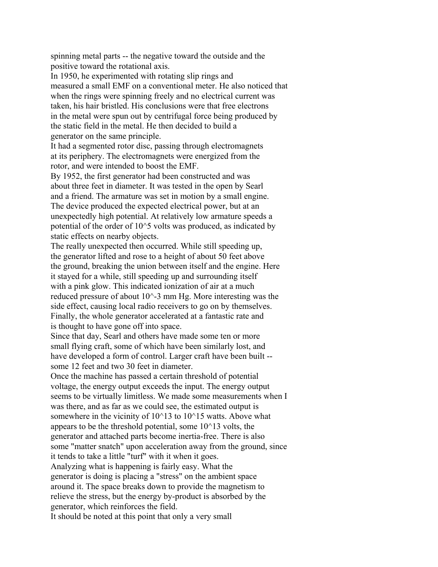spinning metal parts -- the negative toward the outside and the positive toward the rotational axis.

In 1950, he experimented with rotating slip rings and measured a small EMF on a conventional meter. He also noticed that when the rings were spinning freely and no electrical current was taken, his hair bristled. His conclusions were that free electrons in the metal were spun out by centrifugal force being produced by the static field in the metal. He then decided to build a generator on the same principle.

It had a segmented rotor disc, passing through electromagnets at its periphery. The electromagnets were energized from the rotor, and were intended to boost the EMF.

By 1952, the first generator had been constructed and was about three feet in diameter. It was tested in the open by Searl and a friend. The armature was set in motion by a small engine. The device produced the expected electrical power, but at an unexpectedly high potential. At relatively low armature speeds a potential of the order of  $10^{\text{ }}\text{/}5$  volts was produced, as indicated by static effects on nearby objects.

The really unexpected then occurred. While still speeding up, the generator lifted and rose to a height of about 50 feet above the ground, breaking the union between itself and the engine. Here it stayed for a while, still speeding up and surrounding itself with a pink glow. This indicated ionization of air at a much reduced pressure of about 10^-3 mm Hg. More interesting was the side effect, causing local radio receivers to go on by themselves. Finally, the whole generator accelerated at a fantastic rate and is thought to have gone off into space.

Since that day, Searl and others have made some ten or more small flying craft, some of which have been similarly lost, and have developed a form of control. Larger craft have been built - some 12 feet and two 30 feet in diameter.

Once the machine has passed a certain threshold of potential voltage, the energy output exceeds the input. The energy output seems to be virtually limitless. We made some measurements when I was there, and as far as we could see, the estimated output is somewhere in the vicinity of  $10^{\text{A}}13$  to  $10^{\text{A}}15$  watts. Above what appears to be the threshold potential, some  $10^{\text{A}}13$  volts, the generator and attached parts become inertia-free. There is also some "matter snatch" upon acceleration away from the ground, since it tends to take a little "turf" with it when it goes. Analyzing what is happening is fairly easy. What the generator is doing is placing a "stress" on the ambient space around it. The space breaks down to provide the magnetism to relieve the stress, but the energy by-product is absorbed by the generator, which reinforces the field. It should be noted at this point that only a very small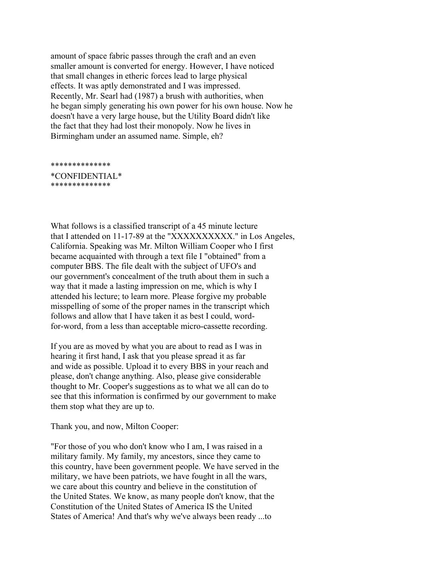amount of space fabric passes through the craft and an even smaller amount is converted for energy. However, I have noticed that small changes in etheric forces lead to large physical effects. It was aptly demonstrated and I was impressed. Recently, Mr. Searl had (1987) a brush with authorities, when he began simply generating his own power for his own house. Now he doesn't have a very large house, but the Utility Board didn't like the fact that they had lost their monopoly. Now he lives in Birmingham under an assumed name. Simple, eh?

\*\*\*\*\*\*\*\*\*\*\*\*\*\* \*CONFIDENTIAL\* \*\*\*\*\*\*\*\*\*\*\*\*\*\*

What follows is a classified transcript of a 45 minute lecture that I attended on 11-17-89 at the "XXXXXXXXXX." in Los Angeles, California. Speaking was Mr. Milton William Cooper who I first became acquainted with through a text file I "obtained" from a computer BBS. The file dealt with the subject of UFO's and our government's concealment of the truth about them in such a way that it made a lasting impression on me, which is why I attended his lecture; to learn more. Please forgive my probable misspelling of some of the proper names in the transcript which follows and allow that I have taken it as best I could, wordfor-word, from a less than acceptable micro-cassette recording.

If you are as moved by what you are about to read as I was in hearing it first hand, I ask that you please spread it as far and wide as possible. Upload it to every BBS in your reach and please, don't change anything. Also, please give considerable thought to Mr. Cooper's suggestions as to what we all can do to see that this information is confirmed by our government to make them stop what they are up to.

Thank you, and now, Milton Cooper:

"For those of you who don't know who I am, I was raised in a military family. My family, my ancestors, since they came to this country, have been government people. We have served in the military, we have been patriots, we have fought in all the wars, we care about this country and believe in the constitution of the United States. We know, as many people don't know, that the Constitution of the United States of America IS the United States of America! And that's why we've always been ready ...to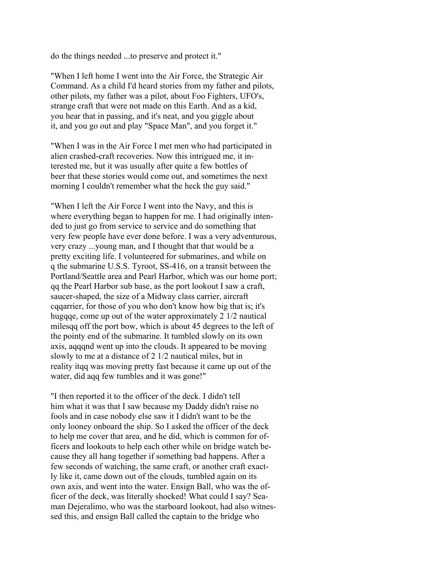do the things needed ...to preserve and protect it."

"When I left home I went into the Air Force, the Strategic Air Command. As a child I'd heard stories from my father and pilots, other pilots, my father was a pilot, about Foo Fighters, UFO's, strange craft that were not made on this Earth. And as a kid, you hear that in passing, and it's neat, and you giggle about it, and you go out and play "Space Man", and you forget it."

"When I was in the Air Force I met men who had participated in alien crashed-craft recoveries. Now this intrigued me, it interested me, but it was usually after quite a few bottles of beer that these stories would come out, and sometimes the next morning I couldn't remember what the heck the guy said."

"When I left the Air Force I went into the Navy, and this is where everything began to happen for me. I had originally intended to just go from service to service and do something that very few people have ever done before. I was a very adventurous, very crazy ...young man, and I thought that that would be a pretty exciting life. I volunteered for submarines, and while on q the submarine U.S.S. Tyroot, SS-416, on a transit between the Portland/Seattle area and Pearl Harbor, which was our home port; qq the Pearl Harbor sub base, as the port lookout I saw a craft, saucer-shaped, the size of a Midway class carrier, aircraft cqqarrier, for those of you who don't know how big that is; it's hugqqe, come up out of the water approximately 2 1/2 nautical milesqq off the port bow, which is about 45 degrees to the left of the pointy end of the submarine. It tumbled slowly on its own axis, aqqqnd went up into the clouds. It appeared to be moving slowly to me at a distance of 2 1/2 nautical miles, but in reality itqq was moving pretty fast because it came up out of the water, did aqq few tumbles and it was gone!"

"I then reported it to the officer of the deck. I didn't tell him what it was that I saw because my Daddy didn't raise no fools and in case nobody else saw it I didn't want to be the only looney onboard the ship. So I asked the officer of the deck to help me cover that area, and he did, which is common for officers and lookouts to help each other while on bridge watch because they all hang together if something bad happens. After a few seconds of watching, the same craft, or another craft exactly like it, came down out of the clouds, tumbled again on its own axis, and went into the water. Ensign Ball, who was the officer of the deck, was literally shocked! What could I say? Seaman Dejeralimo, who was the starboard lookout, had also witnessed this, and ensign Ball called the captain to the bridge who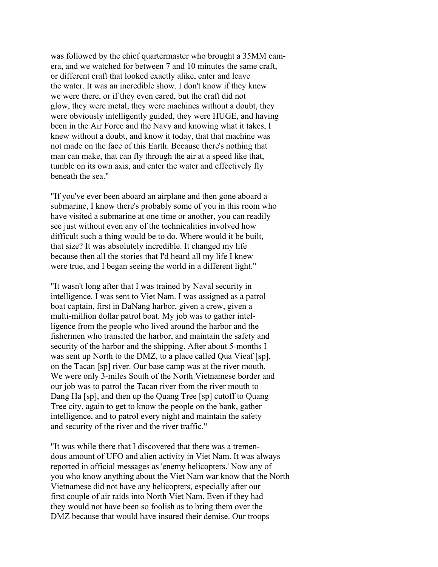was followed by the chief quartermaster who brought a 35MM camera, and we watched for between 7 and 10 minutes the same craft, or different craft that looked exactly alike, enter and leave the water. It was an incredible show. I don't know if they knew we were there, or if they even cared, but the craft did not glow, they were metal, they were machines without a doubt, they were obviously intelligently guided, they were HUGE, and having been in the Air Force and the Navy and knowing what it takes, I knew without a doubt, and know it today, that that machine was not made on the face of this Earth. Because there's nothing that man can make, that can fly through the air at a speed like that, tumble on its own axis, and enter the water and effectively fly beneath the sea."

"If you've ever been aboard an airplane and then gone aboard a submarine, I know there's probably some of you in this room who have visited a submarine at one time or another, you can readily see just without even any of the technicalities involved how difficult such a thing would be to do. Where would it be built, that size? It was absolutely incredible. It changed my life because then all the stories that I'd heard all my life I knew were true, and I began seeing the world in a different light."

"It wasn't long after that I was trained by Naval security in intelligence. I was sent to Viet Nam. I was assigned as a patrol boat captain, first in DaNang harbor, given a crew, given a multi-million dollar patrol boat. My job was to gather intelligence from the people who lived around the harbor and the fishermen who transited the harbor, and maintain the safety and security of the harbor and the shipping. After about 5-months I was sent up North to the DMZ, to a place called Qua Vieaf [sp], on the Tacan [sp] river. Our base camp was at the river mouth. We were only 3-miles South of the North Vietnamese border and our job was to patrol the Tacan river from the river mouth to Dang Ha [sp], and then up the Quang Tree [sp] cutoff to Quang Tree city, again to get to know the people on the bank, gather intelligence, and to patrol every night and maintain the safety and security of the river and the river traffic."

"It was while there that I discovered that there was a tremendous amount of UFO and alien activity in Viet Nam. It was always reported in official messages as 'enemy helicopters.' Now any of you who know anything about the Viet Nam war know that the North Vietnamese did not have any helicopters, especially after our first couple of air raids into North Viet Nam. Even if they had they would not have been so foolish as to bring them over the DMZ because that would have insured their demise. Our troops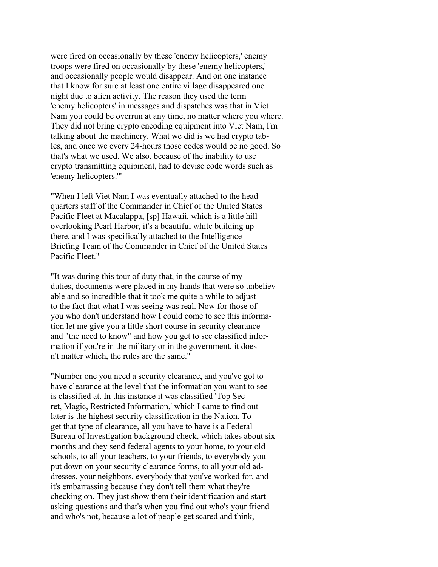were fired on occasionally by these 'enemy helicopters,' enemy troops were fired on occasionally by these 'enemy helicopters,' and occasionally people would disappear. And on one instance that I know for sure at least one entire village disappeared one night due to alien activity. The reason they used the term 'enemy helicopters' in messages and dispatches was that in Viet Nam you could be overrun at any time, no matter where you where. They did not bring crypto encoding equipment into Viet Nam, I'm talking about the machinery. What we did is we had crypto tables, and once we every 24-hours those codes would be no good. So that's what we used. We also, because of the inability to use crypto transmitting equipment, had to devise code words such as 'enemy helicopters.'"

"When I left Viet Nam I was eventually attached to the headquarters staff of the Commander in Chief of the United States Pacific Fleet at Macalappa, [sp] Hawaii, which is a little hill overlooking Pearl Harbor, it's a beautiful white building up there, and I was specifically attached to the Intelligence Briefing Team of the Commander in Chief of the United States Pacific Fleet."

"It was during this tour of duty that, in the course of my duties, documents were placed in my hands that were so unbelievable and so incredible that it took me quite a while to adjust to the fact that what I was seeing was real. Now for those of you who don't understand how I could come to see this information let me give you a little short course in security clearance and "the need to know" and how you get to see classified information if you're in the military or in the government, it doesn't matter which, the rules are the same."

"Number one you need a security clearance, and you've got to have clearance at the level that the information you want to see is classified at. In this instance it was classified 'Top Secret, Magic, Restricted Information,' which I came to find out later is the highest security classification in the Nation. To get that type of clearance, all you have to have is a Federal Bureau of Investigation background check, which takes about six months and they send federal agents to your home, to your old schools, to all your teachers, to your friends, to everybody you put down on your security clearance forms, to all your old addresses, your neighbors, everybody that you've worked for, and it's embarrassing because they don't tell them what they're checking on. They just show them their identification and start asking questions and that's when you find out who's your friend and who's not, because a lot of people get scared and think,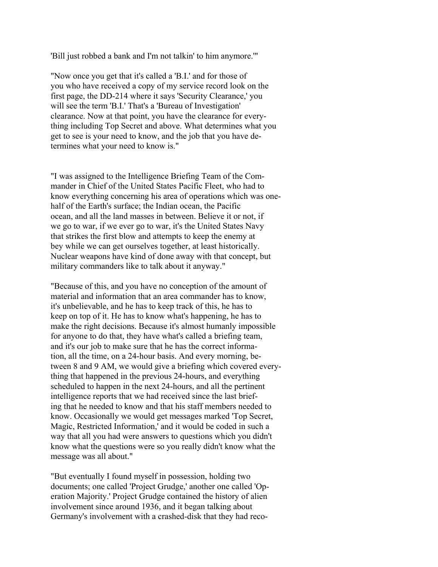'Bill just robbed a bank and I'm not talkin' to him anymore.'"

"Now once you get that it's called a 'B.I.' and for those of you who have received a copy of my service record look on the first page, the DD-214 where it says 'Security Clearance,' you will see the term 'B.I.' That's a 'Bureau of Investigation' clearance. Now at that point, you have the clearance for everything including Top Secret and above. What determines what you get to see is your need to know, and the job that you have determines what your need to know is."

"I was assigned to the Intelligence Briefing Team of the Commander in Chief of the United States Pacific Fleet, who had to know everything concerning his area of operations which was onehalf of the Earth's surface; the Indian ocean, the Pacific ocean, and all the land masses in between. Believe it or not, if we go to war, if we ever go to war, it's the United States Navy that strikes the first blow and attempts to keep the enemy at bey while we can get ourselves together, at least historically. Nuclear weapons have kind of done away with that concept, but military commanders like to talk about it anyway."

"Because of this, and you have no conception of the amount of material and information that an area commander has to know, it's unbelievable, and he has to keep track of this, he has to keep on top of it. He has to know what's happening, he has to make the right decisions. Because it's almost humanly impossible for anyone to do that, they have what's called a briefing team, and it's our job to make sure that he has the correct information, all the time, on a 24-hour basis. And every morning, between 8 and 9 AM, we would give a briefing which covered everything that happened in the previous 24-hours, and everything scheduled to happen in the next 24-hours, and all the pertinent intelligence reports that we had received since the last briefing that he needed to know and that his staff members needed to know. Occasionally we would get messages marked 'Top Secret, Magic, Restricted Information,' and it would be coded in such a way that all you had were answers to questions which you didn't know what the questions were so you really didn't know what the message was all about."

"But eventually I found myself in possession, holding two documents; one called 'Project Grudge,' another one called 'Operation Majority.' Project Grudge contained the history of alien involvement since around 1936, and it began talking about Germany's involvement with a crashed-disk that they had reco-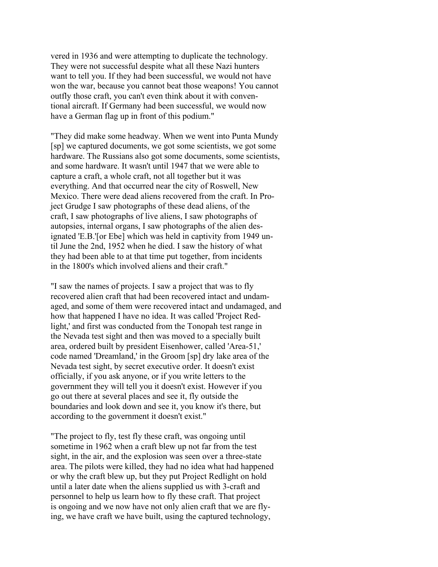vered in 1936 and were attempting to duplicate the technology. They were not successful despite what all these Nazi hunters want to tell you. If they had been successful, we would not have won the war, because you cannot beat those weapons! You cannot outfly those craft, you can't even think about it with conventional aircraft. If Germany had been successful, we would now have a German flag up in front of this podium."

"They did make some headway. When we went into Punta Mundy [sp] we captured documents, we got some scientists, we got some hardware. The Russians also got some documents, some scientists, and some hardware. It wasn't until 1947 that we were able to capture a craft, a whole craft, not all together but it was everything. And that occurred near the city of Roswell, New Mexico. There were dead aliens recovered from the craft. In Project Grudge I saw photographs of these dead aliens, of the craft, I saw photographs of live aliens, I saw photographs of autopsies, internal organs, I saw photographs of the alien designated 'E.B.'[or Ebe] which was held in captivity from 1949 until June the 2nd, 1952 when he died. I saw the history of what they had been able to at that time put together, from incidents in the 1800's which involved aliens and their craft."

"I saw the names of projects. I saw a project that was to fly recovered alien craft that had been recovered intact and undamaged, and some of them were recovered intact and undamaged, and how that happened I have no idea. It was called 'Project Redlight,' and first was conducted from the Tonopah test range in the Nevada test sight and then was moved to a specially built area, ordered built by president Eisenhower, called 'Area-51,' code named 'Dreamland,' in the Groom [sp] dry lake area of the Nevada test sight, by secret executive order. It doesn't exist officially, if you ask anyone, or if you write letters to the government they will tell you it doesn't exist. However if you go out there at several places and see it, fly outside the boundaries and look down and see it, you know it's there, but according to the government it doesn't exist."

"The project to fly, test fly these craft, was ongoing until sometime in 1962 when a craft blew up not far from the test sight, in the air, and the explosion was seen over a three-state area. The pilots were killed, they had no idea what had happened or why the craft blew up, but they put Project Redlight on hold until a later date when the aliens supplied us with 3-craft and personnel to help us learn how to fly these craft. That project is ongoing and we now have not only alien craft that we are flying, we have craft we have built, using the captured technology,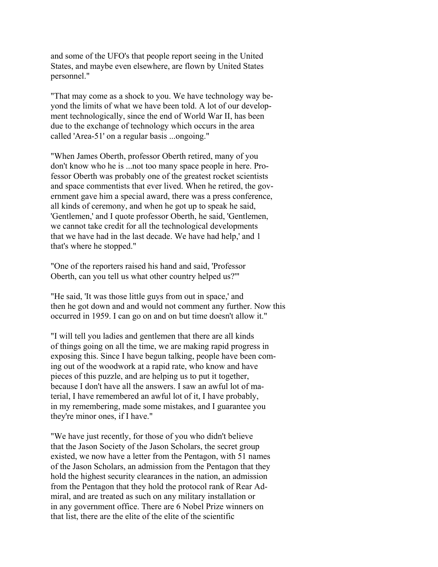and some of the UFO's that people report seeing in the United States, and maybe even elsewhere, are flown by United States personnel."

"That may come as a shock to you. We have technology way beyond the limits of what we have been told. A lot of our development technologically, since the end of World War II, has been due to the exchange of technology which occurs in the area called 'Area-51' on a regular basis ...ongoing."

"When James Oberth, professor Oberth retired, many of you don't know who he is ...not too many space people in here. Professor Oberth was probably one of the greatest rocket scientists and space commentists that ever lived. When he retired, the government gave him a special award, there was a press conference, all kinds of ceremony, and when he got up to speak he said, 'Gentlemen,' and I quote professor Oberth, he said, 'Gentlemen, we cannot take credit for all the technological developments that we have had in the last decade. We have had help,' and 1 that's where he stopped."

"One of the reporters raised his hand and said, 'Professor Oberth, can you tell us what other country helped us?'"

"He said, 'It was those little guys from out in space,' and then he got down and and would not comment any further. Now this occurred in 1959. I can go on and on but time doesn't allow it."

"I will tell you ladies and gentlemen that there are all kinds of things going on all the time, we are making rapid progress in exposing this. Since I have begun talking, people have been coming out of the woodwork at a rapid rate, who know and have pieces of this puzzle, and are helping us to put it together, because I don't have all the answers. I saw an awful lot of material, I have remembered an awful lot of it, I have probably, in my remembering, made some mistakes, and I guarantee you they're minor ones, if I have."

"We have just recently, for those of you who didn't believe that the Jason Society of the Jason Scholars, the secret group existed, we now have a letter from the Pentagon, with 51 names of the Jason Scholars, an admission from the Pentagon that they hold the highest security clearances in the nation, an admission from the Pentagon that they hold the protocol rank of Rear Admiral, and are treated as such on any military installation or in any government office. There are 6 Nobel Prize winners on that list, there are the elite of the elite of the scientific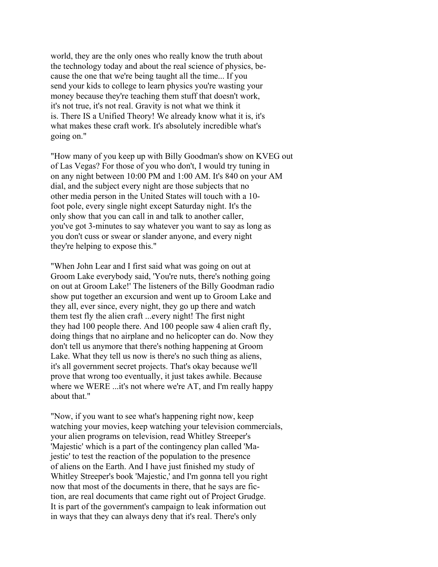world, they are the only ones who really know the truth about the technology today and about the real science of physics, because the one that we're being taught all the time... If you send your kids to college to learn physics you're wasting your money because they're teaching them stuff that doesn't work, it's not true, it's not real. Gravity is not what we think it is. There IS a Unified Theory! We already know what it is, it's what makes these craft work. It's absolutely incredible what's going on."

"How many of you keep up with Billy Goodman's show on KVEG out of Las Vegas? For those of you who don't, I would try tuning in on any night between 10:00 PM and 1:00 AM. It's 840 on your AM dial, and the subject every night are those subjects that no other media person in the United States will touch with a 10 foot pole, every single night except Saturday night. It's the only show that you can call in and talk to another caller, you've got 3-minutes to say whatever you want to say as long as you don't cuss or swear or slander anyone, and every night they're helping to expose this."

"When John Lear and I first said what was going on out at Groom Lake everybody said, 'You're nuts, there's nothing going on out at Groom Lake!' The listeners of the Billy Goodman radio show put together an excursion and went up to Groom Lake and they all, ever since, every night, they go up there and watch them test fly the alien craft ...every night! The first night they had 100 people there. And 100 people saw 4 alien craft fly, doing things that no airplane and no helicopter can do. Now they don't tell us anymore that there's nothing happening at Groom Lake. What they tell us now is there's no such thing as aliens, it's all government secret projects. That's okay because we'll prove that wrong too eventually, it just takes awhile. Because where we WERE ...it's not where we're AT, and I'm really happy about that."

"Now, if you want to see what's happening right now, keep watching your movies, keep watching your television commercials, your alien programs on television, read Whitley Streeper's 'Majestic' which is a part of the contingency plan called 'Majestic' to test the reaction of the population to the presence of aliens on the Earth. And I have just finished my study of Whitley Streeper's book 'Majestic,' and I'm gonna tell you right now that most of the documents in there, that he says are fiction, are real documents that came right out of Project Grudge. It is part of the government's campaign to leak information out in ways that they can always deny that it's real. There's only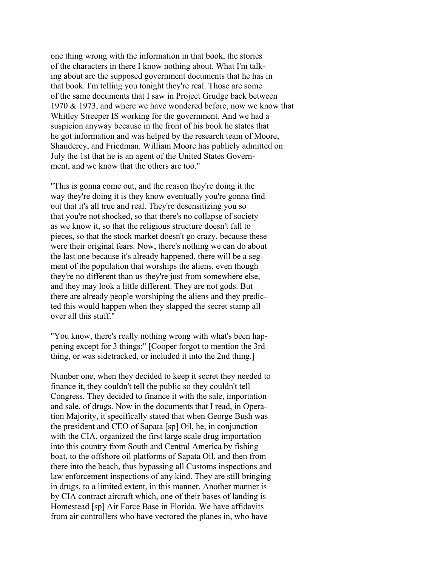one thing wrong with the information in that book, the stories of the characters in there I know nothing about. What I'm talking about are the supposed government documents that he has in that book. I'm telling you tonight they're real. Those are some of the same documents that I saw in Project Grudge back between 1970 & 1973, and where we have wondered before, now we know that Whitley Streeper IS working for the government. And we had a suspicion anyway because in the front of his book he states that he got information and was helped by the research team of Moore, Shanderey, and Friedman. William Moore has publicly admitted on July the 1st that he is an agent of the United States Government, and we know that the others are too."

"This is gonna come out, and the reason they're doing it the way they're doing it is they know eventually you're gonna find out that it's all true and real. They're desensitizing you so that you're not shocked, so that there's no collapse of society as we know it, so that the religious structure doesn't fall to pieces, so that the stock market doesn't go crazy, because these were their original fears. Now, there's nothing we can do about the last one because it's already happened, there will be a segment of the population that worships the aliens, even though they're no different than us they're just from somewhere else, and they may look a little different. They are not gods. But there are already people worshiping the aliens and they predicted this would happen when they slapped the secret stamp all over all this stuff."

"You know, there's really nothing wrong with what's been happening except for 3 things;" [Cooper forgot to mention the 3rd thing, or was sidetracked, or included it into the 2nd thing.]

Number one, when they decided to keep it secret they needed to finance it, they couldn't tell the public so they couldn't tell Congress. They decided to finance it with the sale, importation and sale, of drugs. Now in the documents that I read, in Operation Majority, it specifically stated that when George Bush was the president and CEO of Sapata [sp] Oil, he, in conjunction with the CIA, organized the first large scale drug importation into this country from South and Central America by fishing boat, to the offshore oil platforms of Sapata Oil, and then from there into the beach, thus bypassing all Customs inspections and law enforcement inspections of any kind. They are still bringing in drugs, to a limited extent, in this manner. Another manner is by CIA contract aircraft which, one of their bases of landing is Homestead [sp] Air Force Base in Florida. We have affidavits from air controllers who have vectored the planes in, who have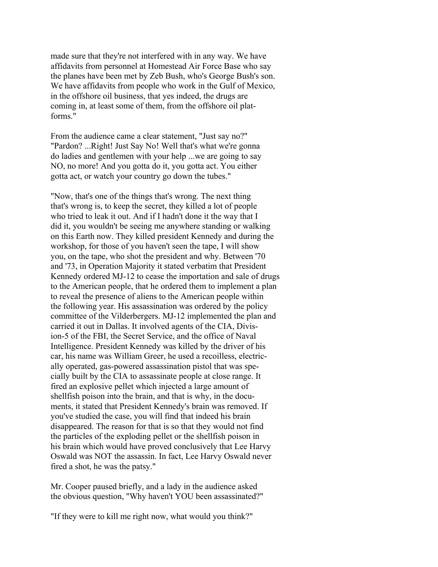made sure that they're not interfered with in any way. We have affidavits from personnel at Homestead Air Force Base who say the planes have been met by Zeb Bush, who's George Bush's son. We have affidavits from people who work in the Gulf of Mexico, in the offshore oil business, that yes indeed, the drugs are coming in, at least some of them, from the offshore oil platforms."

From the audience came a clear statement, "Just say no?" "Pardon? ...Right! Just Say No! Well that's what we're gonna do ladies and gentlemen with your help ...we are going to say NO, no more! And you gotta do it, you gotta act. You either gotta act, or watch your country go down the tubes."

"Now, that's one of the things that's wrong. The next thing that's wrong is, to keep the secret, they killed a lot of people who tried to leak it out. And if I hadn't done it the way that I did it, you wouldn't be seeing me anywhere standing or walking on this Earth now. They killed president Kennedy and during the workshop, for those of you haven't seen the tape, I will show you, on the tape, who shot the president and why. Between '70 and '73, in Operation Majority it stated verbatim that President Kennedy ordered MJ-12 to cease the importation and sale of drugs to the American people, that he ordered them to implement a plan to reveal the presence of aliens to the American people within the following year. His assassination was ordered by the policy committee of the Vilderbergers. MJ-12 implemented the plan and carried it out in Dallas. It involved agents of the CIA, Division-5 of the FBI, the Secret Service, and the office of Naval Intelligence. President Kennedy was killed by the driver of his car, his name was William Greer, he used a recoilless, electrically operated, gas-powered assassination pistol that was specially built by the CIA to assassinate people at close range. It fired an explosive pellet which injected a large amount of shellfish poison into the brain, and that is why, in the documents, it stated that President Kennedy's brain was removed. If you've studied the case, you will find that indeed his brain disappeared. The reason for that is so that they would not find the particles of the exploding pellet or the shellfish poison in his brain which would have proved conclusively that Lee Harvy Oswald was NOT the assassin. In fact, Lee Harvy Oswald never fired a shot, he was the patsy."

Mr. Cooper paused briefly, and a lady in the audience asked the obvious question, "Why haven't YOU been assassinated?"

"If they were to kill me right now, what would you think?"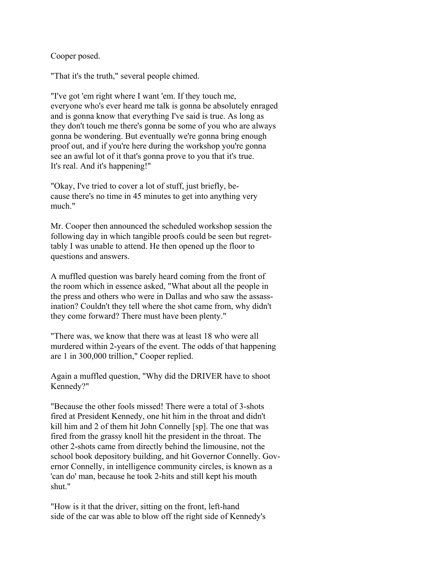#### Cooper posed.

"That it's the truth," several people chimed.

"I've got 'em right where I want 'em. If they touch me, everyone who's ever heard me talk is gonna be absolutely enraged and is gonna know that everything I've said is true. As long as they don't touch me there's gonna be some of you who are always gonna be wondering. But eventually we're gonna bring enough proof out, and if you're here during the workshop you're gonna see an awful lot of it that's gonna prove to you that it's true. It's real. And it's happening!"

"Okay, I've tried to cover a lot of stuff, just briefly, because there's no time in 45 minutes to get into anything very much."

Mr. Cooper then announced the scheduled workshop session the following day in which tangible proofs could be seen but regrettably I was unable to attend. He then opened up the floor to questions and answers.

A muffled question was barely heard coming from the front of the room which in essence asked, "What about all the people in the press and others who were in Dallas and who saw the assassination? Couldn't they tell where the shot came from, why didn't they come forward? There must have been plenty."

"There was, we know that there was at least 18 who were all murdered within 2-years of the event. The odds of that happening are 1 in 300,000 trillion," Cooper replied.

Again a muffled question, "Why did the DRIVER have to shoot Kennedy?"

"Because the other fools missed! There were a total of 3-shots fired at President Kennedy, one hit him in the throat and didn't kill him and 2 of them hit John Connelly [sp]. The one that was fired from the grassy knoll hit the president in the throat. The other 2-shots came from directly behind the limousine, not the school book depository building, and hit Governor Connelly. Governor Connelly, in intelligence community circles, is known as a 'can do' man, because he took 2-hits and still kept his mouth shut."

"How is it that the driver, sitting on the front, left-hand side of the car was able to blow off the right side of Kennedy's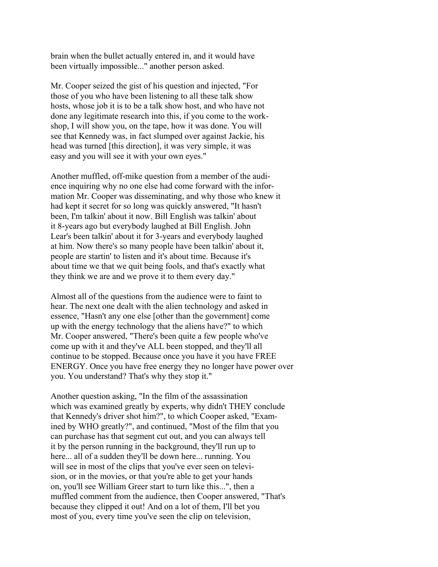brain when the bullet actually entered in, and it would have been virtually impossible..." another person asked.

Mr. Cooper seized the gist of his question and injected, "For those of you who have been listening to all these talk show hosts, whose job it is to be a talk show host, and who have not done any legitimate research into this, if you come to the workshop, I will show you, on the tape, how it was done. You will see that Kennedy was, in fact slumped over against Jackie, his head was turned [this direction], it was very simple, it was easy and you will see it with your own eyes."

Another muffled, off-mike question from a member of the audience inquiring why no one else had come forward with the information Mr. Cooper was disseminating, and why those who knew it had kept it secret for so long was quickly answered, "It hasn't been, I'm talkin' about it now. Bill English was talkin' about it 8-years ago but everybody laughed at Bill English. John Lear's been talkin' about it for 3-years and everybody laughed at him. Now there's so many people have been talkin' about it, people are startin' to listen and it's about time. Because it's about time we that we quit being fools, and that's exactly what they think we are and we prove it to them every day."

Almost all of the questions from the audience were to faint to hear. The next one dealt with the alien technology and asked in essence, "Hasn't any one else [other than the government] come up with the energy technology that the aliens have?" to which Mr. Cooper answered, "There's been quite a few people who've come up with it and they've ALL been stopped, and they'll all continue to be stopped. Because once you have it you have FREE ENERGY. Once you have free energy they no longer have power over you. You understand? That's why they stop it."

Another question asking, "In the film of the assassination which was examined greatly by experts, why didn't THEY conclude that Kennedy's driver shot him?", to which Cooper asked, "Examined by WHO greatly?", and continued, "Most of the film that you can purchase has that segment cut out, and you can always tell it by the person running in the background, they'll run up to here... all of a sudden they'll be down here... running. You will see in most of the clips that you've ever seen on television, or in the movies, or that you're able to get your hands on, you'll see William Greer start to turn like this...", then a muffled comment from the audience, then Cooper answered, "That's because they clipped it out! And on a lot of them, I'll bet you most of you, every time you've seen the clip on television,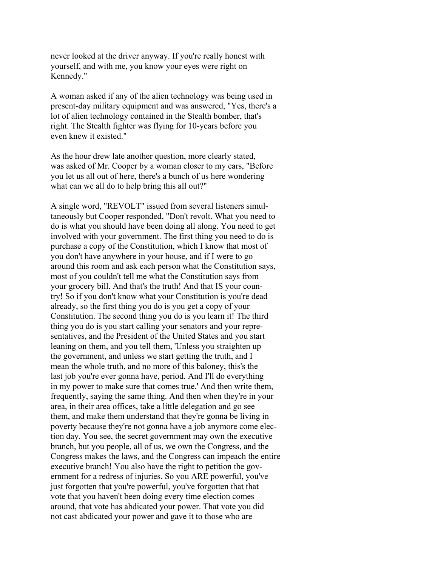never looked at the driver anyway. If you're really honest with yourself, and with me, you know your eyes were right on Kennedy."

A woman asked if any of the alien technology was being used in present-day military equipment and was answered, "Yes, there's a lot of alien technology contained in the Stealth bomber, that's right. The Stealth fighter was flying for 10-years before you even knew it existed."

As the hour drew late another question, more clearly stated, was asked of Mr. Cooper by a woman closer to my ears, "Before you let us all out of here, there's a bunch of us here wondering what can we all do to help bring this all out?"

A single word, "REVOLT" issued from several listeners simultaneously but Cooper responded, "Don't revolt. What you need to do is what you should have been doing all along. You need to get involved with your government. The first thing you need to do is purchase a copy of the Constitution, which I know that most of you don't have anywhere in your house, and if I were to go around this room and ask each person what the Constitution says, most of you couldn't tell me what the Constitution says from your grocery bill. And that's the truth! And that IS your country! So if you don't know what your Constitution is you're dead already, so the first thing you do is you get a copy of your Constitution. The second thing you do is you learn it! The third thing you do is you start calling your senators and your representatives, and the President of the United States and you start leaning on them, and you tell them, 'Unless you straighten up the government, and unless we start getting the truth, and I mean the whole truth, and no more of this baloney, this's the last job you're ever gonna have, period. And I'll do everything in my power to make sure that comes true.' And then write them, frequently, saying the same thing. And then when they're in your area, in their area offices, take a little delegation and go see them, and make them understand that they're gonna be living in poverty because they're not gonna have a job anymore come election day. You see, the secret government may own the executive branch, but you people, all of us, we own the Congress, and the Congress makes the laws, and the Congress can impeach the entire executive branch! You also have the right to petition the government for a redress of injuries. So you ARE powerful, you've just forgotten that you're powerful, you've forgotten that that vote that you haven't been doing every time election comes around, that vote has abdicated your power. That vote you did not cast abdicated your power and gave it to those who are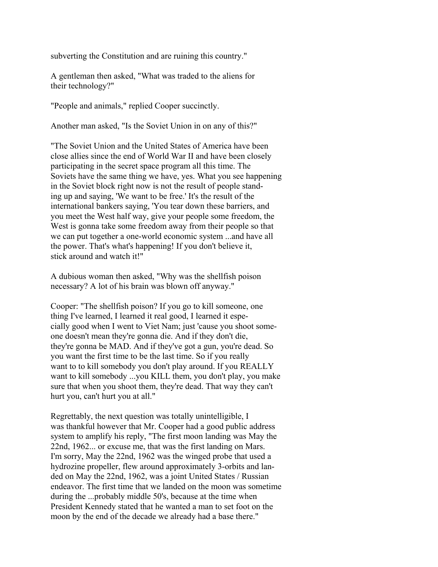subverting the Constitution and are ruining this country."

A gentleman then asked, "What was traded to the aliens for their technology?"

"People and animals," replied Cooper succinctly.

Another man asked, "Is the Soviet Union in on any of this?"

"The Soviet Union and the United States of America have been close allies since the end of World War II and have been closely participating in the secret space program all this time. The Soviets have the same thing we have, yes. What you see happening in the Soviet block right now is not the result of people standing up and saying, 'We want to be free.' It's the result of the international bankers saying, 'You tear down these barriers, and you meet the West half way, give your people some freedom, the West is gonna take some freedom away from their people so that we can put together a one-world economic system ...and have all the power. That's what's happening! If you don't believe it, stick around and watch it!"

A dubious woman then asked, "Why was the shellfish poison necessary? A lot of his brain was blown off anyway."

Cooper: "The shellfish poison? If you go to kill someone, one thing I've learned, I learned it real good, I learned it especially good when I went to Viet Nam; just 'cause you shoot someone doesn't mean they're gonna die. And if they don't die, they're gonna be MAD. And if they've got a gun, you're dead. So you want the first time to be the last time. So if you really want to to kill somebody you don't play around. If you REALLY want to kill somebody ...you KILL them, you don't play, you make sure that when you shoot them, they're dead. That way they can't hurt you, can't hurt you at all."

Regrettably, the next question was totally unintelligible, I was thankful however that Mr. Cooper had a good public address system to amplify his reply, "The first moon landing was May the 22nd, 1962... or excuse me, that was the first landing on Mars. I'm sorry, May the 22nd, 1962 was the winged probe that used a hydrozine propeller, flew around approximately 3-orbits and landed on May the 22nd, 1962, was a joint United States / Russian endeavor. The first time that we landed on the moon was sometime during the ...probably middle 50's, because at the time when President Kennedy stated that he wanted a man to set foot on the moon by the end of the decade we already had a base there."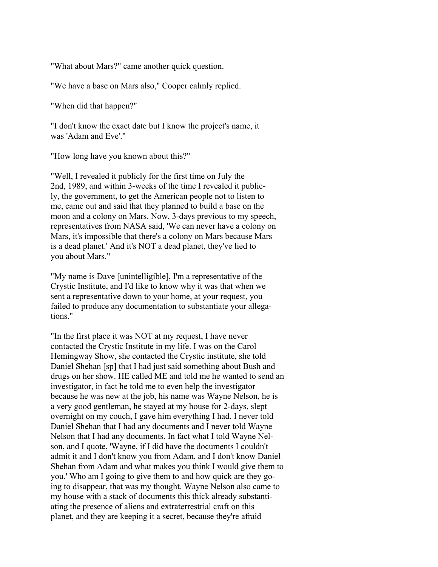"What about Mars?" came another quick question.

"We have a base on Mars also," Cooper calmly replied.

"When did that happen?"

"I don't know the exact date but I know the project's name, it was 'Adam and Eve'."

"How long have you known about this?"

"Well, I revealed it publicly for the first time on July the 2nd, 1989, and within 3-weeks of the time I revealed it publicly, the government, to get the American people not to listen to me, came out and said that they planned to build a base on the moon and a colony on Mars. Now, 3-days previous to my speech, representatives from NASA said, 'We can never have a colony on Mars, it's impossible that there's a colony on Mars because Mars is a dead planet.' And it's NOT a dead planet, they've lied to you about Mars."

"My name is Dave [unintelligible], I'm a representative of the Crystic Institute, and I'd like to know why it was that when we sent a representative down to your home, at your request, you failed to produce any documentation to substantiate your allegations."

"In the first place it was NOT at my request, I have never contacted the Crystic Institute in my life. I was on the Carol Hemingway Show, she contacted the Crystic institute, she told Daniel Shehan [sp] that I had just said something about Bush and drugs on her show. HE called ME and told me he wanted to send an investigator, in fact he told me to even help the investigator because he was new at the job, his name was Wayne Nelson, he is a very good gentleman, he stayed at my house for 2-days, slept overnight on my couch, I gave him everything I had. I never told Daniel Shehan that I had any documents and I never told Wayne Nelson that I had any documents. In fact what I told Wayne Nelson, and I quote, 'Wayne, if I did have the documents I couldn't admit it and I don't know you from Adam, and I don't know Daniel Shehan from Adam and what makes you think I would give them to you.' Who am I going to give them to and how quick are they going to disappear, that was my thought. Wayne Nelson also came to my house with a stack of documents this thick already substantiating the presence of aliens and extraterrestrial craft on this planet, and they are keeping it a secret, because they're afraid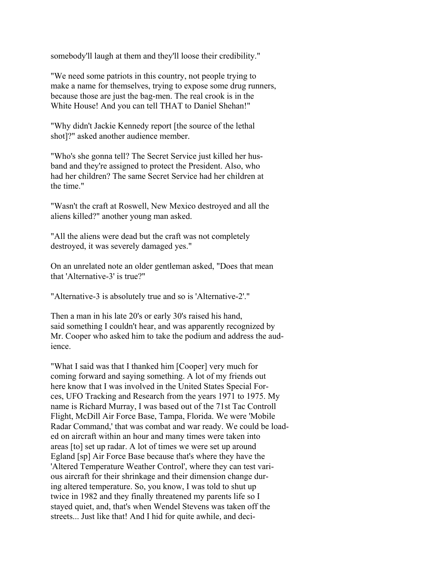somebody'll laugh at them and they'll loose their credibility."

"We need some patriots in this country, not people trying to make a name for themselves, trying to expose some drug runners, because those are just the bag-men. The real crook is in the White House! And you can tell THAT to Daniel Shehan!"

"Why didn't Jackie Kennedy report [the source of the lethal shot]?" asked another audience member.

"Who's she gonna tell? The Secret Service just killed her husband and they're assigned to protect the President. Also, who had her children? The same Secret Service had her children at the time."

"Wasn't the craft at Roswell, New Mexico destroyed and all the aliens killed?" another young man asked.

"All the aliens were dead but the craft was not completely destroyed, it was severely damaged yes."

On an unrelated note an older gentleman asked, "Does that mean that 'Alternative-3' is true?"

"Alternative-3 is absolutely true and so is 'Alternative-2'."

Then a man in his late 20's or early 30's raised his hand, said something I couldn't hear, and was apparently recognized by Mr. Cooper who asked him to take the podium and address the audience.

"What I said was that I thanked him [Cooper] very much for coming forward and saying something. A lot of my friends out here know that I was involved in the United States Special Forces, UFO Tracking and Research from the years 1971 to 1975. My name is Richard Murray, I was based out of the 71st Tac Controll Flight, McDill Air Force Base, Tampa, Florida. We were 'Mobile Radar Command,' that was combat and war ready. We could be loaded on aircraft within an hour and many times were taken into areas [to] set up radar. A lot of times we were set up around Egland [sp] Air Force Base because that's where they have the 'Altered Temperature Weather Control', where they can test various aircraft for their shrinkage and their dimension change during altered temperature. So, you know, I was told to shut up twice in 1982 and they finally threatened my parents life so I stayed quiet, and, that's when Wendel Stevens was taken off the streets... Just like that! And I hid for quite awhile, and deci-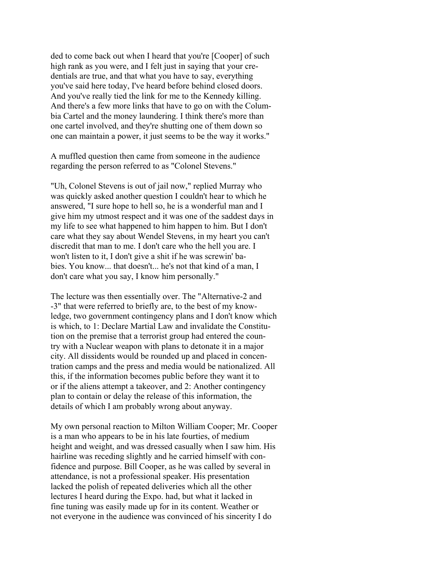ded to come back out when I heard that you're [Cooper] of such high rank as you were, and I felt just in saying that your credentials are true, and that what you have to say, everything you've said here today, I've heard before behind closed doors. And you've really tied the link for me to the Kennedy killing. And there's a few more links that have to go on with the Columbia Cartel and the money laundering. I think there's more than one cartel involved, and they're shutting one of them down so one can maintain a power, it just seems to be the way it works."

A muffled question then came from someone in the audience regarding the person referred to as "Colonel Stevens."

"Uh, Colonel Stevens is out of jail now," replied Murray who was quickly asked another question I couldn't hear to which he answered, "I sure hope to hell so, he is a wonderful man and I give him my utmost respect and it was one of the saddest days in my life to see what happened to him happen to him. But I don't care what they say about Wendel Stevens, in my heart you can't discredit that man to me. I don't care who the hell you are. I won't listen to it, I don't give a shit if he was screwin' babies. You know... that doesn't... he's not that kind of a man, I don't care what you say, I know him personally."

The lecture was then essentially over. The "Alternative-2 and -3" that were referred to briefly are, to the best of my knowledge, two government contingency plans and I don't know which is which, to 1: Declare Martial Law and invalidate the Constitution on the premise that a terrorist group had entered the country with a Nuclear weapon with plans to detonate it in a major city. All dissidents would be rounded up and placed in concentration camps and the press and media would be nationalized. All this, if the information becomes public before they want it to or if the aliens attempt a takeover, and 2: Another contingency plan to contain or delay the release of this information, the details of which I am probably wrong about anyway.

My own personal reaction to Milton William Cooper; Mr. Cooper is a man who appears to be in his late fourties, of medium height and weight, and was dressed casually when I saw him. His hairline was receding slightly and he carried himself with confidence and purpose. Bill Cooper, as he was called by several in attendance, is not a professional speaker. His presentation lacked the polish of repeated deliveries which all the other lectures I heard during the Expo. had, but what it lacked in fine tuning was easily made up for in its content. Weather or not everyone in the audience was convinced of his sincerity I do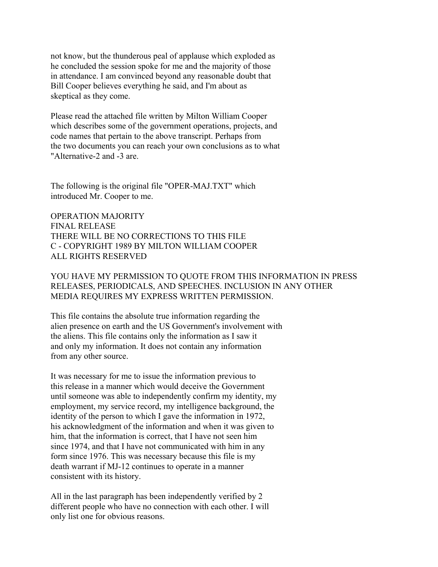not know, but the thunderous peal of applause which exploded as he concluded the session spoke for me and the majority of those in attendance. I am convinced beyond any reasonable doubt that Bill Cooper believes everything he said, and I'm about as skeptical as they come.

Please read the attached file written by Milton William Cooper which describes some of the government operations, projects, and code names that pertain to the above transcript. Perhaps from the two documents you can reach your own conclusions as to what "Alternative-2 and -3 are

The following is the original file "OPER-MAJ.TXT" which introduced Mr. Cooper to me.

OPERATION MAJORITY FINAL RELEASE THERE WILL BE NO CORRECTIONS TO THIS FILE C - COPYRIGHT 1989 BY MILTON WILLIAM COOPER ALL RIGHTS RESERVED

## YOU HAVE MY PERMISSION TO QUOTE FROM THIS INFORMATION IN PRESS RELEASES, PERIODICALS, AND SPEECHES. INCLUSION IN ANY OTHER MEDIA REQUIRES MY EXPRESS WRITTEN PERMISSION.

This file contains the absolute true information regarding the alien presence on earth and the US Government's involvement with the aliens. This file contains only the information as I saw it and only my information. It does not contain any information from any other source.

It was necessary for me to issue the information previous to this release in a manner which would deceive the Government until someone was able to independently confirm my identity, my employment, my service record, my intelligence background, the identity of the person to which I gave the information in 1972, his acknowledgment of the information and when it was given to him, that the information is correct, that I have not seen him since 1974, and that I have not communicated with him in any form since 1976. This was necessary because this file is my death warrant if MJ-12 continues to operate in a manner consistent with its history.

All in the last paragraph has been independently verified by 2 different people who have no connection with each other. I will only list one for obvious reasons.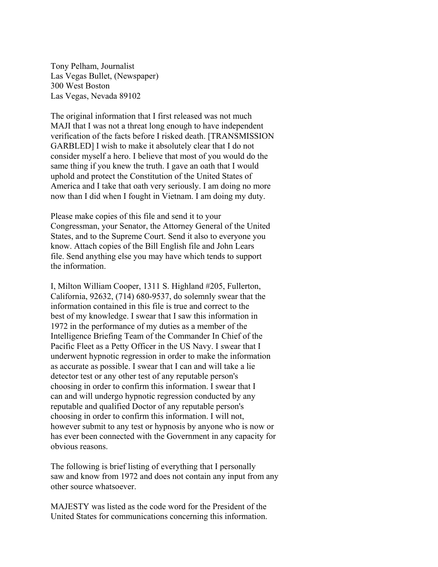Tony Pelham, Journalist Las Vegas Bullet, (Newspaper) 300 West Boston Las Vegas, Nevada 89102

The original information that I first released was not much MAJI that I was not a threat long enough to have independent verification of the facts before I risked death. [TRANSMISSION GARBLED] I wish to make it absolutely clear that I do not consider myself a hero. I believe that most of you would do the same thing if you knew the truth. I gave an oath that I would uphold and protect the Constitution of the United States of America and I take that oath very seriously. I am doing no more now than I did when I fought in Vietnam. I am doing my duty.

Please make copies of this file and send it to your Congressman, your Senator, the Attorney General of the United States, and to the Supreme Court. Send it also to everyone you know. Attach copies of the Bill English file and John Lears file. Send anything else you may have which tends to support the information.

I, Milton William Cooper, 1311 S. Highland #205, Fullerton, California, 92632, (714) 680-9537, do solemnly swear that the information contained in this file is true and correct to the best of my knowledge. I swear that I saw this information in 1972 in the performance of my duties as a member of the Intelligence Briefing Team of the Commander In Chief of the Pacific Fleet as a Petty Officer in the US Navy. I swear that I underwent hypnotic regression in order to make the information as accurate as possible. I swear that I can and will take a lie detector test or any other test of any reputable person's choosing in order to confirm this information. I swear that I can and will undergo hypnotic regression conducted by any reputable and qualified Doctor of any reputable person's choosing in order to confirm this information. I will not, however submit to any test or hypnosis by anyone who is now or has ever been connected with the Government in any capacity for obvious reasons.

The following is brief listing of everything that I personally saw and know from 1972 and does not contain any input from any other source whatsoever.

MAJESTY was listed as the code word for the President of the United States for communications concerning this information.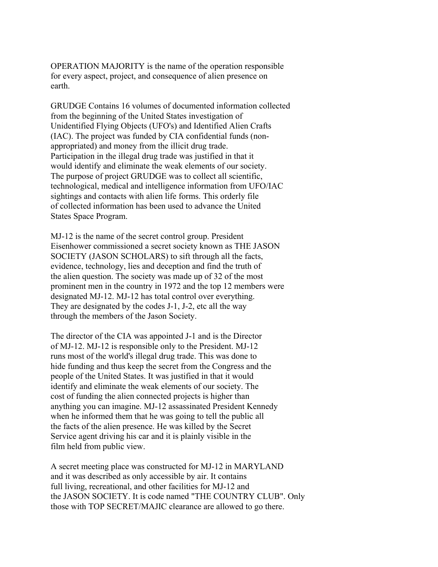OPERATION MAJORITY is the name of the operation responsible for every aspect, project, and consequence of alien presence on earth.

GRUDGE Contains 16 volumes of documented information collected from the beginning of the United States investigation of Unidentified Flying Objects (UFO's) and Identified Alien Crafts (IAC). The project was funded by CIA confidential funds (nonappropriated) and money from the illicit drug trade. Participation in the illegal drug trade was justified in that it would identify and eliminate the weak elements of our society. The purpose of project GRUDGE was to collect all scientific, technological, medical and intelligence information from UFO/IAC sightings and contacts with alien life forms. This orderly file of collected information has been used to advance the United States Space Program.

MJ-12 is the name of the secret control group. President Eisenhower commissioned a secret society known as THE JASON SOCIETY (JASON SCHOLARS) to sift through all the facts, evidence, technology, lies and deception and find the truth of the alien question. The society was made up of 32 of the most prominent men in the country in 1972 and the top 12 members were designated MJ-12. MJ-12 has total control over everything. They are designated by the codes J-1, J-2, etc all the way through the members of the Jason Society.

The director of the CIA was appointed J-1 and is the Director of MJ-12. MJ-12 is responsible only to the President. MJ-12 runs most of the world's illegal drug trade. This was done to hide funding and thus keep the secret from the Congress and the people of the United States. It was justified in that it would identify and eliminate the weak elements of our society. The cost of funding the alien connected projects is higher than anything you can imagine. MJ-12 assassinated President Kennedy when he informed them that he was going to tell the public all the facts of the alien presence. He was killed by the Secret Service agent driving his car and it is plainly visible in the film held from public view.

A secret meeting place was constructed for MJ-12 in MARYLAND and it was described as only accessible by air. It contains full living, recreational, and other facilities for MJ-12 and the JASON SOCIETY. It is code named "THE COUNTRY CLUB". Only those with TOP SECRET/MAJIC clearance are allowed to go there.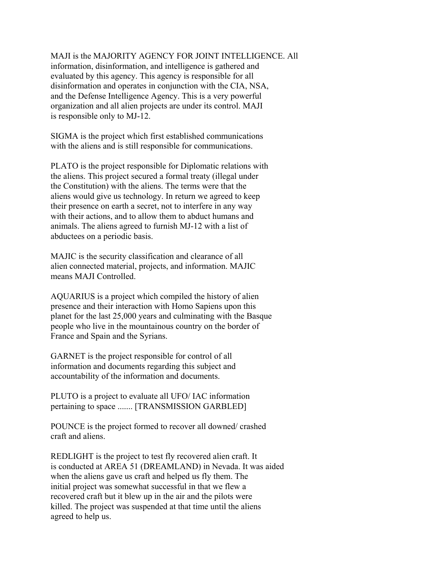MAJI is the MAJORITY AGENCY FOR JOINT INTELLIGENCE. All information, disinformation, and intelligence is gathered and evaluated by this agency. This agency is responsible for all disinformation and operates in conjunction with the CIA, NSA, and the Defense Intelligence Agency. This is a very powerful organization and all alien projects are under its control. MAJI is responsible only to MJ-12.

SIGMA is the project which first established communications with the aliens and is still responsible for communications.

PLATO is the project responsible for Diplomatic relations with the aliens. This project secured a formal treaty (illegal under the Constitution) with the aliens. The terms were that the aliens would give us technology. In return we agreed to keep their presence on earth a secret, not to interfere in any way with their actions, and to allow them to abduct humans and animals. The aliens agreed to furnish MJ-12 with a list of abductees on a periodic basis.

MAJIC is the security classification and clearance of all alien connected material, projects, and information. MAJIC means MAJI Controlled.

AQUARIUS is a project which compiled the history of alien presence and their interaction with Homo Sapiens upon this planet for the last 25,000 years and culminating with the Basque people who live in the mountainous country on the border of France and Spain and the Syrians.

GARNET is the project responsible for control of all information and documents regarding this subject and accountability of the information and documents.

PLUTO is a project to evaluate all UFO/ IAC information pertaining to space ....... [TRANSMISSION GARBLED]

POUNCE is the project formed to recover all downed/ crashed craft and aliens.

REDLIGHT is the project to test fly recovered alien craft. It is conducted at AREA 51 (DREAMLAND) in Nevada. It was aided when the aliens gave us craft and helped us fly them. The initial project was somewhat successful in that we flew a recovered craft but it blew up in the air and the pilots were killed. The project was suspended at that time until the aliens agreed to help us.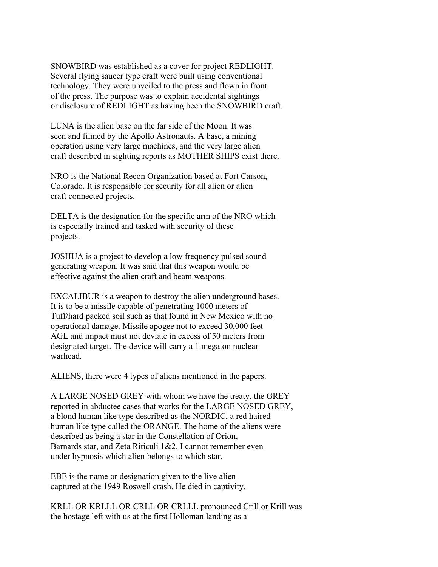SNOWBIRD was established as a cover for project REDLIGHT. Several flying saucer type craft were built using conventional technology. They were unveiled to the press and flown in front of the press. The purpose was to explain accidental sightings or disclosure of REDLIGHT as having been the SNOWBIRD craft.

LUNA is the alien base on the far side of the Moon. It was seen and filmed by the Apollo Astronauts. A base, a mining operation using very large machines, and the very large alien craft described in sighting reports as MOTHER SHIPS exist there.

NRO is the National Recon Organization based at Fort Carson, Colorado. It is responsible for security for all alien or alien craft connected projects.

DELTA is the designation for the specific arm of the NRO which is especially trained and tasked with security of these projects.

JOSHUA is a project to develop a low frequency pulsed sound generating weapon. It was said that this weapon would be effective against the alien craft and beam weapons.

EXCALIBUR is a weapon to destroy the alien underground bases. It is to be a missile capable of penetrating 1000 meters of Tuff/hard packed soil such as that found in New Mexico with no operational damage. Missile apogee not to exceed 30,000 feet AGL and impact must not deviate in excess of 50 meters from designated target. The device will carry a 1 megaton nuclear warhead.

ALIENS, there were 4 types of aliens mentioned in the papers.

A LARGE NOSED GREY with whom we have the treaty, the GREY reported in abductee cases that works for the LARGE NOSED GREY, a blond human like type described as the NORDIC, a red haired human like type called the ORANGE. The home of the aliens were described as being a star in the Constellation of Orion, Barnards star, and Zeta Riticuli 1&2. I cannot remember even under hypnosis which alien belongs to which star.

EBE is the name or designation given to the live alien captured at the 1949 Roswell crash. He died in captivity.

KRLL OR KRLLL OR CRLL OR CRLLL pronounced Crill or Krill was the hostage left with us at the first Holloman landing as a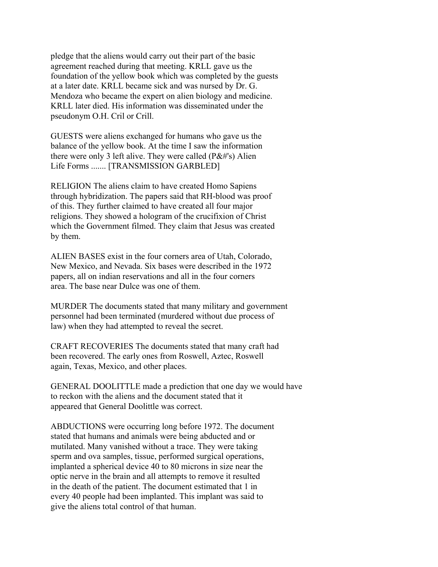pledge that the aliens would carry out their part of the basic agreement reached during that meeting. KRLL gave us the foundation of the yellow book which was completed by the guests at a later date. KRLL became sick and was nursed by Dr. G. Mendoza who became the expert on alien biology and medicine. KRLL later died. His information was disseminated under the pseudonym O.H. Cril or Crill.

GUESTS were aliens exchanged for humans who gave us the balance of the yellow book. At the time I saw the information there were only 3 left alive. They were called  $(P&#s)</math> Alien$ Life Forms ....... [TRANSMISSION GARBLED]

RELIGION The aliens claim to have created Homo Sapiens through hybridization. The papers said that RH-blood was proof of this. They further claimed to have created all four major religions. They showed a hologram of the crucifixion of Christ which the Government filmed. They claim that Jesus was created by them.

ALIEN BASES exist in the four corners area of Utah, Colorado, New Mexico, and Nevada. Six bases were described in the 1972 papers, all on indian reservations and all in the four corners area. The base near Dulce was one of them.

MURDER The documents stated that many military and government personnel had been terminated (murdered without due process of law) when they had attempted to reveal the secret.

CRAFT RECOVERIES The documents stated that many craft had been recovered. The early ones from Roswell, Aztec, Roswell again, Texas, Mexico, and other places.

GENERAL DOOLITTLE made a prediction that one day we would have to reckon with the aliens and the document stated that it appeared that General Doolittle was correct.

ABDUCTIONS were occurring long before 1972. The document stated that humans and animals were being abducted and or mutilated. Many vanished without a trace. They were taking sperm and ova samples, tissue, performed surgical operations, implanted a spherical device 40 to 80 microns in size near the optic nerve in the brain and all attempts to remove it resulted in the death of the patient. The document estimated that 1 in every 40 people had been implanted. This implant was said to give the aliens total control of that human.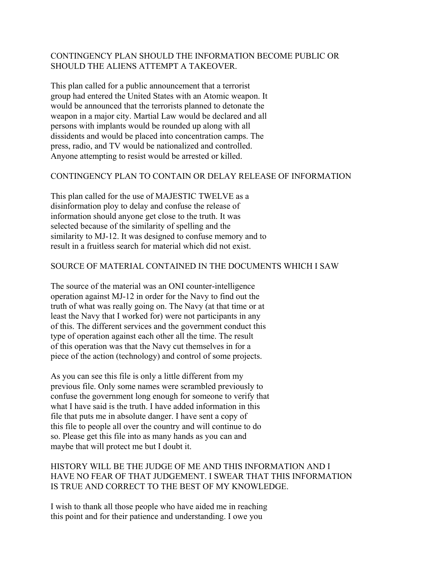## CONTINGENCY PLAN SHOULD THE INFORMATION BECOME PUBLIC OR SHOULD THE ALIENS ATTEMPT A TAKEOVER.

This plan called for a public announcement that a terrorist group had entered the United States with an Atomic weapon. It would be announced that the terrorists planned to detonate the weapon in a major city. Martial Law would be declared and all persons with implants would be rounded up along with all dissidents and would be placed into concentration camps. The press, radio, and TV would be nationalized and controlled. Anyone attempting to resist would be arrested or killed.

## CONTINGENCY PLAN TO CONTAIN OR DELAY RELEASE OF INFORMATION

This plan called for the use of MAJESTIC TWELVE as a disinformation ploy to delay and confuse the release of information should anyone get close to the truth. It was selected because of the similarity of spelling and the similarity to MJ-12. It was designed to confuse memory and to result in a fruitless search for material which did not exist.

# SOURCE OF MATERIAL CONTAINED IN THE DOCUMENTS WHICH I SAW

The source of the material was an ONI counter-intelligence operation against MJ-12 in order for the Navy to find out the truth of what was really going on. The Navy (at that time or at least the Navy that I worked for) were not participants in any of this. The different services and the government conduct this type of operation against each other all the time. The result of this operation was that the Navy cut themselves in for a piece of the action (technology) and control of some projects.

As you can see this file is only a little different from my previous file. Only some names were scrambled previously to confuse the government long enough for someone to verify that what I have said is the truth. I have added information in this file that puts me in absolute danger. I have sent a copy of this file to people all over the country and will continue to do so. Please get this file into as many hands as you can and maybe that will protect me but I doubt it.

# HISTORY WILL BE THE JUDGE OF ME AND THIS INFORMATION AND I HAVE NO FEAR OF THAT JUDGEMENT. I SWEAR THAT THIS INFORMATION IS TRUE AND CORRECT TO THE BEST OF MY KNOWLEDGE.

I wish to thank all those people who have aided me in reaching this point and for their patience and understanding. I owe you